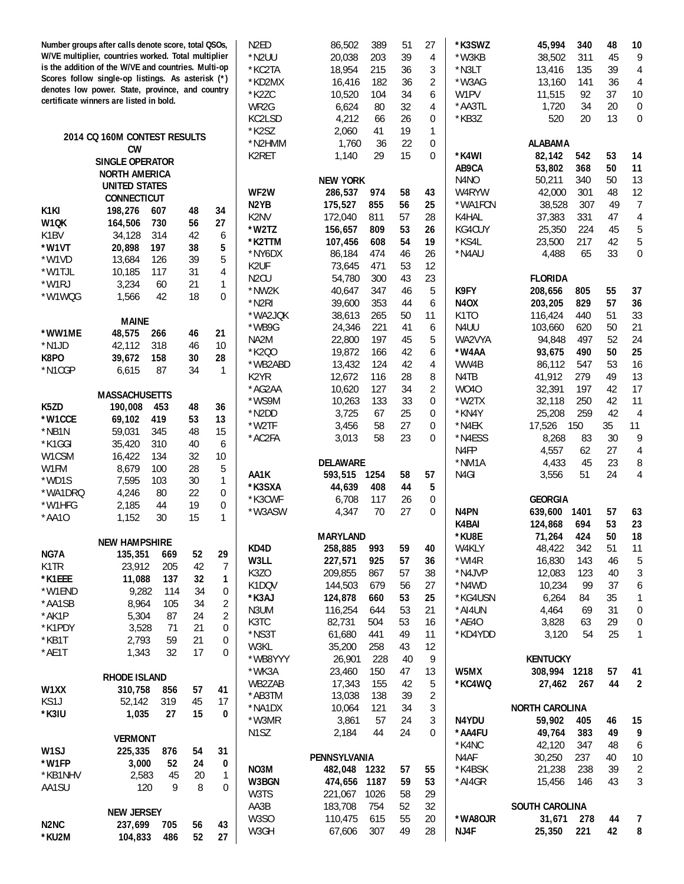|                               | Number groups after calls denote score, total QSOs,                                        |     |    |                | N <sub>2ED</sub>   | 86,502           | 389        | 51       | 27             | *K3SWZ              | 45,994                | 340      | 48       | 10               |
|-------------------------------|--------------------------------------------------------------------------------------------|-----|----|----------------|--------------------|------------------|------------|----------|----------------|---------------------|-----------------------|----------|----------|------------------|
|                               | W/VE multiplier, countries worked. Total multiplier                                        |     |    |                | *N2UU              | 20,038           | 203        | 39       | 4              | *W3KB               | 38,502                | 311      | 45       | 9                |
|                               | is the addition of the W/VE and countries. Multi-op                                        |     |    |                | *KC2TA             | 18,954           | 215        | 36       | 3              | *N3LT               | 13,416                | 135      | 39       | 4                |
|                               | Scores follow single-op listings. As asterisk (*)                                          |     |    |                | *KD2MX             | 16,416           | 182        | 36       | 2              | *W3AG               | 13,160                | 141      | 36       | 4                |
|                               | denotes low power. State, province, and country<br>certificate winners are listed in bold. |     |    |                | *K2ZC              | 10,520           | 104        | 34       | 6              | W1PV                | 11,515                | 92       | 37       | 10               |
|                               |                                                                                            |     |    |                | WR2G               | 6,624            | 80         | 32       | 4              | *AA3TL              | 1,720                 | 34       | 20       | $\mathbf 0$      |
|                               |                                                                                            |     |    |                | KC2LSD             | 4,212            | 66         | 26       | 0              | *KB3Z               | 520                   | 20       | 13       | $\overline{0}$   |
|                               | 2014 CQ 160M CONTEST RESULTS                                                               |     |    |                | *K2SZ              | 2,060            | 41         | 19       | 1              |                     |                       |          |          |                  |
|                               | <b>CW</b>                                                                                  |     |    |                | *N2HMM             | 1,760            | 36         | 22       | $\overline{0}$ |                     | <b>ALABAMA</b>        |          |          |                  |
|                               | <b>SINGLE OPERATOR</b>                                                                     |     |    |                | K2RET              | 1,140            | 29         | 15       | 0              | *K4WI               | 82,142                | 542      | 53       | 14               |
|                               | <b>NORTH AMERICA</b>                                                                       |     |    |                |                    |                  |            |          |                | AB9CA               | 53,802                | 368      | 50       | 11               |
|                               | <b>UNITED STATES</b>                                                                       |     |    |                |                    | <b>NEW YORK</b>  |            |          |                | N4NO                | 50,211                | 340      | 50       | 13               |
|                               | <b>CONNECTICUT</b>                                                                         |     |    |                | WF2W               | 286,537          | 974        | 58       | 43             | W4RYW               | 42,000                | 301      | 48       | 12               |
| K <sub>1</sub> KI             | 198,276                                                                                    | 607 | 48 | 34             | N <sub>2</sub> YB  | 175,527          | 855        | 56       | 25             | *WA1FCN             | 38,528                | 307      | 49       | $\overline{7}$   |
| W1QK                          | 164,506                                                                                    | 730 | 56 | 27             | K2NV               | 172,040          | 811        | 57       | 28             | K4HAL               | 37,383                | 331      | 47       | $\overline{4}$   |
| K <sub>1</sub> BV             | 34,128                                                                                     | 314 | 42 | 6              | *W2TZ              | 156,657          | 809        | 53       | 26             | KG4CUY              | 25,350                | 224      | 45       | 5                |
| *W1VT                         | 20,898                                                                                     | 197 | 38 | 5              | *K2TTM             | 107,456          | 608        | 54       | 19             | *KS4L               | 23,500                | 217      | 42       | 5                |
| *W1VD                         | 13,684                                                                                     | 126 | 39 | 5              | *NY6DX             | 86,184           | 474        | 46       | 26             | *N4AU               | 4,488                 | 65       | 33       | $\overline{0}$   |
| *W1TJL                        | 10,185                                                                                     | 117 | 31 | $\overline{4}$ | K2UF               | 73,645           | 471        | 53       | 12             |                     |                       |          |          |                  |
| *W1RJ                         | 3,234                                                                                      | 60  | 21 | $\mathbf{1}$   | N <sub>2</sub> CU  | 54,780           | 300        | 43       | 23             |                     | <b>FLORIDA</b>        |          |          |                  |
| *W1WQG                        | 1,566                                                                                      | 42  | 18 | $\overline{0}$ | *NW2K              | 40,647           | 347        | 46       | 5              | K9FY                | 208,656               | 805      | 55       | 37               |
|                               |                                                                                            |     |    |                | *N <sub>2</sub> RI | 39,600           | 353        | 44       | 6              | <b>N40X</b>         | 203,205               | 829      | 57       | 36               |
|                               | <b>MAINE</b>                                                                               |     |    |                | *WA2JQK            | 38,613           | 265        | 50       | 11             | K <sub>1</sub> TO   | 116,424               | 440      | 51       | 33               |
| *WW1ME                        | 48,575                                                                                     | 266 | 46 | 21             | *WB9G              | 24,346           | 221        | 41       | 6              | N4UU                | 103,660               | 620      | 50       | 21               |
| *N1JD                         | 42,112                                                                                     | 318 | 46 | 10             | NA2M               | 22,800           | 197        | 45       | 5              | WA2VYA              | 94,848                | 497      | 52       | 24               |
| K8PO                          | 39,672                                                                                     | 158 | 30 | 28             | *K200              | 19,872           | 166        | 42       | 6              | *W4AA               | 93,675                | 490      | 50       | 25               |
| *N1CGP                        | 6,615                                                                                      | 87  | 34 | $\mathbf{1}$   | *WB2ABD            | 13,432           | 124        | 42       | 4              | WW4B                | 86,112                | 547      | 53       | 16               |
|                               |                                                                                            |     |    |                | K <sub>2</sub> YR  | 12,672           | 116        | 28       | 8              | N4TB                | 41,912                | 279      | 49       | 13               |
|                               | <b>MASSACHUSETTS</b>                                                                       |     |    |                | *AG2AA             | 10,620           | 127        | 34       | 2              | <b>WO40</b>         | 32,391                | 197      | 42       | 17               |
| K5ZD                          | 190,008                                                                                    | 453 | 48 | 36             | *WS9M              | 10,263           | 133        | 33       | 0              | *W2TX               | 32,118                | 250      | 42       | 11               |
| *W1CCE                        | 69,102                                                                                     | 419 | 53 | 13             | *N2DD              | 3,725            | 67         | 25       | 0              | *KN4Y               | 25,208                | 259      | 42       | $\overline{4}$   |
| *NB1N                         | 59,031                                                                                     | 345 | 48 | 15             | *W2TF              | 3,456            | 58         | 27       | 0              | *N4EK               | 17,526                | 150      | 35       | 11               |
| *K1GGI                        | 35,420                                                                                     | 310 | 40 | 6              | *AC2FA             | 3,013            | 58         | 23       | 0              | *N4ESS              | 8,268                 | 83       | 30       | 9                |
| W1CSM                         | 16,422                                                                                     | 134 | 32 | 10             |                    |                  |            |          |                | N <sub>4FP</sub>    | 4,557                 | 62       | 27       | 4                |
| W1FM                          | 8,679                                                                                      | 100 | 28 | 5              |                    | <b>DELAWARE</b>  |            |          |                | *NM1A               | 4,433                 | 45       | 23       | 8                |
| *WD1S                         | 7,595                                                                                      | 103 | 30 | $\mathbf{1}$   | AA1K               | 593,515          | 1254       | 58       | 57             | N <sub>4</sub> GI   | 3,556                 | 51       | 24       | 4                |
| *WA1DRQ                       | 4,246                                                                                      | 80  | 22 | 0              | *K3SXA             | 44,639           | 408        | 44       | 5              |                     |                       |          |          |                  |
| *W1HFG                        | 2,185                                                                                      | 44  | 19 | 0              | *K3CWF             | 6,708            | 117        | 26       | 0              |                     | <b>GEORGIA</b>        |          |          |                  |
| *AA10                         | 1,152                                                                                      | 30  | 15 | $\mathbf{1}$   | *W3ASW             | 4,347            | 70         | 27       | $\Omega$       | N4PN                | 639,600               | 1401     | 57       | 63               |
|                               |                                                                                            |     |    |                |                    |                  |            |          |                | K4BAI               | 124,868               | 694      | 53       | 23               |
|                               | NEW HAMPSHIRE                                                                              |     |    |                |                    | <b>MARYLAND</b>  |            |          |                | *KU8E               | 71,264                | 424      | 50       | 18               |
| NG7A                          | 135,351                                                                                    | 669 | 52 | 29             | KD4D               | 258,885          | 993        | 59       | 40             | W4KLY               | 48,422                | 342      | 51       | 11               |
| K1TR                          | 23,912                                                                                     | 205 | 42 | 7              | W3LL               | 227,571          | 925        | 57       | 36             | *WI4R               | 16,830                | 143      | 46       | 5                |
| *K1EEE                        | 11,088                                                                                     | 137 | 32 | 1              | K3ZO               | 209,855          | 867        | 57       | 38             | *N4JVP              | 12,083                | 123      | 40       | $\sqrt{3}$       |
| *W1END                        | 9,282                                                                                      | 114 | 34 | 0              | K1DQV              | 144,503          | 679        | 56       | 27             | *N4WD               | 10,234                | 99       | 37       | 6                |
| *AA1SB                        | 8,964                                                                                      | 105 | 34 | 2              | *K3AJ<br>N3UM      | 124,878          | 660<br>644 | 53       | 25             | *KG4USN<br>*AI4UN   | 6,264                 | 84       | 35<br>31 | 1                |
| *AK1P                         | 5,304                                                                                      | 87  | 24 | 2              | K3TC               | 116,254          |            | 53       | 21             |                     | 4,464                 | 69       | 29       | $\boldsymbol{0}$ |
| *K1PDY                        | 3,528                                                                                      | 71  | 21 | 0              | *NS3T              | 82,731           | 504        | 53<br>49 | 16<br>11       | $*$ AE40<br>*KD4YDD | 3,828                 | 63<br>54 | 25       | 0<br>1           |
| *KB1T                         | 2,793                                                                                      | 59  | 21 | 0              | W3KL               | 61,680<br>35,200 | 441<br>258 |          | 12             |                     | 3,120                 |          |          |                  |
| *AE1T                         | 1,343                                                                                      | 32  | 17 | 0              | *WB8YYY            | 26,901           | 228        | 43<br>40 | 9              |                     | <b>KENTUCKY</b>       |          |          |                  |
|                               |                                                                                            |     |    |                | *WK3A              | 23,460           | 150        | 47       | 13             | W5MX                | 308,994 1218          |          | 57       | 41               |
|                               | <b>RHODE ISLAND</b>                                                                        |     |    |                | WB2ZAB             | 17,343           | 155        | 42       | 5              | *KC4WQ              | 27,462                | 267      | 44       | $\boldsymbol{2}$ |
| W1XX                          | 310,758                                                                                    | 856 | 57 | 41             | *AB3TM             | 13,038           | 138        | 39       | $\sqrt{2}$     |                     |                       |          |          |                  |
| KS1J                          | 52,142                                                                                     | 319 | 45 | 17             | *NA1DX             | 10,064           | 121        | 34       | 3              |                     | <b>NORTH CAROLINA</b> |          |          |                  |
| *K3IU                         | 1,035                                                                                      | 27  | 15 | 0              | *W3MR              | 3,861            | 57         | 24       | 3              | N4YDU               | 59,902                | 405      | 46       | 15               |
|                               |                                                                                            |     |    |                | N <sub>1</sub> SZ  | 2,184            | 44         | 24       | 0              | *AA4FU              | 49,764                | 383      | 49       | 9                |
|                               | <b>VERMONT</b>                                                                             |     |    |                |                    |                  |            |          |                | *K4NC               | 42,120                | 347      | 48       | 6                |
| W <sub>1</sub> SJ             | 225,335                                                                                    | 876 | 54 | 31             |                    | PENNSYLVANIA     |            |          |                | N4AF                | 30,250                | 237      | 40       | 10               |
| *W1FP                         | 3,000                                                                                      | 52  | 24 | 0              | NO3M               | 482,048 1232     |            | 57       | 55             | *K4BSK              | 21,238                | 238      | 39       | $\sqrt{2}$       |
| *KB1NHV                       | 2,583                                                                                      | 45  | 20 | 1              | W3BGN              | 474,656 1187     |            | 59       | 53             | *AI4GR              | 15,456                | 146      | 43       | 3                |
| AA1SU                         | 120                                                                                        | 9   | 8  | $\mathbf 0$    | W3TS               | 221,067 1026     |            | 58       | 29             |                     |                       |          |          |                  |
|                               |                                                                                            |     |    |                | AA3B               | 183,708          | 754        | 52       | 32             |                     | SOUTH CAROLINA        |          |          |                  |
|                               | <b>NEW JERSEY</b>                                                                          |     |    |                | W <sub>3</sub> SO  | 110,475          | 615        | 55       | 20             | *WA8OJR             | 31,671                | 278      | 44       | 7                |
| N <sub>2</sub> N <sub>C</sub> | 237,699                                                                                    | 705 | 56 | 43             | W3GH               | 67,606           | 307        | 49       | 28             | NJ4F                | 25,350                | 221      | 42       | 8                |
| *KU2M                         | 104,833                                                                                    | 486 | 52 | 27             |                    |                  |            |          |                |                     |                       |          |          |                  |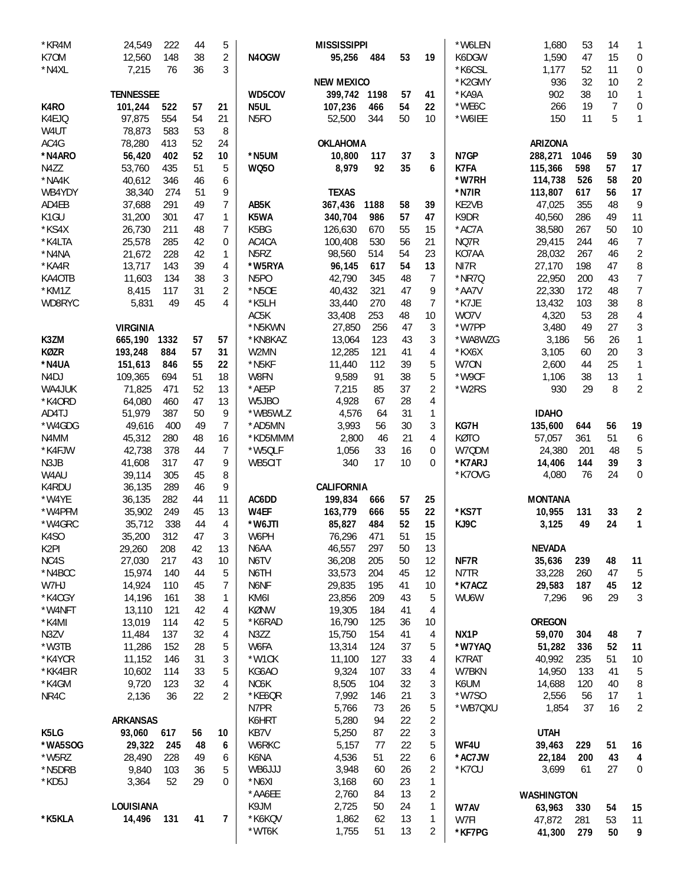| *KR4M             | 24,549            | 222        | 44       | 5        |                          | <b>MISSISSIPPI</b>           |            |          |            | *W6LEN          | 1,680            | 53         | 14                  | 1                         |
|-------------------|-------------------|------------|----------|----------|--------------------------|------------------------------|------------|----------|------------|-----------------|------------------|------------|---------------------|---------------------------|
| K70M              | 12,560            | 148        | 38       | 2        | N40GW                    | 95,256                       | 484        | 53       | 19         | K6DGW           | 1,590            | 47         | 15                  | 0                         |
| *N4XL             | 7,215             | 76         | 36       | 3        |                          |                              |            |          |            | *K6CSL          | 1,177            | 52         | 11                  | 0                         |
|                   |                   |            |          |          |                          | <b>NEW MEXICO</b>            |            |          |            | *K2GMY          | 936              | 32         | 10                  | 2                         |
|                   | <b>TENNESSEE</b>  |            |          |          | WD5COV                   | 399,742 1198                 |            | 57       | 41         | *KA9A           | 902              | 38         | 10                  | $\mathbf{1}$              |
| K4RO<br>K4EJQ     | 101,244<br>97,875 | 522<br>554 | 57<br>54 | 21<br>21 | N5UL<br>N <sub>5FO</sub> | 107,236<br>52,500            | 466<br>344 | 54<br>50 | 22<br>10   | *WE6C<br>*W6IEE | 266<br>150       | 19<br>11   | $\overline{7}$<br>5 | $\pmb{0}$<br>$\mathbf{1}$ |
| W4UT              | 78,873            | 583        | 53       | 8        |                          |                              |            |          |            |                 |                  |            |                     |                           |
| AC4G              | 78,280            | 413        | 52       | 24       |                          | OKLAHOMA                     |            |          |            |                 | <b>ARIZONA</b>   |            |                     |                           |
| *N4ARO            | 56,420            | 402        | 52       | 10       | *N5UM                    | 10,800                       | 117        | 37       | 3          | N7GP            | 288,271          | 1046       | 59                  | 30                        |
| N4ZZ              | 53,760            | 435        | 51       | 5        | <b>WQ50</b>              | 8,979                        | 92         | 35       | 6          | K7FA            | 115,366          | 598        | 57                  | 17                        |
| *NA4K             | 40,612            | 346        | 46       | 6        |                          |                              |            |          |            | *W7RH           | 114,738          | 526        | 58                  | 20                        |
| WB4YDY            | 38,340            | 274        | 51       | 9        |                          | <b>TEXAS</b>                 |            |          |            | *N7IR           | 113,807          | 617        | 56                  | 17                        |
| AD4EB             | 37,688            | 291        | 49       | 7        | AB5K                     | 367,436                      | 1188       | 58       | 39         | KE2VB           | 47,025           | 355        | 48                  | $\overline{9}$            |
| K <sub>1</sub> GU | 31,200            | 301        | 47       | 1        | K5WA                     | 340,704                      | 986        | 57       | 47         | K9DR            | 40,560           | 286        | 49                  | 11                        |
| *KS4X             | 26,730            | 211        | 48       | 7        | K5BG                     | 126,630                      | 670        | 55       | 15         | *AC7A           | 38,580           | 267        | 50                  | 10                        |
| *K4LTA            | 25,578            | 285        | 42       | 0        | AC4CA                    | 100,408                      | 530        | 56       | 21         | NQ7R            | 29,415           | 244        | 46                  | $\overline{7}$            |
| *N4NA             | 21,672            | 228        | 42       | 1        | N <sub>5</sub> RZ        | 98,560                       | 514        | 54       | 23         | K07AA           | 28,032           | 267        | 46                  | $\overline{c}$            |
| *KA4R             | 13,717            | 143        | 39       | 4        | *W5RYA                   | 96,145                       | 617        | 54       | 13         | NI7R            | 27,170           | 198        | 47                  | 8                         |
| KA4OTB            | 11,603            | 134        | 38       | 3        | N <sub>5</sub> PO        | 42,790                       | 345        | 48       | 7          | *NR7Q           | 22,950           | 200        | 43                  | $\overline{7}$            |
| *KM1Z             | 8,415             | 117        | 31       | 2        | *N5OE                    | 40,432                       | 321        | 47       | 9          | *AA7V           | 22,330           | 172        | 48                  | $\boldsymbol{7}$          |
| WD8RYC            | 5,831             | 49         | 45       | 4        | *K5LH<br>AC5K            | 33,440<br>33,408             | 270<br>253 | 48<br>48 | 7          | *K7JE<br>WO7V   | 13,432<br>4,320  | 103<br>53  | 38<br>28            | 8<br>4                    |
|                   | <b>VIRGINIA</b>   |            |          |          | *N5KWN                   | 27,850                       | 256        | 47       | 10<br>3    | *W7PP           | 3,480            | 49         | 27                  | 3                         |
| K3ZM              | 665,190           | 1332       | 57       | 57       | *KN8KAZ                  | 13,064                       | 123        | 43       | 3          | *WA8WZG         | 3,186            | 56         | 26                  | $\mathbf{1}$              |
| <b>KØZR</b>       | 193,248           | 884        | 57       | 31       | W2MN                     | 12,285                       | 121        | 41       | 4          | *KX6X           | 3,105            | 60         | 20                  | $\sqrt{3}$                |
| *N4UA             | 151,613           | 846        | 55       | 22       | *N5KF                    | 11,440                       | 112        | 39       | 5          | W70N            | 2,600            | 44         | 25                  | $\mathbf{1}$              |
| N <sub>4</sub> DJ | 109,365           | 694        | 51       | 18       | W8FN                     | 9,589                        | 91         | 38       | 5          | *W9CF           | 1,106            | 38         | 13                  | $\mathbf{1}$              |
| WA4JUK            | 71,825            | 471        | 52       | 13       | *AE5P                    | 7,215                        | 85         | 37       | 2          | *W2RS           | 930              | 29         | 8                   | $\overline{2}$            |
| *K40RD            | 64,080            | 460        | 47       | 13       | W5JBO                    | 4,928                        | 67         | 28       | 4          |                 |                  |            |                     |                           |
| AD4TJ             | 51,979            | 387        | 50       | 9        | *WB5WLZ                  | 4,576                        | 64         | 31       | 1          |                 | <b>IDAHO</b>     |            |                     |                           |
| *W4GDG            | 49,616            | 400        | 49       | 7        | *AD5MN                   | 3,993                        | 56         | 30       | 3          | KG7H            | 135,600          | 644        | 56                  | 19                        |
| N4MM              | 45,312            | 280        | 48       | 16       | *KD5MMM                  | 2,800                        | 46         | 21       | 4          | KØTO            | 57,057           | 361        | 51                  | 6                         |
| *K4FJW            | 42,738            | 378        | 44       | 7        | *W5QLF                   | 1,056                        | 33         | 16       | 0          | W7QDM           | 24,380           | 201        | 48                  | 5                         |
| N3JB              | 41,608            | 317        | 47       | 9        | WB5CIT                   | 340                          | 17         | 10       | 0          | *K7ARJ          | 14,406           | 144        | 39                  | 3                         |
| W4AU              | 39,114            | 305        | 45       | 8        |                          |                              |            |          |            | *K70VG          | 4,080            | 76         | 24                  | 0                         |
| K4RDU<br>*W4YE    | 36,135<br>36,135  | 289<br>282 | 46<br>44 | 9<br>11  | AC6DD                    | <b>CALIFORNIA</b><br>199,834 |            |          |            |                 | <b>MONTANA</b>   |            |                     |                           |
| *W4PFM            | 35,902            | 249        | 45       | 13       | W4EF                     | 163,779                      | 666<br>666 | 57<br>55 | 25<br>22   | *KS7T           | 10,955           | 131        | 33                  | $\overline{\mathbf{2}}$   |
| *W4GRC            | 35,712            | 338        | 44       | 4        | *W6JTI                   | 85,827                       | 484        | 52       | 15         | KJ9C            | 3,125            | 49         | 24                  | $\mathbf{1}$              |
| K4SO              | 35,200            | 312        | 47       | 3        | W6PH                     | 76,296                       | 471        | 51       | 15         |                 |                  |            |                     |                           |
| K <sub>2</sub> PI | 29,260            | 208        | 42       | 13       | N6AA                     | 46,557                       | 297        | 50       | 13         |                 | NEVADA           |            |                     |                           |
| NC4S              | 27,030            | 217        | 43       | 10       | N6TV                     | 36,208                       | 205        | 50       | 12         | NF7R            | 35,636           | 239        | 48                  | 11                        |
| *N4BCC            | 15,974            | 140        | 44       | 5        | N6TH                     | 33,573                       | 204        | 45       | 12         | N7TR            | 33,228           | 260        | 47                  | 5                         |
| W7HJ              | 14,924            | 110        | 45       | 7        | N6NF                     | 29,835                       | 195        | 41       | 10         | *K7ACZ          | 29,583           | 187        | 45                  | 12                        |
| *K4CGY            | 14,196            | 161        | 38       | 1        | KM6I                     | 23,856                       | 209        | 43       | 5          | WU6W            | 7,296            | 96         | 29                  | 3                         |
| *W4NFT            | 13,110            | 121        | 42       | 4        | <b>KØNW</b>              | 19,305                       | 184        | 41       | 4          |                 |                  |            |                     |                           |
| *K4MI             | 13,019            | 114        | 42       | 5        | *K6RAD                   | 16,790                       | 125        | 36       | 10         |                 | <b>OREGON</b>    |            |                     |                           |
| N3ZV              | 11,484            | 137        | 32       | 4        | N3ZZ                     | 15,750                       | 154        | 41       | 4          | NX1P            | 59,070           | 304        | 48                  | $\overline{7}$            |
| $*$ W3TB          | 11,286            | 152        | 28       | 5        | W6FA                     | 13,314                       | 124        | 37       | 5          | *W7YAQ          | 51,282           | 336        | 52                  | 11                        |
| *K4YCR<br>*KK4EIR | 11,152<br>10,602  | 146<br>114 | 31<br>33 | 3<br>5   | *W1CK<br>KG6AO           | 11,100<br>9,324              | 127<br>107 | 33<br>33 | 4<br>4     | K7RAT<br>W7BKN  | 40,992<br>14,950 | 235<br>133 | 51<br>41            | 10                        |
| *K4GM             | 9,720             | 123        | 32       | 4        | NC6K                     | 8,505                        | 104        | 32       | 3          | K6UM            | 14,688           | 120        | 40                  | 5<br>8                    |
| NR4C              | 2,136             | 36         | 22       | 2        | *KE6QR                   | 7,992                        | 146        | 21       | 3          | *W7S0           | 2,556            | 56         | 17                  | 1                         |
|                   |                   |            |          |          | N7PR                     | 5,766                        | 73         | 26       | 5          | *WB7QXU         | 1,854            | 37         | 16                  | 2                         |
|                   | <b>ARKANSAS</b>   |            |          |          | K6HRT                    | 5,280                        | 94         | 22       | $\sqrt{2}$ |                 |                  |            |                     |                           |
| K5LG              | 93,060 617        |            | 56       | 10       | KB7V                     | 5,250                        | 87         | 22       | 3          |                 | <b>UTAH</b>      |            |                     |                           |
| *WA5SOG           | 29,322            | 245        | 48       | 6        | W6RKC                    | 5,157                        | 77         | 22       | 5          | WF4U            | 39,463           | 229        | 51                  | 16                        |
| *W5RZ             | 28,490            | 228        | 49       | 6        | K6NA                     | 4,536                        | 51         | 22       | 6          | *AC7JW          | 22,184           | 200        | 43                  | 4                         |
| *N5DRB            | 9,840             | 103        | 36       | 5        | WB6JJJ                   | 3,948                        | 60         | 26       | 2          | *K7CU           | 3,699            | 61         | 27                  | $\overline{0}$            |
| *KD5J             | 3,364             | 52         | 29       | 0        | *N6XI                    | 3,168                        | 60         | 23       | 1          |                 |                  |            |                     |                           |
|                   |                   |            |          |          | *AA6EE                   | 2,760                        | 84         | 13       | 2          |                 | WASHINGTON       |            |                     |                           |
|                   | LOUISIANA         |            |          |          | K9JM                     | 2,725                        | 50         | 24       | 1          | W7AV            | 63,963           | 330        | 54                  | 15                        |
| *K5KLA            | 14,496            | 131        | 41       | 7        | *K6KQV                   | 1,862                        | 62         | 13       | 1          | W7FI            | 47,872           | 281        | 53                  | 11                        |
|                   |                   |            |          |          | *WT6K                    | 1,755                        | 51         | 13       | 2          | *KF7PG          | 41,300           | 279        | 50                  | 9                         |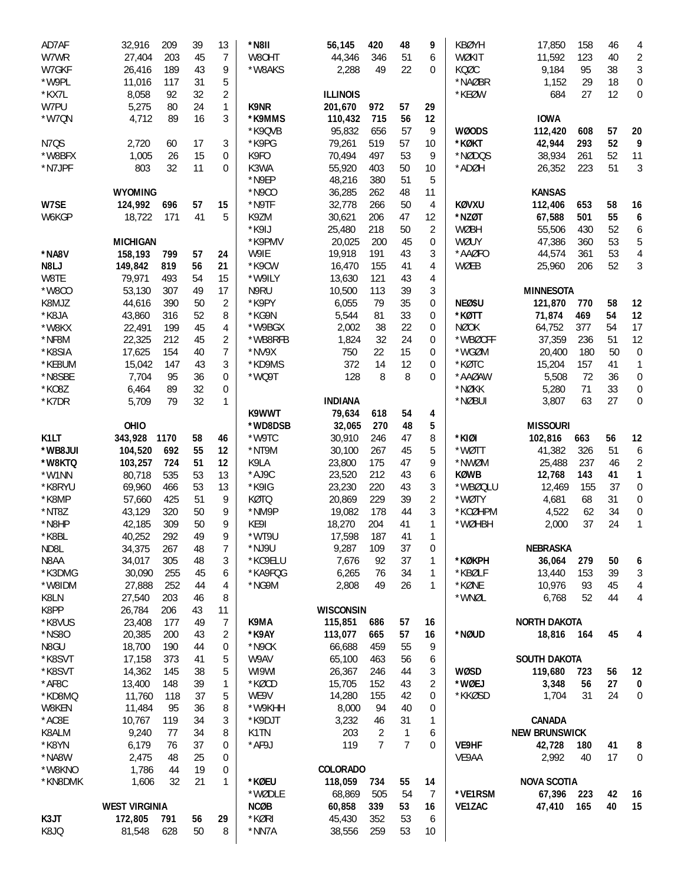| AD7AF         | 32,916                    | 209        | 39       | 13                      | *N8II          | 56,145           | 420            | 48             | 9              | <b>KBØYH</b>  | 17,850                   | 158        | 46       | 4                |
|---------------|---------------------------|------------|----------|-------------------------|----------------|------------------|----------------|----------------|----------------|---------------|--------------------------|------------|----------|------------------|
| W7WR          | 27,404                    | 203        | 45       | 7                       | W8OHT          | 44,346           | 346            | 51             | 6              | WØKIT         | 11,592                   | 123        | 40       | $\overline{c}$   |
| W7GKF         | 26,416                    | 189        | 43       | 9                       | *W8AKS         | 2,288            | 49             | 22             | 0              | <b>KOØC</b>   | 9,184                    | 95         | 38       | 3                |
| *W9PL         | 11,016                    | 117        | 31       | 5                       |                |                  |                |                |                | *NAØBR        | 1,152                    | 29         | 18       | $\boldsymbol{0}$ |
| *KX7L         | 8,058                     | 92         | 32       | $\overline{\mathbf{c}}$ |                | <b>ILLINOIS</b>  |                |                |                | *KEØW         | 684                      | 27         | 12       | 0                |
| W7PU          | 5,275                     | 80         | 24       | 1                       | K9NR           | 201,670          | 972            | 57             | 29             |               |                          |            |          |                  |
| *W7QN         | 4,712                     | 89         | 16       | 3                       | *K9MMS         | 110,432          | 715            | 56             | 12             |               | <b>IOWA</b>              |            |          |                  |
|               |                           |            |          |                         | *K9QVB         | 95,832           | 656            | 57             | 9              | <b>WØODS</b>  | 112,420                  | 608        | 57       | 20               |
| <b>N7QS</b>   | 2,720                     | 60         | 17       | 3                       | *K9PG          | 79,261           | 519            | 57             | 10             | *KØKT         | 42,944                   | 293        | 52       | 9                |
| *W8BFX        | 1,005                     | 26         | 15       | 0                       | K9FO           | 70,494           | 497            | 53             | 9              | *NØDQS        | 38,934                   | 261        | 52       | 11               |
| *N7JPF        | 803                       | 32         | 11       | 0                       | K3WA           | 55,920           | 403            | 50             | 10             | *ADØH         | 26,352                   | 223        | 51       | 3                |
|               |                           |            |          |                         | *N9EP<br>*N9CO | 48,216           | 380            | 51             | 5              |               |                          |            |          |                  |
| W7SE          | <b>WYOMING</b><br>124,992 | 696        | 57       |                         | *N9TF          | 36,285<br>32,778 | 262<br>266     | 48<br>50       | 11<br>4        | <b>KØVXU</b>  | <b>KANSAS</b><br>112,406 |            | 58       | 16               |
| W6KGP         | 18,722                    | 171        | 41       | 15<br>5                 | K9ZM           | 30,621           | 206            | 47             | 12             | *NZØT         | 67,588                   | 653<br>501 | 55       | 6                |
|               |                           |            |          |                         | *K9IJ          | 25,480           | 218            | 50             | 2              | WØBH          | 55,506                   | 430        | 52       | 6                |
|               | <b>MICHIGAN</b>           |            |          |                         | *K9PMV         | 20,025           | 200            | 45             | 0              | WØUY          | 47,386                   | 360        | 53       | 5                |
| *NA8V         | 158,193                   | 799        | 57       | 24                      | W9IE           | 19,918           | 191            | 43             | 3              | *AAØFO        | 44,574                   | 361        | 53       | 4                |
| N8LJ          | 149,842                   | 819        | 56       | 21                      | *K9CW          | 16,470           | 155            | 41             | 4              | WØEB          | 25,960                   | 206        | 52       | 3                |
| W8TE          | 79,971                    | 493        | 54       | 15                      | *W9ILY         | 13,630           | 121            | 43             | 4              |               |                          |            |          |                  |
| *W8CO         | 53,130                    | 307        | 49       | 17                      | N9RU           | 10,500           | 113            | 39             | 3              |               | <b>MINNESOTA</b>         |            |          |                  |
| K8MJZ         | 44,616                    | 390        | 50       | 2                       | *K9PY          | 6,055            | 79             | 35             | 0              | <b>NEØ\$U</b> | 121,870                  | 770        | 58       | 12               |
| *K8JA         | 43,860                    | 316        | 52       | 8                       | *KG9N          | 5,544            | 81             | 33             | 0              | *KØTT         | 71,874                   | 469        | 54       | 12               |
| *W8KX         | 22,491                    | 199        | 45       | 4                       | *W9BGX         | 2,002            | 38             | 22             | 0              | <b>NØOK</b>   | 64,752                   | 377        | 54       | 17               |
| *NF8M         | 22,325                    | 212        | 45       | $\overline{\mathbf{c}}$ | *WB8RFB        | 1,824            | 32             | 24             | 0              | *WBØCFF       | 37,359                   | 236        | 51       | 12               |
| *K8SIA        | 17,625                    | 154        | 40       | $\overline{7}$          | *NV9X          | 750              | 22             | 15             | 0              | *WGØM         | 20,400                   | 180        | 50       | $\boldsymbol{0}$ |
| *KE8UM        | 15,042                    | 147        | 43       | 3                       | *KD9MS         | 372              | 14             | 12             | 0              | *KØTC         | 15,204                   | 157        | 41       | $\mathbf{1}$     |
| *N8SBE        | 7,704                     | 95         | 36       | 0                       | *WQ9T          | 128              | 8              | 8              | 0              | *AAØAW        | 5,508                    | 72         | 36       | $\boldsymbol{0}$ |
| $*$ KO8Z      | 6,464                     | 89         | 32       | 0                       |                |                  |                |                |                | *NØKK         | 5,280                    | 71         | 33       | 0                |
| *K7DR         | 5,709                     | 79         | 32       | 1                       |                | <b>INDIANA</b>   |                |                |                | *NØBUI        | 3,807                    | 63         | 27       | 0                |
|               |                           |            |          |                         | K9WWT          | 79,634           | 618            | 54             | 4              |               |                          |            |          |                  |
|               | OHIO                      |            |          |                         | *WD8DSB        | 32,065           | 270            | 48             | 5              |               | <b>MISSOURI</b>          |            |          |                  |
| K1LT          | 343,928                   | 1170       | 58       | 46                      | *W9TC          | 30,910           | 246            | 47             | 8              | *KIØI         | 102,816                  | 663        | 56       | 12               |
| *WB8JUI       | 104,520                   | 692        | 55       | 12                      | *NT9M          | 30,100           | 267            | 45             | 5              | *WØTT         | 41,382                   | 326        | 51       | 6                |
| *W8KTQ        | 103,257                   | 724        | 51       | 12                      | K9LA           | 23,800           | 175            | 47             | 9              | *NWØM         | 25,488                   | 237        | 46       | 2                |
| *W1NN         | 80,718                    | 535        | 53       | 13                      | *AJ9C          | 23,520           | 212            | 43             | 6              | <b>KØWB</b>   | 12,768                   | 143        | 41       | 1                |
| *K8RYU        | 69,960                    | 466        | 53       | 13                      | *K9IG          | 23,230           | 220            | 43             | 3              | *WBØQLU       | 12,469                   | 155        | 37       | $\boldsymbol{0}$ |
| *K8MP         | 57,660                    | 425        | 51       | 9                       | KØTQ           | 20,869           | 229            | 39             | $\overline{2}$ | *WØTY         | 4,681                    | 68         | 31       | 0                |
| $*$ NT8Z      | 43,129                    | 320        | 50       | 9                       | *NM9P          | 19,082           | 178            | 44             | 3              | *KCØHPM       | 4,522                    | 62         | 34       | $\boldsymbol{0}$ |
| *N8HP         | 42,185                    | 309        | 50       | 9                       | KE9I           | 18,270           | 204            | 41             | 1              | *WØHBH        | 2,000                    | 37         | 24       | 1                |
| *K8BL         | 40,252                    | 292        | 49       | 9                       | *WT9U          | 17,598           | 187            | 41             | 1              |               |                          |            |          |                  |
| ND8L          | 34,375                    | 267        | 48       | 7                       | *NJ9U          | 9,287            | 109            | 37             | 0              |               | <b>NEBRASKA</b>          |            |          |                  |
| N8AA          | 34,017                    | 305        | 48       | 3                       | *KC9ELU        | 7,676            | 92             | 37             | 1              | *KØKPH        | 36,064                   | 279        | 50       | 6                |
| *K3DMG        | 30,090                    | 255        | 45       | 6                       | *KA9FQG        | 6,265            | 76             | 34             | 1              | *KBØLF        | 13,440                   | 153        | 39       | 3                |
| *W8IDM        | 27,888                    | 252        | 44       | 4                       | *NG9M          | 2,808            | 49             | 26             | 1              | *KØNE         | 10,976                   | 93         | 45       | 4                |
| K8LN          | 27,540                    | 203        | 46       | 8                       |                |                  |                |                |                | *WNØL         | 6,768                    | 52         | 44       | 4                |
| K8PP          | 26,784                    | 206        | 43       | 11                      |                | <b>WISCONSIN</b> |                |                |                |               |                          |            |          |                  |
| *K8VUS        | 23,408                    | 177        | 49       | 7                       | K9MA           | 115,851          | 686            | 57             | 16             |               | <b>NORTH DAKOTA</b>      |            |          |                  |
| *NS80<br>N8GU | 20,385                    | 200        | 43       | 2                       | *K9AY          | 113,077          | 665            | 57             | 16             | *NØUD         | 18,816                   | 164        | 45       | 4                |
| *K8SVT        | 18,700<br>17,158          | 190<br>373 | 44       | 0                       | *N9CK<br>W9AV  | 66,688<br>65,100 | 459            | 55             | 9              |               | <b>SOUTH DAKOTA</b>      |            |          |                  |
| *K8SVT        | 14,362                    |            | 41       | 5                       | WI9WI          |                  | 463            | 56             | 6              | WØSD          | 119,680                  | 723        |          |                  |
| *AF8C         | 13,400                    | 145<br>148 | 38<br>39 | 5<br>1                  | *KØCD          | 26,367<br>15,705 | 246<br>152     | 44<br>43       | 3<br>2         | *WØEJ         | 3,348                    | 56         | 56<br>27 | 12<br>0          |
| *KD8MQ        | 11,760                    | 118        | 37       | 5                       | WE9V           | 14,280           | 155            | 42             | 0              | *KKØSD        | 1,704                    | 31         | 24       | 0                |
| W8KEN         | 11,484                    | 95         | 36       | 8                       | *W9KHH         | 8,000            | 94             | 40             | 0              |               |                          |            |          |                  |
| $*$ AC8E      | 10,767                    | 119        | 34       | 3                       | *K9DJT         | 3,232            | 46             | 31             | 1              |               | <b>CANADA</b>            |            |          |                  |
| K8ALM         | 9,240                     | 77         | 34       | 8                       | K1TN           | 203              | $\overline{2}$ | 1              | 6              |               | <b>NEW BRUNSWICK</b>     |            |          |                  |
| *K8YN         | 6,179                     | 76         | 37       | 0                       | *AF9J          | 119              | $\overline{7}$ | $\overline{7}$ | 0              | VE9HF         | 42,728                   | 180        | 41       | 8                |
| *NA8W         | 2,475                     | 48         | 25       | 0                       |                |                  |                |                |                | VE9AA         | 2,992                    | 40         | 17       | $\mathbf 0$      |
|               |                           |            |          | 0                       |                | <b>COLORADO</b>  |                |                |                |               |                          |            |          |                  |
|               |                           |            |          |                         |                |                  |                |                |                |               |                          |            |          |                  |
| *W8KNO        | 1,786                     | 44         | 19       |                         |                |                  |                |                |                |               |                          |            |          |                  |
| *KN8DMK       | 1,606                     | 32         | 21       | 1                       | *KØEU          | 118,059          | 734            | 55             | 14             |               | <b>NOVA SCOTIA</b>       |            |          |                  |
|               |                           |            |          |                         | *WØDLE         | 68,869           | 505            | 54             | 7              | *VE1RSM       | 67,396                   | 223        | 42       | 16               |
|               | <b>WEST VIRGINIA</b>      | 791        |          |                         | <b>NCØB</b>    | 60,858           | 339            | 53             | 16             | <b>VE1ZAC</b> | 47,410                   | 165        | 40       | 15               |
| K3JT<br>K8JQ  | 172,805<br>81,548         | 628        | 56<br>50 | 29<br>8                 | *KØRI<br>*NN7A | 45,430<br>38,556 | 352<br>259     | 53<br>53       | 6<br>10        |               |                          |            |          |                  |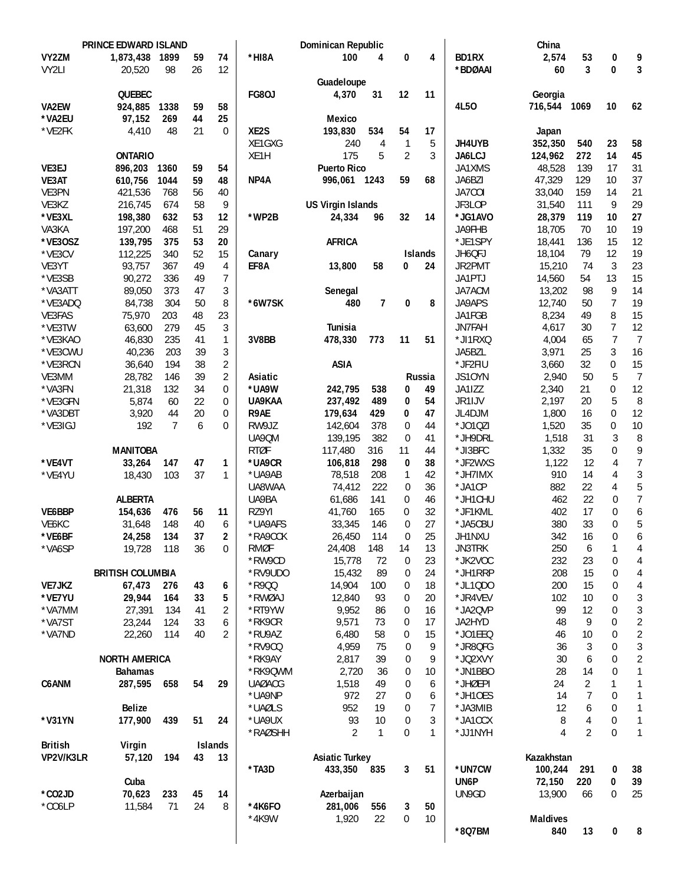|                 | PRINCE EDWARD ISLAND    |                |          |                     |                   | Dominican Republic       |                |              |                |                    | China            |                |                  |                          |
|-----------------|-------------------------|----------------|----------|---------------------|-------------------|--------------------------|----------------|--------------|----------------|--------------------|------------------|----------------|------------------|--------------------------|
| VY2ZM           | 1,873,438               | 1899           | 59       | 74                  | *HI8A             | 100                      | 4              | 0            | 4              | <b>BD1RX</b>       | 2,574            | 53             | 0                | 9                        |
| VY2LI           | 20,520                  | 98             | 26       | 12                  |                   |                          |                |              |                | *BDØAAI            | 60               | 3              | 0                | 3                        |
|                 |                         |                |          |                     |                   | Guadeloupe               |                |              |                |                    |                  |                |                  |                          |
|                 | QUEBEC                  |                |          |                     | <b>FG80J</b>      | 4,370                    | 31             | 12           | 11             |                    | Georgia          |                |                  |                          |
| VA2EW           | 924,885                 | 1338           | 59       | 58                  |                   |                          |                |              |                | 4L50               | 716,544          | 1069           | 10               | 62                       |
| *VA2EU          | 97,152                  | 269            | 44       | 25                  |                   | <b>Mexico</b>            |                |              |                |                    |                  |                |                  |                          |
| *VE2FK          | 4,410                   | 48             | 21       | 0                   | XE <sub>2</sub> S | 193,830                  | 534            | 54           | 17             |                    | Japan            |                |                  |                          |
|                 |                         |                |          |                     | XE1GXG            | 240                      | 4              | $\mathbf{1}$ | 5              | JH4UYB             | 352,350          | 540            | 23               | 58                       |
|                 | <b>ONTARIO</b>          |                |          |                     | XE1H              | 175                      | 5              | 2            | 3              | JA6LCJ             | 124,962          | 272            | 14               | 45                       |
| VE3EJ           | 896,203                 | 1360           | 59       | 54                  |                   | <b>Puerto Rico</b>       |                |              |                | JA1XMS             | 48,528           | 139            | 17               | 31                       |
| VE3AT           | 610,756                 | 1044           | 59       | 48                  | NP4A              | 996,061 1243             |                | 59           | 68             | JA6BZI             | 47,329           | 129            | 10               | 37                       |
| VE3PN           | 421,536                 | 768            | 56       | 40                  |                   |                          |                |              |                | JA7COI             | 33,040           | 159            | 14               | 21                       |
| VE3KZ           | 216,745                 | 674            | 58       | 9                   |                   | <b>US Virgin Islands</b> |                |              |                | JF3LOP             | 31,540           | 111            | 9                | 29                       |
| *VE3XL          | 198,380                 | 632            | 53       | 12                  | *WP2B             | 24,334                   | 96             | 32           | 14             | *JG1AVO            | 28,379           | 119            | 10               | 27                       |
| VA3KA           | 197,200                 | 468            | 51       | 29                  |                   |                          |                |              |                | JA9FHB             | 18,705           | 70             | 10               | 19                       |
| *VE3OSZ         | 139,795                 | 375            | 53<br>52 | 20                  |                   | <b>AFRICA</b>            |                |              |                | *JE1SPY            | 18,441           | 136<br>79      | 15<br>12         | 12<br>19                 |
| *VE3CV          | 112,225                 | 340            | 49       | 15                  | Canary            |                          |                |              | <b>Islands</b> | JH6QFJ             | 18,104           |                |                  | 23                       |
| VE3YT<br>*VE3SB | 93,757<br>90,272        | 367<br>336     | 49       | 4<br>$\overline{7}$ | EF8A              | 13,800                   | 58             | 0            | 24             | JR2PMT<br>JA1PTJ   | 15,210<br>14,560 | 74<br>54       | 3<br>13          | 15                       |
| *VA3ATT         | 89,050                  | 373            | 47       | 3                   |                   | Senegal                  |                |              |                | JA7ACM             | 13,202           | 98             | 9                | 14                       |
| *VE3ADQ         | 84,738                  | 304            | 50       | 8                   | *6W7SK            | 480                      | $\overline{7}$ | 0            | 8              | JA9APS             | 12,740           | 50             | $\overline{7}$   | 19                       |
| VE3FAS          | 75,970                  | 203            | 48       | 23                  |                   |                          |                |              |                | JA1FGB             | 8,234            | 49             | 8                | 15                       |
| *VE3TW          | 63,600                  | 279            | 45       | 3                   |                   | Tunisia                  |                |              |                | JN7FAH             | 4,617            | 30             | 7                | 12                       |
| *VE3KAO         | 46,830                  | 235            | 41       | $\mathbf{1}$        | 3V8BB             | 478,330                  | 773            | 11           | 51             | *JI1RXQ            | 4,004            | 65             | $\overline{7}$   | $\overline{7}$           |
| *VE3CWU         | 40,236                  | 203            | 39       | 3                   |                   |                          |                |              |                | JA5BZL             | 3,971            | 25             | 3                | 16                       |
| *VE3RCN         | 36,640                  | 194            | 38       | $\overline{2}$      |                   | <b>ASIA</b>              |                |              |                | *JF2FIU            | 3,660            | 32             | 0                | 15                       |
| VE3MM           | 28,782                  | 146            | 39       | $\overline{2}$      | Asiatic           |                          |                |              | Russia         | JS10YN             | 2,940            | 50             | 5                | $\overline{7}$           |
| *VA3FN          | 21,318                  | 132            | 34       | 0                   | *UA9W             | 242,795                  | 538            | 0            | 49             | JA1IZZ             | 2,340            | 21             | 0                | 12                       |
| *VE3GFN         | 5,874                   | 60             | 22       | 0                   | UA9KAA            | 237,492                  | 489            | 0            | 54             | JR1IJV             | 2,197            | 20             | 5                | 8                        |
| *VA3DBT         | 3,920                   | 44             | 20       | 0                   | R9AE              | 179,634                  | 429            | 0            | 47             | JL4DJM             | 1,800            | 16             | 0                | 12                       |
| *VE3IGJ         | 192                     | $\overline{7}$ | 6        | 0                   | RW9JZ             | 142,604                  | 378            | 0            | 44             | *J010ZI            | 1,520            | 35             | 0                | 10                       |
|                 |                         |                |          |                     | UA9QM             | 139,195                  | 382            | $\mathbf 0$  | 41             | *JH9DRL            | 1,518            | 31             | 3                | 8                        |
|                 | <b>MANITOBA</b>         |                |          |                     | <b>RTØF</b>       | 117,480                  | 316            | 11           | 44             | *JI3BFC            | 1,332            | 35             | 0                | 9                        |
| *VE4VT          | 33,264                  | 147            | 47       | 1                   | *UA9CR            | 106,818                  | 298            | 0            | 38             | *JF2WXS            | 1,122            | 12             | 4                | $\overline{7}$           |
| *VE4YU          | 18,430                  | 103            | 37       | $\mathbf{1}$        | *UA9AB            | 78,518                   | 208            | 1            | 42             | *JH7IMX            | 910              | 14             | 4                | 3                        |
|                 |                         |                |          |                     | UA8WAA            | 74,412                   | 222            | 0            | 36             | *JA1CP             | 882              | 22             | 4                | 5                        |
|                 | <b>ALBERTA</b>          |                |          |                     | UA9BA             | 61,686                   | 141            | 0            | 46             | *JH1CHU            | 462              | 22             | 0                | $\overline{7}$           |
| VE6BBP          | 154,636                 | 476            | 56       | 11                  | RZ9YI             | 41,760                   | 165            | 0            | 32             | *JF1KML            | 402              | 17             | 0                | 6                        |
| VE6KC           | 31,648                  | 148            | 40       | 6                   | *UA9AFS           | 33,345                   | 146            | 0            | 27             | *JA5CBU            | 380              | 33             | $\mathbf 0$      | 5                        |
| *VE6BF          | 24,258                  | 134            | 37       | 2                   | *RA9CCK           | 26,450                   | 114            | 0            | 25             | JH1NXU             | 342              | 16             | $\boldsymbol{0}$ | 6                        |
| *VA6SP          | 19,728                  | 118            | 36       | 0                   | <b>RMØF</b>       | 24,408                   | 148            | 14           | 13             | JN3TRK             | 250              | 6              | 1                | 4                        |
|                 |                         |                |          |                     | *RW9CD            | 15,778                   | 72             | 0            | 23             | *JK2VOC            | 232              | 23             | 0                | 4                        |
|                 | <b>BRITISH COLUMBIA</b> |                |          |                     | *RV9UDO           | 15,432                   | 89             | 0            | 24             | *JH1RRP            | 208              | 15             | $\mathbf 0$      | 4                        |
| <b>VE7JKZ</b>   | 67,473                  | 276            | 43       | 6                   | *R900             | 14,904                   | 100            | 0            | 18             | *JL1QDO            | 200              | 15             | 0                | $\overline{\mathcal{L}}$ |
| *VE7YU          | 29,944                  | 164            | 33       | 5                   | *RWØAJ            | 12,840                   | 93             | 0            | 20             | *JR4VEV            | 102              | 10             | 0                | 3                        |
| *VA7MM          | 27,391                  | 134            | 41       | 2                   | *RT9YW            | 9,952                    | 86             | 0            | 16             | *JA2QVP            | 99               | 12             | 0                | 3                        |
| *VA7ST          | 23,244                  | 124            | 33       | 6                   | *RK9CR            | 9,571                    | 73             | 0            | 17             | JA2HYD             | 48               | 9              | 0                | $\overline{c}$           |
| *VA7ND          | 22,260                  | 114            | 40       | 2                   | *RU9AZ            | 6,480                    | 58             | 0            | 15             | *JO1EEQ            | 46               | $10$           | 0                | $\overline{c}$           |
|                 | <b>NORTH AMERICA</b>    |                |          |                     | *RV9CQ<br>*RK9AY  | 4,959<br>2,817           | 75<br>39       | 0<br>0       | 9<br>9         | *JR8QFG<br>*JQ2XVY | 36<br>30         | 3              | 0<br>0           | 3<br>$\overline{c}$      |
|                 | <b>Bahamas</b>          |                |          |                     | *RK9QWM           | 2,720                    | 36             | 0            |                | *JN1BBO            |                  | 6<br>14        | $\mathbf 0$      |                          |
| C6ANM           | 287,595                 | 658            | 54       | 29                  | <b>UAØACG</b>     | 1,518                    | 49             | 0            | 10<br>6        | *JHØEPI            | 28<br>24         | 2              | 1                | 1<br>1                   |
|                 |                         |                |          |                     | *UA9NP            | 972                      | 27             | 0            | 6              | *JH10ES            | 14               | $\overline{7}$ | 0                | 1                        |
|                 | <b>Belize</b>           |                |          |                     | *UAØLS            | 952                      | 19             | 0            | 7              | *JA3MIB            | 12               | 6              | 0                | 1                        |
| *V31YN          | 177,900                 | 439            | 51       | 24                  | *UA9UX            | 93                       | 10             | 0            | 3              | *JA1CCX            | 8                | 4              | 0                | $\mathbf{1}$             |
|                 |                         |                |          |                     | *RAØSHH           | 2                        | 1              | $\mathbf 0$  | 1              | *JJ1NYH            | 4                | $\overline{2}$ | 0                | $\mathbf{1}$             |
| <b>British</b>  | Virgin                  |                |          | <b>Islands</b>      |                   |                          |                |              |                |                    |                  |                |                  |                          |
| VP2V/K3LR       | 57,120                  | 194            | 43       | 13                  |                   | <b>Asiatic Turkey</b>    |                |              |                |                    | Kazakhstan       |                |                  |                          |
|                 |                         |                |          |                     | *TA3D             | 433,350                  | 835            | 3            | 51             | *UN7CW             | 100,244          | 291            | 0                | 38                       |
|                 | Cuba                    |                |          |                     |                   |                          |                |              |                | UN6P               | 72,150           | 220            | 0                | 39                       |
| *CO2JD          | 70,623                  | 233            | 45       | 14                  |                   | Azerbaijan               |                |              |                | UN9GD              | 13,900           | 66             | 0                | 25                       |
| *CO6LP          | 11,584                  | 71             | 24       | 8                   | *4K6FO            | 281,006                  | 556            | 3            | 50             |                    |                  |                |                  |                          |
|                 |                         |                |          |                     | $*4K9W$           | 1,920                    | 22             | 0            | 10             |                    | <b>Maldives</b>  |                |                  |                          |
|                 |                         |                |          |                     |                   |                          |                |              |                | *807BM             | 840              | 13             | 0                | 8                        |
|                 |                         |                |          |                     |                   |                          |                |              |                |                    |                  |                |                  |                          |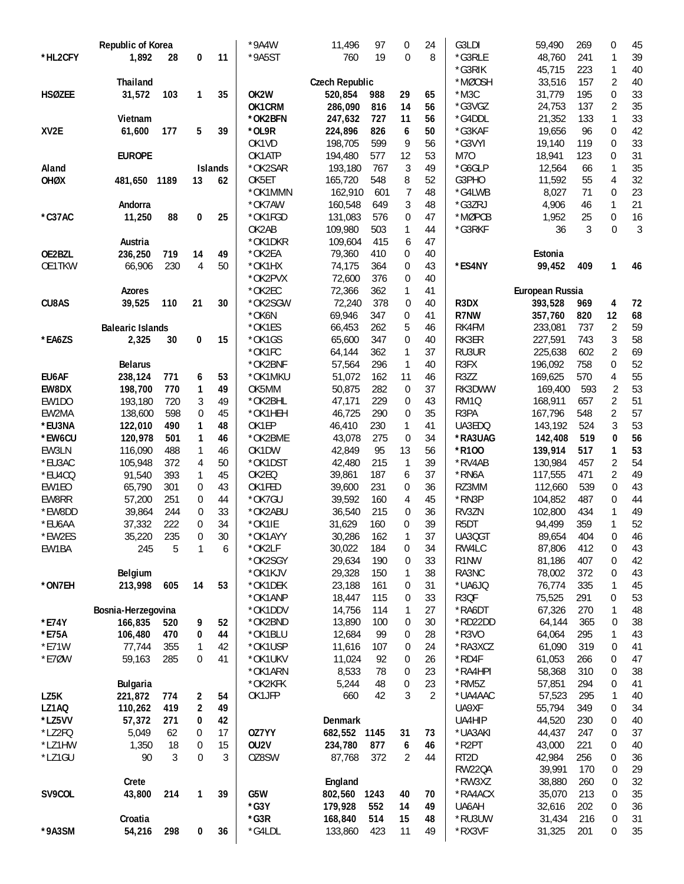|                 | Republic of Korea       |          |                  |                | $*9A4W$           | 11,496                  | 97         | 0                | 24       | G3LDI             | 59,490           | 269        | 0              | 45       |
|-----------------|-------------------------|----------|------------------|----------------|-------------------|-------------------------|------------|------------------|----------|-------------------|------------------|------------|----------------|----------|
| *HL2CFY         | 1,892                   | 28       | 0                | 11             | *9A5ST            | 760                     | 19         | $\overline{0}$   | 8        | *G3RLE            | 48,760           | 241        | 1              | 39       |
|                 |                         |          |                  |                |                   |                         |            |                  |          | *G3RIK            | 45,715           | 223        | 1              | 40       |
|                 | Thailand                |          |                  |                |                   | <b>Czech Republic</b>   |            |                  |          | *MØOSH            | 33,516           | 157        | 2              | 40       |
| <b>HSØZEE</b>   | 31,572                  | 103      | $\mathbf{1}$     | 35             | OK2W              | 520,854                 | 988        | 29               | 65       | $*$ M3C           | 31,779           | 195        | 0              | 33       |
|                 |                         |          |                  |                | OK1CRM            | 286,090                 | 816        | 14               | 56       | *G3VGZ            | 24,753           | 137        | 2              | 35       |
|                 | Vietnam                 |          |                  |                | *OK2BFN           | 247,632                 | 727        | 11               | 56       | *G4DDL            | 21,352           | 133        | 1              | 33       |
| XV2E            | 61,600                  | 177      | 5                | 39             | *OL9R             | 224,896                 | 826        | 6                | 50       | *G3KAF            | 19,656           | 96         | 0              | 42       |
|                 |                         |          |                  |                | OK1VD             | 198,705                 | 599        | 9                | 56       | *G3VYI            | 19,140           | 119        | 0              | 33       |
|                 | <b>EUROPE</b>           |          |                  |                | OK1ATP            | 194,480                 | 577        | 12               | 53       | <b>M70</b>        | 18.941           | 123        | 0              | 31       |
| Aland           |                         |          |                  | <b>Islands</b> | *OK2SAR           | 193,180                 | 767        | 3                | 49       | *G6GLP            | 12,564           | 66         | 1              | 35       |
| <b>OHØX</b>     | 481,650                 | 1189     | 13               | 62             | OK5ET             | 165,720                 | 548        | 8                | 52       | G3PHO             | 11,592           | 55         | 4              | 32       |
|                 |                         |          |                  |                | *OK1MMN           | 162,910                 | 601        | $\overline{7}$   | 48       | *G4LWB            | 8,027            | 71         | 0              | 23       |
|                 | Andorra                 |          |                  |                | *OK7AW            | 160,548                 | 649        | 3                | 48       | *G3ZRJ            | 4,906            | 46         | 1              | 21       |
| $*$ C37AC       | 11,250                  | 88       | 0                | 25             | *OK1FGD           | 131,083                 | 576        | 0                | 47       | *MØPCB            | 1,952            | 25         | 0              | 16       |
|                 | Austria                 |          |                  |                | OK2AB<br>*OK1DKR  | 109,980<br>109,604      | 503<br>415 | 1                | 44<br>47 | *G3RKF            | 36               | 3          | $\Omega$       | 3        |
| OE2BZL          | 236,250                 | 719      | 14               | 49             | *OK2EA            | 79,360                  | 410        | 6<br>0           | 40       |                   | Estonia          |            |                |          |
| OE1TKW          | 66,906                  | 230      | 4                | 50             | *OK1HX            | 74,175                  | 364        | 0                | 43       | *ES4NY            | 99,452           | 409        | 1              | 46       |
|                 |                         |          |                  |                | *OK2PVX           | 72,600                  | 376        | 0                | 40       |                   |                  |            |                |          |
|                 | <b>Azores</b>           |          |                  |                | *OK2EC            | 72,366                  | 362        | 1                | 41       |                   | European Russia  |            |                |          |
| CU8AS           | 39,525                  | 110      | 21               | 30             | *OK2SGW           | 72,240                  | 378        | 0                | 40       | R3DX              | 393,528          | 969        | 4              | 72       |
|                 |                         |          |                  |                | *OK6N             | 69,946                  | 347        | 0                | 41       | R7NW              | 357,760          | 820        | 12             | 68       |
|                 | <b>Balearic Islands</b> |          |                  |                | *OK1ES            | 66,453                  | 262        | 5                | 46       | RK4FM             | 233,081          | 737        | 2              | 59       |
| *EA6ZS          | 2,325                   | 30       | 0                | 15             | *OK1GS            | 65,600                  | 347        | $\mathbf 0$      | 40       | RK3ER             | 227,591          | 743        | 3              | 58       |
|                 |                         |          |                  |                | *OK1FC            | 64,144                  | 362        | $\mathbf{1}$     | 37       | RU3UR             | 225,638          | 602        | $\overline{2}$ | 69       |
|                 | <b>Belarus</b>          |          |                  |                | *OK2BNF           | 57,564                  | 296        | $\mathbf{1}$     | 40       | R3FX              | 196,092          | 758        | 0              | 52       |
| EU6AF           | 238,124                 | 771      | 6                | 53             | *OK1MKU           | 51,072                  | 162        | 11               | 46       | R3ZZ              | 169,625          | 570        | 4              | 55       |
| EW8DX           | 198,700                 | 770      | 1                | 49             | OK5MM             | 50,875                  | 282        | $\mathbf 0$      | 37       | RK3DWW            | 169,400          | 593        | $\overline{2}$ | 53       |
| EW1DO           | 193,180                 | 720      | 3                | 49             | *OK2BHL           | 47,171                  | 229        | 0                | 43       | RM <sub>10</sub>  | 168,911          | 657        | 2              | 51       |
| EW2MA           | 138,600                 | 598      | $\boldsymbol{0}$ | 45             | *OK1HEH           | 46,725                  | 290        | $\mathbf 0$      | 35       | R <sub>3</sub> PA | 167,796          | 548        | $\overline{2}$ | 57       |
| *EU3NA          | 122,010                 | 490      | $\mathbf{1}$     | 48             | OK1EP             | 46,410                  | 230        | 1                | 41       | UA3EDQ            | 143,192          | 524        | 3              | 53       |
| *EW6CU          | 120,978                 | 501      | 1                | 46             | *OK2BME           | 43,078                  | 275        | $\mathbf 0$      | 34       | *RA3UAG           | 142,408          | 519        | 0              | 56       |
| EW3LN           | 116,090                 | 488      | 1                | 46             | OK1DW             | 42,849                  | 95         | 13               | 56       | *R100             | 139,914          | 517        | 1              | 53       |
| *EU3AC          | 105,948                 | 372      | 4                | 50             | *OK1DST           | 42,480                  | 215        | 1                | 39       | *RV4AB            | 130,984          | 457        | 2              | 54       |
| *EU4CQ          | 91,540                  | 393      | 1                | 45             | OK2EQ             | 39,861                  | 187        | 6                | 37       | *RN6A             | 117,555          | 471        | 2              | 49       |
| EW1EO           | 65,790                  | 301      | $\boldsymbol{0}$ | 43             | OK1FED            | 39,600                  | 231        | 0                | 36       | RZ3MM             | 112,660          | 539        | $\mathbf 0$    | 43       |
| EW8RR           | 57,200                  | 251      | 0                | 44             | *OK7GU            | 39,592                  | 160        | 4                | 45       | *RN3P             | 104,852          | 487        | 0              | 44       |
| *EW8DD          | 39,864                  | 244      | 0                | 33             | *OK2ABU           | 36,540                  | 215        | $\mathbf 0$      | 36       | RV3ZN             | 102,800          | 434        | 1              | 49       |
| *EU6AA          | 37,332<br>35.220        | 222      | $\boldsymbol{0}$ | 34             | *OK1IE            | 31,629                  | 160        | 0                | 39       | R <sub>5</sub> DT | 94,499           | 359        | 1              | 52       |
| *EW2ES<br>EW1BA | 245                     | 235<br>5 | 0<br>1           | 30<br>6        | *OK1AYY<br>*OK2LF | 30,286<br>30,022        | 162<br>184 | 1<br>0           | 37<br>34 | UA3QGT<br>RW4LC   | 89,654<br>87,806 | 404<br>412 | 0<br>0         | 46<br>43 |
|                 |                         |          |                  |                | *OK2SGY           | 29,634                  | 190        | 0                | 33       | R1NW              | 81,186           | 407        | 0              | 42       |
|                 | Belgium                 |          |                  |                | *OK1KJV           | 29,328                  | 150        | 1                | 38       | RA3NC             | 78,002           | 372        | 0              | 43       |
| *ON7EH          | 213,998                 | 605      | 14               | 53             | *OK1DEK           | 23,188                  | 161        | 0                | 31       | *UA6JQ            | 76,774           | 335        | 1              | 45       |
|                 |                         |          |                  |                | *OK1ANP           | 18,447                  | 115        | 0                | 33       | R3QF              | 75,525           | 291        | 0              | 53       |
|                 | Bosnia-Herzegovina      |          |                  |                | *OK1DDV           | 14,756                  | 114        | 1                | 27       | *RA6DT            | 67,326           | 270        |                | 48       |
| *E74Y           | 166,835                 | 520      | 9                | 52             | *OK2BND           | 13,890                  | 100        | 0                | 30       | *RD22DD           | 64,144           | 365        | 0              | 38       |
| *E75A           | 106,480                 | 470      | 0                | 44             | *OK1BLU           | 12,684                  | 99         | 0                | 28       | *R3VO             | 64,064           | 295        |                | 43       |
| $*$ E71W        | 77,744                  | 355      | 1                | 42             | *OK1USP           | 11,616                  | 107        | $\boldsymbol{0}$ | 24       | *RA3XCZ           | 61,090           | 319        | 0              | 41       |
| *E7ØW           | 59,163                  | 285      | 0                | 41             | *OK1UKV           | 11,024                  | 92         | 0                | 26       | *RD4F             | 61,053           | 266        | 0              | 47       |
|                 |                         |          |                  |                | *OK1ARN           | 8,533                   | 78         | 0                | 23       | *RA4HPI           | 58,368           | 310        | 0              | 38       |
|                 | <b>Bulgaria</b>         |          |                  |                | *OK2KFK           | 5,244                   | 48         | 0                | 23       | *RM5Z             | 57,851           | 294        | 0              | 41       |
| LZ5K            | 221,872                 | 774      | 2                | 54             | OK1JFP            | 660                     | 42         | 3                | 2        | *UA4AAC           | 57,523           | 295        | 1              | 40       |
| LZ1AQ           | 110,262                 | 419      | 2                | 49             |                   |                         |            |                  |          | UA9XF             | 55,794           | 349        | 0              | 34       |
| *LZ5VV          | 57,372                  | 271      | 0                | 42             |                   | Denmark                 |            |                  |          | UA4HIP            | 44,520           | 230        | 0              | 40       |
| *LZ2FQ          | 5,049                   | 62       | 0                | 17             | OZ7YY             | 682,552 1145            |            | 31               | 73       | *UA3AKI           | 44,437           | 247        | 0              | 37       |
| *LZ1HW          | 1,350                   | 18       | 0                | 15             | OU2V              | 234,780                 | 877        | 6                | 46       | *R2PT             | 43,000           | 221        | 0              | 40       |
| *LZ1GU          | 90                      | 3        | 0                | 3              | OZ8SW             | 87,768                  | 372        | 2                | 44       | RT <sub>2</sub> D | 42,984           | 256        | 0              | 36       |
|                 |                         |          |                  |                |                   |                         |            |                  |          | <b>RW22QA</b>     | 39,991           | 170        | 0              | 29       |
| SV9COL          | Crete<br>43,800         | 214      | 1                | 39             | G5W               | England<br>802,560 1243 |            | 40               | 70       | *RW3XZ<br>*RA4ACX | 38,880           | 260<br>213 | 0<br>0         | 32<br>35 |
|                 |                         |          |                  |                | $*$ G3Y           | 179,928                 | 552        | 14               | 49       | UA6AH             | 35,070<br>32,616 | 202        | 0              | 36       |
|                 | Croatia                 |          |                  |                | $*G3R$            | 168,840                 | 514        | 15               | 48       | *RU3UW            | 31,434           | 216        | 0              | 31       |
| *9A3SM          | 54,216                  | 298      | 0                | 36             | *G4LDL            | 133,860                 | 423        | 11               | 49       | *RX3VF            | 31,325           | 201        | 0              | 35       |
|                 |                         |          |                  |                |                   |                         |            |                  |          |                   |                  |            |                |          |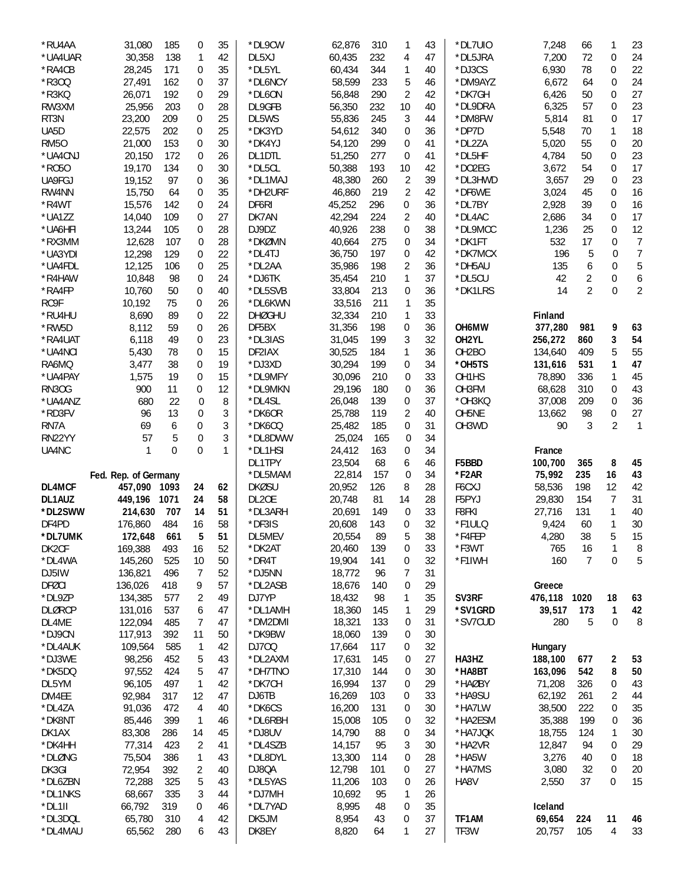| *RU4AA                 | 31,080               | 185            | 0                | 35                  | *DL9CW             | 62,876           | 310        | 1                | 43       | *DL7UIO            | 7,248           | 66             | $\mathbf{1}$      | 23                 |
|------------------------|----------------------|----------------|------------------|---------------------|--------------------|------------------|------------|------------------|----------|--------------------|-----------------|----------------|-------------------|--------------------|
| *UA4UAR                | 30,358               | 138            | 1                | 42                  | DL5XJ              | 60,435           | 232        | 4                | 47       | *DL5JRA            | 7,200           | 72             | $\mathbf 0$       | 24                 |
| *RA4CB                 | 28,245               | 171            | 0                | 35                  | *DL5YL             | 60,434           | 344        | 1                | 40       | *DJ3CS             | 6,930           | 78             | 0                 | 22                 |
| *R300                  | 27,491               | 162            | 0                | 37                  | *DL6NCY            | 58,599           | 233        | 5                | 46       | *DM9AYZ            | 6,672           | 64             | $\mathbf 0$       | 24                 |
| *R3KQ                  | 26,071               | 192            | 0                | 29                  | *DL6ON             | 56,848           | 290        | $\overline{2}$   | 42       | *DK7GH             | 6,426           | 50             | $\mathbf 0$       | 27                 |
| RW3XM                  | 25,956               | 203            | 0                | 28                  | DL9GFB             | 56,350           | 232        | 10               | 40       | *DL9DRA            | 6,325           | 57             | $\mathbf 0$       | 23                 |
| RT <sub>3</sub> N      | 23,200               | 209            | 0                | 25                  | DL5WS              | 55,836           | 245        | 3                | 44       | *DM8FW             | 5,814           | 81             | 0                 | 17                 |
| UA5D                   | 22,575               | 202            | 0                | 25                  | *DK3YD             | 54,612           | 340        | 0                | 36       | *DP7D              | 5,548           | 70             | 1                 | 18                 |
| <b>RM50</b>            | 21,000               | 153            | 0                | 30                  | *DK4YJ             | 54,120           | 299        | $\mathbf 0$      | 41       | *DL2ZA             | 5,020           | 55             | $\boldsymbol{0}$  | 20                 |
| *UA4CNJ                | 20,150               | 172            | 0                | 26                  | DL1DTL             | 51,250           | 277        | $\mathbf 0$      | 41       | *DL5HF             | 4,784           | 50             | 0                 | 23                 |
| *R050                  | 19,170               | 134            | 0                | 30                  | *DL5CL             | 50,388           | 193        | 10               | 42       | *DO2EG             | 3,672           | 54             | 0                 | 17                 |
| UA9FGJ                 | 19,152               | 97             | 0                | 36                  | *DL1MAJ            | 48,380           | 260        | 2                | 39       | *DL3HWD            | 3,657           | 29             | 0                 | 23                 |
| RW4NN                  | 15,750               | 64             | $\mathbf 0$      | 35                  | *DH2URF            | 46,860           | 219        | 2                | 42       | *DF6WE             | 3,024           | 45             | $\mathbf 0$       | 16                 |
| *R4WT                  | 15,576               | 142            | 0                | 24                  | DF6RI              | 45,252           | 296        | 0                | 36       | *DL7BY             | 2,928           | 39             | 0                 | 16                 |
| *UA1ZZ                 | 14,040               | 109            | 0                | 27                  | DK7AN              | 42,294           | 224        | $\overline{2}$   | 40       | *DL4AC             | 2,686           | 34             | $\mathbf 0$       | 17                 |
| *UA6HFI                | 13,244               | 105            | 0                | 28                  | DJ9DZ              | 40,926           | 238        | $\mathbf 0$      | 38       | *DL9MCC            | 1,236           | 25             | 0                 | 12                 |
| *RX3MM                 | 12,628               | 107            | 0                | 28                  | *DKØMN             | 40,664           | 275        | $\mathbf 0$      | 34       | *DK1FT             | 532             | 17             | 0                 | $\overline{7}$     |
| *UA3YDI                | 12,298               | 129            | 0                | 22                  | *DL4TJ             | 36,750           | 197        | 0                | 42       | *DK7MCX            | 196             | 5              | $\mathbf 0$       | $\overline{7}$     |
| *UA4FDL                | 12,125               | 106            | 0                | 25                  | *DL2AA             | 35,986           | 198        | $\overline{2}$   | 36       | *DH5AU             | 135             | 6              | 0                 | 5                  |
| *R4HAW                 | 10,848               | 98             | 0                | 24                  | *DJ6TK             | 35,454           | 210        | 1                | 37       | *DL5CU             | 42              | 2              | 0                 | $\boldsymbol{6}$   |
| *RA4FP                 | 10,760               | 50             | 0                | 40                  | *DL5SVB            | 33,804           | 213        | 0                | 36       | *DK1LRS            | 14              | $\overline{2}$ | 0                 | $\overline{2}$     |
| RC9F                   | 10,192               | 75             | 0                | 26                  | *DL6KWN            | 33,516           | 211        | 1                | 35       |                    |                 |                |                   |                    |
| *RU4HU                 | 8,690                | 89             | 0                | 22                  | <b>DHØGHU</b>      | 32,334           | 210        | 1                | 33       |                    | Finland         |                |                   |                    |
| *RW5D                  | 8,112                | 59             | 0                | 26                  | DF5BX              | 31,356           | 198        | 0                | 36       | OH6MW              | 377,280         | 981            | 9                 | 63                 |
| *RA4UAT                | 6,118                | 49             | 0                | 23                  | *DL3IAS            | 31,045           | 199        | 3                | 32       | OH <sub>2</sub> YL | 256,272         | 860            | 3                 | 54                 |
| *UA4NCI                | 5,430                | 78             | 0                | 15                  | DF2IAX             | 30,525           | 184        | 1                | 36       | OH <sub>2</sub> BO | 134,640         | 409            | 5                 | 55                 |
| RA6MQ                  | 3,477                | 38             | 0                | 19                  | *DJ3XD             | 30,294           | 199        | 0                | 34       | *OH5TS             | 131,616         | 531            | 1                 | 47                 |
| *UA4PAY                | 1,575                | 19             | 0                | 15                  | *DL9MFY            | 30,096           | 210        | $\mathbf 0$      | 33       | OH1HS              | 78,890          | 336            | 1                 | 45                 |
| <b>RN30G</b>           | 900                  | 11             | 0                | 12                  | *DL9MKN            | 29,196           | 180        | 0                | 36       | OH3FM              | 68,628          | 310            | 0                 | 43                 |
| *UA4ANZ<br>*RD3FV      | 680                  | 22             | $\mathbf 0$      | 8                   | *DL4SL             | 26,048           | 139        | 0                | 37<br>40 | *OH3KQ             | 37,008          | 209            | 0                 | 36                 |
|                        | 96                   | 13             | $\mathbf 0$      | 3<br>$\mathfrak{Z}$ | *DK6OR             | 25,788           | 119        | 2                |          | OH5NE              | 13,662          | 98             | 0                 | 27<br>$\mathbf{1}$ |
| RN7A<br>RN22YY         | 69<br>57             | 6<br>5         | 0<br>$\mathbf 0$ | $\mathfrak{Z}$      | *DK6CQ<br>*DL8DWW  | 25,482<br>25,024 | 185<br>165 | 0<br>0           | 31<br>34 | OH3WD              | 90              | 3              | 2                 |                    |
|                        |                      |                |                  |                     |                    |                  |            |                  |          |                    |                 |                |                   |                    |
|                        |                      |                |                  |                     |                    |                  |            |                  |          |                    |                 |                |                   |                    |
| UA4NC                  | 1                    | $\overline{0}$ | 0                | $\mathbf{1}$        | *DL1HSI            | 24,412           | 163        | $\mathbf 0$      | 34       |                    | France          |                |                   |                    |
|                        |                      |                |                  |                     | DL1TPY             | 23,504           | 68         | 6                | 46       | F5BBD              | 100,700         | 365            | 8                 | 45                 |
|                        | Fed. Rep. of Germany |                |                  |                     | *DL5MAM            | 22,814           | 157        | 0                | 34       | *F2AR              | 75,992          | 235            | 16                | 43                 |
| DL4MCF                 | 457,090 1093         |                | 24               | 62                  | <b>DKØSU</b>       | 20,952           | 126        | 8                | 28       | F6CXJ              | 58,536          | 198            | 12                | 42                 |
| DL1AUZ                 | 449,196 1071         |                | 24               | 58                  | DL <sub>2</sub> OE | 20,748           | 81         | 14               | 28       | F5PYJ              | 29,830          | 154            | 7                 | 31                 |
| *DL2SWW                | 214,630              | 707            | 14               | 51                  | *DL3ARH            | 20,691           | 149        | $\mathbf 0$      | 33       | F8FKI              | 27,716          | 131            | $\mathbf{1}$      | 40                 |
| DF4PD                  | 176,860              | 484            | 16<br>5          | 58                  | *DF3IS             | 20,608           | 143        | $\boldsymbol{0}$ | 32       | *F1ULQ             | 9,424           | 60             | $\mathbf{1}$<br>5 | 30                 |
| *DL7UMK                | 172,648 661          |                |                  | 51                  | DL5MEV             | 20,554           | 89         | 5                | 38       | *F4FEP             | 4,280           | 38             |                   | 15                 |
| DK2CF                  | 169,388              | 493            | 16               | 52                  | *DK2AT             | 20,460           | 139        | 0                | 33       | *F3WT              | 765             | 16             | 1                 | 8                  |
| *DL4WA                 | 145,260              | 525            | 10               | 50                  | *DR4T              | 19,904           | 141        | 0                | 32       | *F1IWH             | 160             | $\overline{7}$ | $\overline{0}$    | 5                  |
| DJ5IW                  | 136,821              | 496            | 7                | 52                  | *DJ5NN             | 18,772           | 96         | 7                | 31       |                    |                 |                |                   |                    |
| <b>DFØCI</b>           | 136,026              | 418            | 9                | 57                  | *DL2ASB            | 18,676           | 140        | 0<br>1           | 29       |                    | Greece          |                |                   |                    |
| *DL9ZP                 | 134,385              | 577            | 2<br>6           | 49                  | DJ7YP<br>*DL1AMH   | 18,432           | 98         | 1                | 35       | SV3RF<br>*SV1GRD   | 476,118<br>1020 |                | 18<br>1           | 63                 |
| <b>DLØRCP</b><br>DL4ME | 131,016<br>122,094   | 537<br>485     | 7                | 47<br>47            | *DM2DMI            | 18,360<br>18,321 | 145<br>133 | 0                | 29<br>31 | *SV7CUD            | 39,517<br>280   | 173<br>5       | 0                 | 42<br>8            |
| *DJ9CN                 | 117,913              | 392            | 11               | 50                  | *DK9BW             | 18,060           | 139        | 0                | 30       |                    |                 |                |                   |                    |
| *DL4AUK                | 109,564              | 585            | 1                | 42                  | DJ700              | 17,664           | 117        | 0                | 32       |                    | Hungary         |                |                   |                    |
| *DJ3WE                 | 98,256               | 452            | 5                | 43                  | *DL2AXM            | 17,631           | 145        | 0                | 27       | HA3HZ              | 188,100         | 677            | 2                 | 53                 |
| *DK5DQ                 | 97,552               | 424            | 5                | 47                  | *DH7TNO            | 17,310           | 144        | 0                | 30       | *HA8BT             | 163,096         | 542            | 8                 | 50                 |
| DL5YM                  | 96,105               | 497            | 1                | 42                  | *DK7CH             | 16,994           | 137        | 0                | 29       | *HAØBY             | 71,208          | 326            | 0                 | 43                 |
| DM4EE                  | 92,984               | 317            | 12               | 47                  | DJ6TB              | 16,269           | 103        | 0                | 33       | *HA9SU             | 62,192          | 261            | 2                 | 44                 |
| *DL4ZA                 | 91,036               | 472            | 4                | 40                  | *DK6CS             | 16,200           | 131        | 0                | 30       | *HA7LW             | 38,500          | 222            | 0                 | 35                 |
| *DK8NT                 | 85,446               | 399            | 1                | 46                  | *DL6RBH            | 15,008           | 105        | 0                | 32       | *HA2ESM            | 35,388          | 199            | 0                 | 36                 |
| DK1AX                  | 83,308               | 286            | 14               | 45                  | *DJ8UV             | 14,790           | 88         | 0                | 34       | *HA7JQK            | 18,755          | 124            | 1                 | 30                 |
| *DK4HH                 | 77,314               | 423            | $\overline{2}$   | 41                  | *DL4SZB            | 14,157           | 95         | 3                | 30       | *HA2VR             | 12,847          | 94             | 0                 | 29                 |
| *DLØNG                 | 75,504               | 386            | 1                | 43                  | *DL8DYL            | 13,300           | 114        | 0                | 28       | *HA5W              | 3,276           | 40             | 0                 | 18                 |
| DK3GI                  | 72,954               | 392            | 2                | 40                  | DJ8QA              | 12,798           | 101        | 0                | 27       | *HA7MS             | 3,080           | 32             | 0                 | 20                 |
| *DL6ZBN                | 72,288               | 325            | 5                | 43                  | *DL5YAS            | 11,206           | 103        | 0                | 26       | HA8V               | 2,550           | 37             | 0                 | 15                 |
| *DL1NKS                | 68,667               | 335            | 3                | 44                  | *DJ7MH             | 10,692           | 95         | 1                | 26       |                    |                 |                |                   |                    |
| *DL1II                 | 66,792               | 319            | 0                | 46                  | *DL7YAD            | 8,995            | 48         | 0                | 35       |                    | Iceland         |                |                   |                    |
| *DL3DQL                | 65,780               | 310            | 4                | 42                  | DK5JM              | 8,954            | 43         | 0                | 37       | TF1AM              | 69,654          | 224            | 11                | 46                 |
| *DL4MAU                | 65,562               | 280            | 6                | 43                  | DK8EY              | 8,820            | 64         | 1                | 27       | TF3W               | 20,757          | 105            | 4                 | 33                 |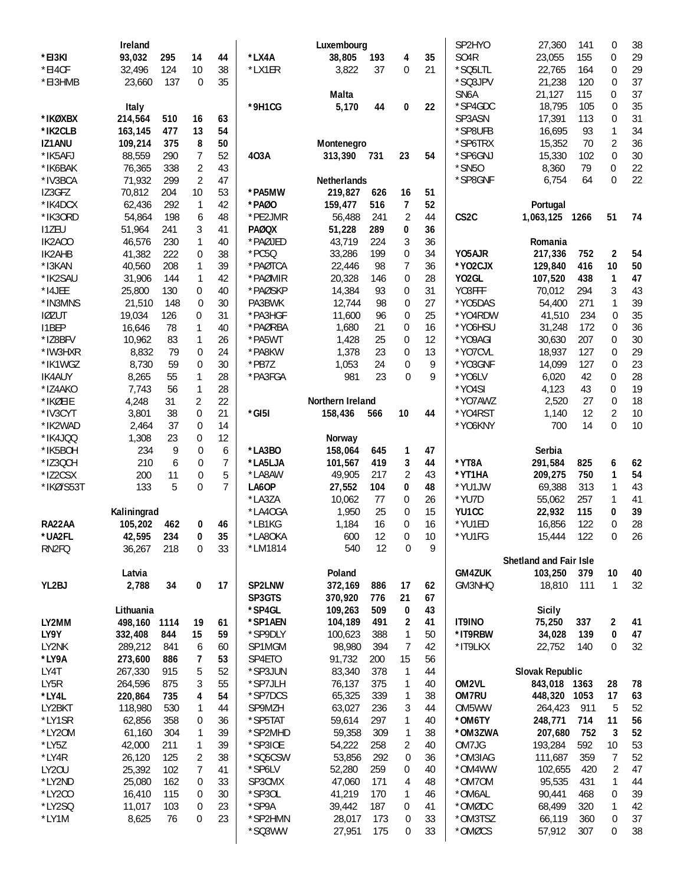|                    | Ireland            |             |                             |                |                    | Luxembourg         |            |                  |          | SP2HYO             | 27,360                 | 141        | 0            | 38       |
|--------------------|--------------------|-------------|-----------------------------|----------------|--------------------|--------------------|------------|------------------|----------|--------------------|------------------------|------------|--------------|----------|
| *EI3KI             | 93,032             | 295         | 14                          | 44             | *LX4A              | 38,805             | 193        | 4                | 35       | SO <sub>4</sub> R  | 23,055                 | 155        | 0            | 29       |
| *EI4CF             | 32,496             | 124         | 10                          | 38             | *LX1ER             | 3,822              | 37         | $\mathbf 0$      | 21       | *SQ5LTL            | 22,765                 | 164        | 0            | 29       |
| *EI3HMB            | 23,660             | 137         | $\mathbf 0$                 | 35             |                    |                    |            |                  |          | *SQ3JPV            | 21,238                 | 120        | 0            | 37       |
|                    |                    |             |                             |                |                    | Malta              |            |                  |          | SN6A               | 21,127                 | 115        | 0            | 37       |
|                    | Italy              |             |                             |                | *9H1CG             | 5,170              | 44         | $\bf{0}$         | 22       | *SP4GDC            | 18,795                 | 105        | 0            | 35<br>31 |
| *IKØXBX<br>*IK2CLB | 214,564<br>163,145 | 510<br>477  | 16<br>13                    | 63<br>54       |                    |                    |            |                  |          | SP3ASN<br>*SP8UFB  | 17,391<br>16,695       | 113<br>93  | 0<br>1       | 34       |
| IZ1ANU             | 109,214            | 375         | 8                           | 50             |                    | Montenegro         |            |                  |          | *SP6TRX            | 15,352                 | 70         | 2            | 36       |
| *IK5AFJ            | 88,559             | 290         | 7                           | 52             | 403A               | 313,390            | 731        | 23               | 54       | *SP6GNJ            | 15,330                 | 102        | 0            | 30       |
| *IK6BAK            | 76,365             | 338         | $\overline{2}$              | 43             |                    |                    |            |                  |          | <i>*SN50</i>       | 8,360                  | 79         | $\mathbf 0$  | 22       |
| *IV3BCA            | 71,932             | 299         | $\overline{2}$              | 47             |                    | <b>Netherlands</b> |            |                  |          | *SP8GNF            | 6,754                  | 64         | $\mathbf{0}$ | 22       |
| IZ3GFZ             | 70,812             | 204         | 10                          | 53             | *PA5MW             | 219,827            | 626        | 16               | 51       |                    |                        |            |              |          |
| *IK4DCX            | 62,436             | 292         | $\mathbf{1}$                | 42             | *PAØO              | 159,477            | 516        | $\overline{7}$   | 52       |                    | Portugal               |            |              |          |
| *IK30RD            | 54,864             | 198         | 6                           | 48             | *PE2JMR            | 56,488             | 241        | 2                | 44       | CS <sub>2</sub> C  | 1,063,125              | 1266       | 51           | 74       |
| <b>I1ZEU</b>       | 51,964             | 241         | 3                           | 41             | <b>PAØQX</b>       | 51,228             | 289        | 0                | 36       |                    |                        |            |              |          |
| IK2A00             | 46,576             | 230         | 1                           | 40             | *PAØJED            | 43,719             | 224        | 3                | 36       |                    | Romania                |            |              |          |
| IK2AHB             | 41,382             | 222         | $\mathbf 0$                 | 38             | *PC5Q              | 33,286             | 199        | 0                | 34       | Y05AJR             | 217,336                | 752        | 2            | 54       |
| *I3KAN             | 40,560             | 208         | 1                           | 39             | *PAØTCA            | 22,446             | 98         | 7                | 36       | *YO2CJX            | 129,840                | 416        | 10           | 50       |
| *IK2SAU            | 31,906             | 144         | $\mathbf{1}$                | 42             | *PAØMIR            | 20,328             | 146        | $\mathbf 0$      | 28       | Y02GL              | 107,520                | 438        | 1            | 47       |
| *I4JEE             | 25,800             | 130         | 0                           | 40             | *PAØSKP            | 14,384             | 93         | 0                | 31       | YO3FFF             | 70,012                 | 294        | 3            | 43       |
| *IN3MNS            | 21,510             | 148         | 0                           | 30             | PA3BWK             | 12,744             | 98         | 0                | 27       | *Y05DAS            | 54,400                 | 271        | 1            | 39       |
| <b>IØZUT</b>       | 19,034             | 126         | 0                           | 31             | *PA3HGF            | 11,600             | 96         | $\mathbf 0$      | 25       | *Y04RDW            | 41,510                 | 234        | $\mathbf 0$  | 35       |
| I1BEP              | 16,646             | 78          | 1                           | 40             | *PAØRBA            | 1,680              | 21         | 0                | 16       | *Y06HSU            | 31,248                 | 172        | 0            | 36       |
| *IZ8BFV<br>*IW3HXR | 10,962<br>8,832    | 83<br>79    | $\mathbf{1}$<br>$\mathbf 0$ | 26<br>24       | *PA5WT<br>*PA8KW   | 1,428<br>1,378     | 25<br>23   | 0<br>0           | 12<br>13 | *Y09AGI<br>*YO7CVL | 30,630<br>18,937       | 207<br>127 | 0<br>0       | 30<br>29 |
| *IK1WGZ            | 8,730              | 59          | $\mathbf 0$                 | 30             | *PB7Z              | 1,053              | 24         | 0                | 9        | *YO3GNF            | 14,099                 | 127        | 0            | 23       |
| <b>IK4AUY</b>      | 8,265              | 55          | $\mathbf{1}$                | 28             | *PA3FGA            | 981                | 23         | 0                | 9        | *Y06LV             | 6,020                  | 42         | 0            | 28       |
| *IZ4AKO            | 7,743              | 56          | $\mathbf{1}$                | 28             |                    |                    |            |                  |          | *Y04SI             | 4,123                  | 43         | $\mathbf 0$  | 19       |
| *IKØEIE            | 4,248              | 31          | 2                           | 22             |                    | Northern Ireland   |            |                  |          | *YO7AWZ            | 2,520                  | 27         | $\mathbf 0$  | 18       |
| *IV3CYT            | 3,801              | 38          | $\boldsymbol{0}$            | 21             | *GI5I              | 158,436            | 566        | 10               | 44       | *Y04RST            | 1,140                  | 12         | 2            | 10       |
| *IK2WAD            | 2,464              | 37          | 0                           | 14             |                    |                    |            |                  |          | *Y06KNY            | 700                    | 14         | $\mathbf 0$  | 10       |
| *IK4JQQ            | 1,308              | 23          | 0                           | 12             |                    | Norway             |            |                  |          |                    |                        |            |              |          |
| *IK5BOH            | 234                | 9           | 0                           | 6              | *LA3BO             | 158,064            | 645        | 1                | 47       |                    | Serbia                 |            |              |          |
|                    |                    |             |                             |                |                    |                    |            |                  |          |                    |                        |            |              |          |
| *IZ3QCH            | 210                | 6           | 0                           | 7              | *LA5LJA            | 101,567            | 419        | 3                | 44       | *YT8A              | 291,584                | 825        | 6            | 62       |
| *IZ2CSX            | 200                | 11          | 0                           | 5              | *LA8AW             | 49,905             | 217        | 2                | 43       | *YT1HA             | 209,275                | 750        | 1            | 54       |
| *IKØ/S53T          | 133                | 5           | 0                           | $\overline{7}$ | LA60P              | 27,552             | 104        | 0                | 48       | *YU1JW             | 69,388                 | 313        | 1            | 43       |
|                    |                    |             |                             |                | *LA3ZA             | 10,062             | 77         | $\mathbf 0$      | 26       | *YU7D              | 55,062                 | 257        | 1            | 41       |
|                    | Kaliningrad        |             |                             |                | *LA40GA            | 1,950              | 25         | $\mathbf 0$      | 15       | YU1CC              | 22,932                 | 115        | 0            | 39       |
| RA22AA             | 105,202            | 462         | 0                           | 46             | *LB1KG             | 1,184              | 16         | $\overline{0}$   | 16       | *YU1ED             | 16,856                 | 122        | 0            | 28       |
| *UA2FL             | 42,595             | 234         | 0                           | 35             | *LA8OKA            | 600                | 12         | 0                | 10       | *YU1FG             | 15,444                 | 122        | 0            | 26       |
| RN2FQ              | 36,267             | 218         | $\mathbf 0$                 | 33             | *LM1814            | 540                | 12         | $\boldsymbol{0}$ | 9        |                    |                        |            |              |          |
|                    |                    |             |                             |                |                    |                    |            |                  |          |                    | Shetland and Fair Isle |            |              |          |
|                    | Latvia             |             |                             |                |                    | Poland             |            |                  |          | <b>GM4ZUK</b>      | 103,250                | 379        | 10           | 40       |
| YL2BJ              | 2,788              | 34          | 0                           | 17             | SP2LNW             | 372,169            | 886        | 17               | 62       | GM3NHQ             | 18,810                 | 111        | $\mathbf{1}$ | 32       |
|                    |                    |             |                             |                | SP3GTS             | 370,920            | 776        | 21               | 67       |                    |                        |            |              |          |
|                    | Lithuania          |             |                             |                | *SP4GL             | 109,263            | 509        | 0<br>2           | 43       |                    | <b>Sicily</b>          |            | 2            |          |
| LY2MM<br>LY9Y      | 498,160<br>332,408 | 1114<br>844 | 19<br>15                    | 61<br>59       | *SP1AEN<br>*SP9DLY | 104,189<br>100,623 | 491<br>388 | 1                | 41<br>50 | IT9INO<br>*IT9RBW  | 75,250<br>34,028       | 337<br>139 | 0            | 41<br>47 |
| LY2NK              | 289,212            | 841         | 6                           | 60             | SP1MGM             | 98,980             | 394        | 7                | 42       | *IT9LKX            | 22,752                 | 140        | 0            | 32       |
| *LY9A              | 273,600            | 886         | 7                           | 53             | SP4ETO             | 91,732             | 200        | 15               | 56       |                    |                        |            |              |          |
| LY4T               | 267,330            | 915         | 5                           | 52             | *SP3JUN            | 83,340             | 378        | 1                | 44       |                    | <b>Slovak Republic</b> |            |              |          |
| LY5R               | 264,596            | 875         | 3                           | 55             | *SP7JLH            | 76,137             | 375        | 1                | 40       | OM2VL              | 843,018 1363           |            | 28           | 78       |
| *LY4L              | 220,864            | 735         | 4                           | 54             | *SP7DCS            | 65,325             | 339        | 1                | 38       | OM7RU              | 448,320 1053           |            | 17           | 63       |
| LY2BKT             | 118,980            | 530         | $\mathbf{1}$                | 44             | SP9MZH             | 63,027             | 236        | 3                | 44       | OM5WW              | 264,423                | 911        | 5            | 52       |
| *LY1SR             | 62,856             | 358         | $\boldsymbol{0}$            | 36             | *SP5TAT            | 59,614             | 297        | 1                | 40       | *OM6TY             | 248,771                | 714        | 11           | 56       |
| *LY20M             | 61,160             | 304         | $\mathbf{1}$                | 39             | *SP2MHD            | 59,358             | 309        | 1                | 38       | *OM3ZWA            | 207,680                | 752        | 3            | 52       |
| *LY5Z              | 42,000             | 211         | 1                           | 39             | *SP3IOE            | 54,222             | 258        | 2                | 40       | OM7JG              | 193,284                | 592        | 10           | 53       |
| *LY4R              | 26,120             | 125         | $\overline{2}$              | 38             | *SQ5CSW            | 53,856             | 292        | 0                | 36       | *OM3IAG            | 111,687                | 359        | 7            | 52       |
| LY20U              | 25,392             | 102         | 7                           | 41             | *SP6LV             | 52,280             | 259        | 0                | 40       | *OM4WW             | 102,655                | 420        | 2            | 47       |
| *LY2ND             | 25,080             | 162         | $\boldsymbol{0}$            | 33             | SP3CMX             | 47,060             | 171        | 4                | 48       | *OM70M             | 95,535                 | 431        | 1            | 44       |
| *LY2CO             | 16,410             | 115         | 0                           | 30             | *SP30L             | 41,219             | 170        | 1                | 46       | *OM6AL             | 90,441                 | 468        | 0            | 39       |
| *LY2SQ             | 11,017             | 103         | 0                           | 23             | *SP9A              | 39,442             | 187        | 0                | 41       | *OMØDC             | 68,499                 | 320        | 1            | 42       |
| *LY1M              | 8,625              | 76          | 0                           | 23             | *SP2HMN<br>*SQ3WW  | 28,017<br>27,951   | 173<br>175 | 0<br>0           | 33<br>33 | *OM3TSZ<br>*OMØCS  | 66,119<br>57,912       | 360<br>307 | 0<br>0       | 37<br>38 |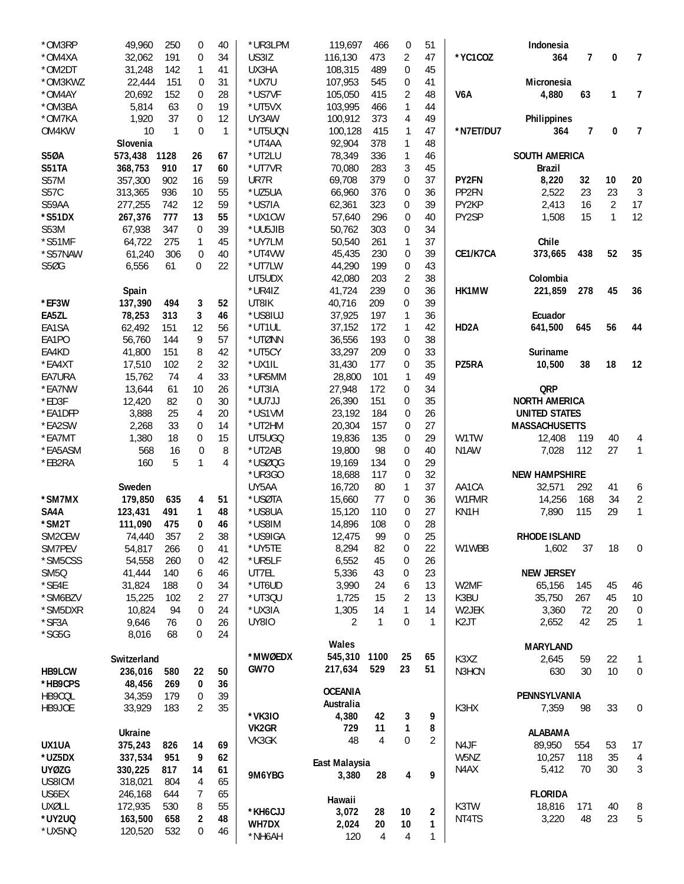| *OM3RP           | 49,960      | 250          | 0                       | 40           | *UR3LPM | 119,697        | 466          | 0                | 51          |                   | Indonesia            |                |                |                  |
|------------------|-------------|--------------|-------------------------|--------------|---------|----------------|--------------|------------------|-------------|-------------------|----------------------|----------------|----------------|------------------|
| *OM4XA           | 32,062      | 191          | 0                       | 34           | US3IZ   | 116,130        | 473          | $\overline{2}$   | 47          | *YC1COZ           | 364                  | $\overline{7}$ | 0              | 7                |
| *OM2DT           | 31,248      | 142          | 1                       | 41           | UX3HA   | 108,315        | 489          | $\mathbf 0$      | 45          |                   |                      |                |                |                  |
| *OM3KWZ          | 22,444      | 151          | $\mathbf 0$             | 31           | *UX7U   | 107,953        | 545          | 0                | 41          |                   | Micronesia           |                |                |                  |
| *OM4AY           | 20,692      | 152          | 0                       | 28           | *US7VF  | 105,050        | 415          | $\overline{2}$   | 48          | V6A               | 4,880                | 63             | 1              | $\overline{7}$   |
| *OM3BA           | 5,814       | 63           | 0                       | 19           | *UT5VX  | 103,995        | 466          | 1                | 44          |                   |                      |                |                |                  |
| *OM7KA           | 1,920       | 37           | $\boldsymbol{0}$        | 12           | UY3AW   | 100,912        | 373          | 4                | 49          |                   | Philippines          |                |                |                  |
| OM4KW            | 10          | $\mathbf{1}$ | $\overline{0}$          | $\mathbf{1}$ | *UT5UQN | 100,128        | 415          | 1                | 47          | *N7ET/DU7         | 364                  | $\overline{7}$ | 0              | 7                |
|                  | Slovenia    |              |                         |              | *UT4AA  | 92,904         | 378          | 1                | 48          |                   |                      |                |                |                  |
| <b>S50A</b>      | 573,438     | 1128         | 26                      | 67           | *UT2LU  | 78,349         | 336          | $\mathbf{1}$     | 46          |                   | <b>SOUTH AMERICA</b> |                |                |                  |
| S51TA            | 368,753     | 910          | 17                      | 60           | *UT7VR  | 70,080         | 283          | $\mathfrak{Z}$   | 45          |                   | <b>Brazil</b>        |                |                |                  |
| S57M             | 357,300     | 902          | 16                      | 59           | UR7R    | 69,708         | 379          | 0                | 37          | PY2FN             | 8,220                | 32             | 10             | 20               |
| S57C             | 313,365     | 936          | 10                      | 55           | *UZ5UA  | 66,960         | 376          | 0                | 36          | PP2FN             | 2,522                | 23             | 23             | $\overline{3}$   |
| S59AA            | 277,255     | 742          | 12                      | 59           | *US7IA  | 62,361         | 323          | 0                | 39          | PY2KP             | 2,413                | 16             | $\overline{2}$ | 17               |
| *S51DX           | 267,376     | 777          | 13                      | 55           | *UX1CW  | 57,640         | 296          | $\mathbf 0$      | 40          | PY2SP             | 1,508                | 15             | $\mathbf{1}$   | 12               |
| <b>S53M</b>      | 67,938      | 347          | 0                       | 39           | *UU5JIB | 50,762         | 303          | 0                | 34          |                   |                      |                |                |                  |
| *S51MF           | 64,722      | 275          | 1                       | 45           | *UY7LM  | 50,540         | 261          | 1                | 37          |                   | Chile                |                |                |                  |
| *S57NAW          | 61,240      | 306          | $\mathbf 0$             | 40           | *UT4VW  | 45,435         | 230          | $\mathbf 0$      | 39          | CE1/K7CA          | 373,665              | 438            | 52             | 35               |
| S5ØG             | 6,556       | 61           | 0                       | 22           | *UT7LW  | 44,290         | 199          | 0                | 43          |                   |                      |                |                |                  |
|                  |             |              |                         |              | UT5UDX  | 42,080         | 203          | $\overline{2}$   | 38          |                   | Colombia             |                |                |                  |
|                  | Spain       |              |                         |              | *UR4IZ  | 41,724         | 239          | 0                | 36          | HK1MW             | 221,859              | 278            | 45             | 36               |
| *EF3W            | 137,390     | 494          | 3                       | 52           | UT8IK   | 40,716         | 209          | 0                | 39          |                   |                      |                |                |                  |
| EA5ZL            | 78,253      | 313          | 3                       | 46           | *US8IUJ | 37,925         | 197          | 1                | 36          |                   | Ecuador              |                |                |                  |
| EA1SA            |             | 151          | 12                      | 56           | *UT1UL  |                | 172          | 1                | 42          | HD <sub>2</sub> A | 641,500              | 645            | 56             | 44               |
|                  | 62,492      | 144          |                         | 57           |         | 37,152         | 193          |                  |             |                   |                      |                |                |                  |
| EA1PO            | 56,760      |              | 9                       |              | *UTØNN  | 36,556         |              | $\boldsymbol{0}$ | 38          |                   |                      |                |                |                  |
| EA4KD            | 41,800      | 151          | 8                       | 42           | *UT5CY  | 33,297         | 209          | 0                | 33          | PZ5RA             | Suriname             |                |                |                  |
| *EA4XT           | 17,510      | 102          | $\overline{2}$          | 32           | *UX1IL  | 31,430         | 177          | 0                | 35          |                   | 10,500               | 38             | 18             | 12               |
| EA7URA           | 15,762      | 74           | $\overline{4}$          | 33           | *UR5MM  | 28,800         | 101          | 1                | 49          |                   |                      |                |                |                  |
| *EA7NW           | 13,644      | 61           | 10                      | 26           | *UT3IA  | 27,948         | 172          | 0                | 34          |                   | QRP                  |                |                |                  |
| *ED3F            | 12,420      | 82           | 0                       | 30           | *UU7JJ  | 26,390         | 151          | 0                | 35          |                   | <b>NORTH AMERICA</b> |                |                |                  |
| *EA1DFP          | 3,888       | 25           | $\overline{4}$          | 20           | *US1VM  | 23,192         | 184          | $\mathbf 0$      | 26          |                   | <b>UNITED STATES</b> |                |                |                  |
| *EA2SW           | 2,268       | 33           | $\boldsymbol{0}$        | 14           | *UT2HM  | 20,304         | 157          | $\mathbf 0$      | 27          |                   | <b>MASSACHUSETTS</b> |                |                |                  |
| *EA7MT           | 1,380       | 18           | 0                       | 15           | UT5UGQ  | 19,836         | 135          | $\mathbf 0$      | 29          | W1TW              | 12,408               | 119            | 40             | 4                |
| *EA5ASM          | 568         | 16           | $\mathbf 0$             | 8            | *UT2AB  | 19,800         | 98           | 0                | 40          | N <sub>1</sub> AW | 7,028                | 112            | 27             | $\mathbf{1}$     |
| *EB2RA           | 160         | 5            | $\mathbf{1}$            | 4            | *USØQG  | 19,169         | 134          | 0                | 29          |                   |                      |                |                |                  |
|                  |             |              |                         |              | *UR3GO  | 18,688         | 117          | $\boldsymbol{0}$ | 32          |                   | <b>NEW HAMPSHIRE</b> |                |                |                  |
|                  | Sweden      |              |                         |              | UY5AA   | 16,720         | 80           | 1                | 37          | AA1CA             | 32,571               | 292            | 41             | 6                |
| *SM7MX           | 179,850     | 635          | 4                       | 51           | *USØTA  | 15,660         | 77           | 0                | 36          | W1FMR             | 14,256               | 168            | 34             | $\overline{c}$   |
| SA4A             | 123,431     | 491          | 1                       | 48           | *US8UA  | 15,120         | 110          | $\mathbf 0$      | 27          | KN1H              | 7,890                | 115            | 29             | 1                |
| *SM2T            | 111,090     | 475          | 0                       | 46           | *US8IM  | 14,896         | 108          | $\boldsymbol{0}$ | 28          |                   |                      |                |                |                  |
| SM2CEW           | 74,440      | 357          | 2                       | 38           | *US9IGA | 12,475         | 99           | $\overline{0}$   | 25          |                   | RHODE ISLAND         |                |                |                  |
| SM7PEV           | 54,817      | 266          | 0                       | 41           | *UY5TE  | 8,294          | 82           | 0                | 22          | W1WBB             | 1,602                | 37             | 18             | 0                |
| *SM5CSS          | 54,558      | 260          | $\boldsymbol{0}$        | 42           | *UR5LF  | 6,552          | 45           | 0                | 26          |                   |                      |                |                |                  |
| SM <sub>50</sub> | 41,444      | 140          | 6                       | 46           | UT7EL   | 5,336          | 43           | 0                | 23          |                   | <b>NEW JERSEY</b>    |                |                |                  |
| *SE4E            | 31,824      | 188          | 0                       | 34           | *UT6UD  | 3,990          | 24           | 6                | 13          | W2MF              | 65,156               | 145            | 45             | 46               |
| *SM6BZV          | 15,225      | 102          | 2                       | 27           | *UT3QU  | 1,725          | 15           | 2                | 13          | K3BU              | 35,750               | 267            | 45             | 10               |
| *SM5DXR          | 10,824      | 94           | 0                       | 24           | *UX3IA  | 1,305          | 14           | 1                | 14          | W2JEK             | 3,360                | 72             | 20             | $\boldsymbol{0}$ |
| *SF3A            | 9,646       | 76           | 0                       | 26           | UY8IO   | $\overline{2}$ | $\mathbf{1}$ | $\overline{0}$   | 1           | K <sub>2</sub> JT | 2,652                | 42             | 25             | 1                |
| *SG5G            | 8,016       | 68           | 0                       | 24           |         |                |              |                  |             |                   |                      |                |                |                  |
|                  |             |              |                         |              |         | Wales          |              |                  |             |                   | <b>MARYLAND</b>      |                |                |                  |
|                  | Switzerland |              |                         |              | *MWØEDX | 545,310        | 1100         | 25               | 65          | K3XZ              | 2,645                | 59             | 22             | 1                |
| HB9LCW           | 236,016     | 580          | 22                      | 50           | GW70    | 217,634        | 529          | 23               | 51          | N3HCN             | 630                  | 30             | 10             | $\boldsymbol{0}$ |
| *HB9CPS          | 48,456      | 269          | 0                       | 36           |         |                |              |                  |             |                   |                      |                |                |                  |
| HB9CQL           | 34,359      | 179          | 0                       | 39           |         | <b>OCEANIA</b> |              |                  |             |                   | PENNSYLVANIA         |                |                |                  |
| HB9JOE           | 33,929      | 183          | 2                       | 35           |         | Australia      |              |                  |             | K3HX              | 7,359                | 98             | 33             | 0                |
|                  |             |              |                         |              | *VK3I0  | 4,380          | 42           | 3                | 9           |                   |                      |                |                |                  |
|                  | Ukraine     |              |                         |              | VK2GR   | 729            | 11           | 1                | 8           |                   | <b>ALABAMA</b>       |                |                |                  |
| UX1UA            | 375,243     | 826          | 14                      | 69           | VK3GK   | 48             | 4            | 0                | 2           | N4JF              | 89,950               | 554            | 53             | 17               |
| *UZ5DX           | 337,534     | 951          | 9                       | 62           |         |                |              |                  |             | W5NZ              | 10,257               | 118            | 35             | 4                |
| <b>UYØZG</b>     | 330,225     | 817          | 14                      | 61           |         | East Malaysia  |              |                  |             | N4AX              | 5,412                | 70             | 30             | 3                |
| US8ICM           | 318,021     | 804          | 4                       | 65           | 9M6YBG  | 3,380          | 28           | 4                | 9           |                   |                      |                |                |                  |
| US6EX            | 246,168     | 644          | 7                       | 65           |         |                |              |                  |             |                   | <b>FLORIDA</b>       |                |                |                  |
| <b>UXØLL</b>     | 172,935     | 530          | 8                       | 55           |         | Hawaii         |              |                  |             | K3TW              | 18,816               | 171            | 40             | 8                |
| *UY2UQ           | 163,500     | 658          | $\overline{\mathbf{c}}$ | 48           | *KH6CJJ | 3,072          | 28           | 10               | $\mathbf 2$ | NT4TS             | 3,220                | 48             | 23             | 5                |
| *UX5NQ           | 120,520     | 532          | 0                       | 46           | WH7DX   | 2,024          | 20           | 10               | 1           |                   |                      |                |                |                  |
|                  |             |              |                         |              | *NH6AH  | 120            | 4            | 4                | 1           |                   |                      |                |                |                  |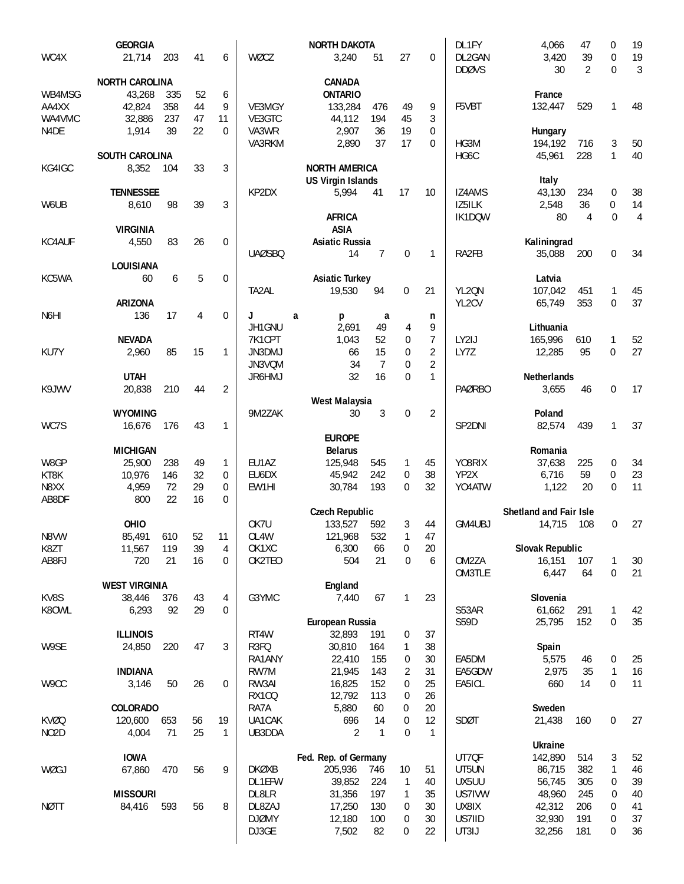|                   | <b>GEORGIA</b>        |     |    |                |                       | <b>NORTH DAKOTA</b>      |                |                  |                  | DL1FY           | 4,066                  | 47             | 0                | 19             |
|-------------------|-----------------------|-----|----|----------------|-----------------------|--------------------------|----------------|------------------|------------------|-----------------|------------------------|----------------|------------------|----------------|
| WC4X              | 21,714                | 203 | 41 | 6              | WØCZ                  | 3,240                    | 51             | 27               | $\mathbf 0$      | DL2GAN          | 3,420                  | 39             | $\boldsymbol{0}$ | 19             |
|                   |                       |     |    |                |                       |                          |                |                  |                  | <b>DDØVS</b>    | 30                     | $\overline{2}$ | $\Omega$         | 3              |
|                   | <b>NORTH CAROLINA</b> |     |    |                |                       | <b>CANADA</b>            |                |                  |                  |                 |                        |                |                  |                |
| WB4MSG            | 43,268                | 335 | 52 | 6              |                       | <b>ONTARIO</b>           |                |                  |                  |                 | France                 |                |                  |                |
| AA4XX             | 42,824                | 358 | 44 | 9              | VE3MGY                | 133,284                  | 476            | 49               | 9                | F5VBT           | 132,447                | 529            | 1                | 48             |
| WA4VMC            | 32,886                | 237 | 47 | 11             | VE3GTC                | 44,112                   | 194            | 45               | 3                |                 |                        |                |                  |                |
| N4DE              | 1,914                 | 39  | 22 | $\Omega$       | VA3WR                 | 2,907                    | 36             | 19               | $\boldsymbol{0}$ |                 | Hungary                |                |                  |                |
|                   |                       |     |    |                | VA3RKM                | 2,890                    | 37             | 17               | $\overline{0}$   | HG3M            | 194,192                | 716            | 3                | 50             |
|                   | SOUTH CAROLINA        |     |    |                |                       |                          |                |                  |                  | HG6C            | 45,961                 | 228            | $\mathbf{1}$     | 40             |
| KG4IGC            | 8,352                 | 104 | 33 | 3              |                       | <b>NORTH AMERICA</b>     |                |                  |                  |                 |                        |                |                  |                |
|                   |                       |     |    |                |                       | <b>US Virgin Islands</b> |                |                  |                  |                 | Italy                  |                |                  |                |
|                   | <b>TENNESSEE</b>      |     |    |                | KP2DX                 | 5,994                    | 41             | 17               | 10               | IZ4AMS          | 43,130                 | 234            | $\mathbf 0$      | 38             |
| W6UB              | 8,610                 | 98  | 39 | 3              |                       |                          |                |                  |                  | IZ5ILK          | 2,548                  | 36             | 0                | 14             |
|                   |                       |     |    |                |                       | <b>AFRICA</b>            |                |                  |                  | IK1DOW          | 80                     | $\overline{4}$ | $\Omega$         | $\overline{4}$ |
|                   | <b>VIRGINIA</b>       |     |    |                |                       | <b>ASIA</b>              |                |                  |                  |                 |                        |                |                  |                |
| KC4AUF            | 4,550                 | 83  | 26 | $\mathbf 0$    |                       | <b>Asiatic Russia</b>    |                |                  |                  |                 | Kaliningrad            |                |                  |                |
|                   |                       |     |    |                | <b>UAØSBQ</b>         | 14                       | $\overline{7}$ | $\overline{0}$   | $\mathbf{1}$     | RA2FB           | 35,088                 | 200            | $\mathbf 0$      | 34             |
|                   | LOUISIANA             |     |    |                |                       |                          |                |                  |                  |                 |                        |                |                  |                |
| KC5WA             | 60                    | 6   | 5  | $\mathbf 0$    |                       | <b>Asiatic Turkey</b>    |                |                  |                  |                 | Latvia                 |                |                  |                |
|                   |                       |     |    |                | TA2AL                 | 19,530                   | 94             | $\boldsymbol{0}$ | 21               | YL2QN           | 107,042                | 451            | $\mathbf{1}$     | 45             |
|                   | <b>ARIZONA</b>        |     |    |                |                       |                          |                |                  |                  | YL2CV           | 65,749                 | 353            | $\boldsymbol{0}$ | 37             |
| N6HI              | 136                   | 17  | 4  | $\overline{0}$ | J                     | a<br>p                   | a              |                  | n                |                 |                        |                |                  |                |
|                   |                       |     |    |                | JH1GNU                | 2,691                    | 49             | 4                | 9                |                 | Lithuania              |                |                  |                |
|                   | <b>NEVADA</b>         |     |    |                | 7K1CPT                | 1,043                    | 52             | 0                | $\overline{7}$   | LY2IJ           | 165,996                | 610            | $\mathbf{1}$     | 52             |
| KU7Y              | 2,960                 | 85  | 15 | $\mathbf{1}$   | JN3DMJ                | 66                       | 15             | $\boldsymbol{0}$ | $\overline{2}$   | LY7Z            | 12,285                 | 95             | $\Omega$         | 27             |
|                   |                       |     |    |                | JN3VQM                | 34                       | $\overline{7}$ | 0                | 2                |                 |                        |                |                  |                |
|                   | <b>UTAH</b>           |     |    |                | JR6HMJ                | 32                       | 16             | $\overline{0}$   | $\mathbf{1}$     |                 | Netherlands            |                |                  |                |
| K9JWV             | 20,838                | 210 | 44 | $\overline{2}$ |                       |                          |                |                  |                  | <b>PAØRBO</b>   | 3,655                  | 46             | $\overline{0}$   | 17             |
|                   |                       |     |    |                |                       | <b>West Malaysia</b>     |                |                  |                  |                 |                        |                |                  |                |
|                   | <b>WYOMING</b>        |     |    |                | 9M2ZAK                | 30                       | 3              | $\boldsymbol{0}$ | $\overline{2}$   |                 | Poland                 |                |                  |                |
|                   |                       |     |    | $\mathbf{1}$   |                       |                          |                |                  |                  | SP2DNI          |                        |                | $\mathbf{1}$     | 37             |
| WC7S              | 16,676                | 176 | 43 |                |                       | <b>EUROPE</b>            |                |                  |                  |                 | 82,574                 | 439            |                  |                |
|                   |                       |     |    |                |                       |                          |                |                  |                  |                 |                        |                |                  |                |
|                   | <b>MICHIGAN</b>       |     |    |                |                       | <b>Belarus</b>           |                |                  |                  |                 | Romania                |                |                  |                |
| W8GP              | 25,900                | 238 | 49 | 1              | EU1AZ                 | 125,948                  | 545            | 1                | 45               | Y08RIX          | 37,638                 | 225            | $\mathbf 0$      | 34             |
| KT8K              | 10,976                | 146 | 32 | $\mathbf{0}$   | EU6DX                 | 45,942                   | 242            | 0                | 38               | YP2X            | 6,716                  | 59             | $\mathbf{0}$     | 23             |
| N8XX              | 4,959                 | 72  | 29 | 0              | EW1HI                 | 30,784                   | 193            | $\mathbf 0$      | 32               | YO4ATW          | 1,122                  | 20             | $\mathbf 0$      | 11             |
| AB8DF             | 800                   | 22  | 16 | $\Omega$       |                       |                          |                |                  |                  |                 |                        |                |                  |                |
|                   |                       |     |    |                |                       | <b>Czech Republic</b>    |                |                  |                  |                 | Shetland and Fair Isle |                |                  |                |
|                   | OHIO                  |     |    |                | OK7U                  | 133,527                  | 592            | $\sqrt{3}$       | 44               | GM4UBJ          | 14,715                 | 108            | $\overline{0}$   | 27             |
| N8VW              | 85,491                | 610 | 52 | 11             | OL4W                  | 121.968                  | 532            |                  | 47               |                 |                        |                |                  |                |
| K8ZT              | 11,567                | 119 | 39 | 4              | OK1XC                 | 6,300                    | 66             | $\boldsymbol{0}$ | 20               |                 | Slovak Republic        |                |                  |                |
| AB8FJ             | 720                   | 21  | 16 | 0              | OK2TEO                | 504                      | 21             | $\mathbf 0$      | 6                | OM2ZA           | 16,151                 | 107            | $\mathbf{1}$     | 30             |
|                   |                       |     |    |                |                       |                          |                |                  |                  | OM3TLE          | 6,447                  | 64             | 0                | 21             |
|                   | <b>WEST VIRGINIA</b>  |     |    |                |                       | England                  |                |                  |                  |                 |                        |                |                  |                |
| KV8S              | 38,446                | 376 | 43 | 4              | G3YMC                 | 7,440                    | 67             | 1                | 23               |                 | Slovenia               |                |                  |                |
| K80WL             | 6,293                 | 92  | 29 | $\mathbf{0}$   |                       |                          |                |                  |                  | S53AR           | 61,662                 | 291            | 1                | 42             |
|                   |                       |     |    |                |                       | European Russia          |                |                  |                  | S59D            | 25,795                 | 152            | 0                | 35             |
|                   | <b>ILLINOIS</b>       |     |    |                | RT4W                  | 32,893                   | 191            | 0                | 37               |                 |                        |                |                  |                |
| W9SE              | 24,850                | 220 | 47 | 3              | R3FQ                  | 30,810                   | 164            | 1                | 38               |                 | Spain                  |                |                  |                |
|                   |                       |     |    |                | RA1ANY                | 22,410                   | 155            | 0                | 30               | EA5DM           | 5,575                  | 46             | 0                | 25             |
|                   | <b>INDIANA</b>        |     |    |                | RW7M                  | 21,945                   | 143            | 2                | 31               | EA5GDW          | 2,975                  | 35             | $\mathbf{1}$     | 16             |
| W9CC              | 3,146                 | 50  | 26 | 0              | RW3AI                 | 16,825                   | 152            | 0                | 25               | EA5ICL          | 660                    | 14             | $\mathbf{0}$     | 11             |
|                   |                       |     |    |                | RX1CQ                 | 12,792                   | 113            | 0                | 26               |                 |                        |                |                  |                |
|                   | <b>COLORADO</b>       |     |    |                | RA7A                  | 5,880                    | 60             | 0                | 20               |                 | Sweden                 |                |                  |                |
| <b>KVØQ</b>       | 120,600               | 653 | 56 | 19             | UA1CAK                | 696                      | 14             | 0                | 12               | SDØT            | 21,438                 | 160            | $\boldsymbol{0}$ | 27             |
| NO <sub>2</sub> D | 4,004                 | 71  | 25 | $\mathbf{1}$   | UB3DDA                | $\overline{2}$           | $\mathbf{1}$   | 0                | $\mathbf{1}$     |                 |                        |                |                  |                |
|                   |                       |     |    |                |                       |                          |                |                  |                  |                 | <b>Ukraine</b>         |                |                  |                |
|                   | <b>IOWA</b>           |     |    |                |                       | Fed. Rep. of Germany     |                |                  |                  | UT7QF           | 142,890                | 514            | 3                | 52             |
| WØGJ              | 67,860                | 470 | 56 | 9              | <b>DKØXB</b>          | 205,936                  | 746            | 10               | 51               | UT5UN           | 86,715                 | 382            | 1                | 46             |
|                   |                       |     |    |                | DL1EFW                | 39,852                   | 224            | $\mathbf{1}$     | 40               | UX5UU           | 56,745                 | 305            | 0                | 39             |
|                   | <b>MISSOURI</b>       |     |    |                | DL8LR                 | 31,356                   | 197            | 1                | 35               | US7IVW          | 48,960                 | 245            | 0                | 40             |
| <b>NØTT</b>       |                       |     |    |                |                       |                          |                |                  |                  |                 |                        |                |                  | 41             |
|                   | 84,416                | 593 | 56 | 8              | DL8ZAJ                | 17,250                   | 130            | 0                | 30               | UX8IX           | 42,312                 | 206            | 0                |                |
|                   |                       |     |    |                | <b>DJØMY</b><br>DJ3GE | 12,180<br>7,502          | 100<br>82      | 0                | 30<br>22         | US7IID<br>UT3IJ | 32,930                 | 191            | 0                | 37<br>36       |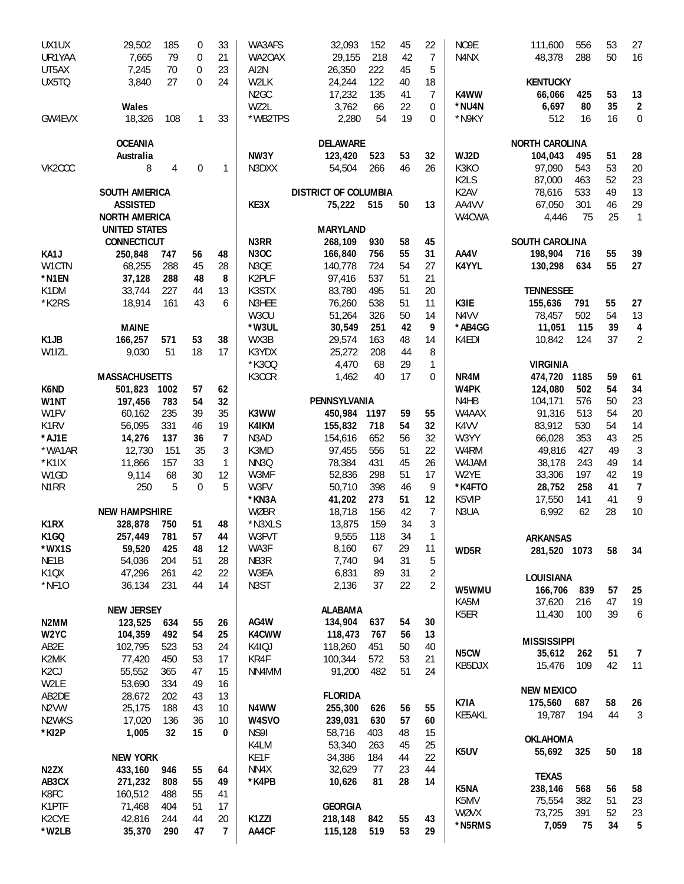| UX1UX              | 29,502               | 185  | 0           | 33 | WA3AFS            | 32,093                      | 152 | 45 | 22             | NO9E              | 111,600               | 556        | 53       | 27                       |
|--------------------|----------------------|------|-------------|----|-------------------|-----------------------------|-----|----|----------------|-------------------|-----------------------|------------|----------|--------------------------|
| UR1YAA             | 7,665                | 79   | 0           | 21 | WA2OAX            | 29,155                      | 218 | 42 | $\overline{7}$ | N4NX              | 48,378                | 288        | 50       | 16                       |
| UT5AX              | 7,245                | 70   | 0           | 23 | AI2N              | 26,350                      | 222 | 45 | 5              |                   |                       |            |          |                          |
| UX5TQ              | 3,840                | 27   | 0           | 24 | W <sub>2</sub> LK | 24.244                      | 122 | 40 | 18             |                   | <b>KENTUCKY</b>       |            |          |                          |
|                    |                      |      |             |    | N <sub>2</sub> GC | 17,232                      | 135 | 41 | $\overline{7}$ | K4WW              | 66,066                | 425        | 53       | 13                       |
|                    | Wales                |      |             |    | WZ2L              | 3,762                       | 66  | 22 | 0              | *NU4N             | 6,697                 | 80         | 35       | $\boldsymbol{2}$         |
| GW4EVX             | 18,326               | 108  | 1           | 33 | *WB2TPS           | 2,280                       | 54  | 19 | $\mathbf 0$    | *N9KY             | 512                   | 16         | 16       | $\boldsymbol{0}$         |
|                    |                      |      |             |    |                   |                             |     |    |                |                   |                       |            |          |                          |
|                    | <b>OCEANIA</b>       |      |             |    |                   | <b>DELAWARE</b>             |     |    |                |                   | <b>NORTH CAROLINA</b> |            |          |                          |
|                    | Australia            |      |             |    | NW3Y              | 123,420                     | 523 | 53 | 32             | WJ2D              | 104,043               | 495        | 51       | 28                       |
| VK2CCC             | 8                    | 4    | $\mathbf 0$ | 1  | N3DXX             | 54,504                      | 266 | 46 | 26             | K3KO              | 97,090                | 543        | 53       | 20                       |
|                    |                      |      |             |    |                   |                             |     |    |                | K2LS              | 87,000                | 463        | 52       | 23                       |
|                    |                      |      |             |    |                   |                             |     |    |                |                   |                       |            |          |                          |
|                    | <b>SOUTH AMERICA</b> |      |             |    |                   | <b>DISTRICT OF COLUMBIA</b> |     |    |                | K <sub>2</sub> AV | 78,616                | 533        | 49       | 13                       |
|                    | <b>ASSISTED</b>      |      |             |    | KE3X              | 75,222                      | 515 | 50 | 13             | AA4VV             | 67,050                | 301        | 46       | 29                       |
|                    | <b>NORTH AMERICA</b> |      |             |    |                   |                             |     |    |                | W4CWA             | 4,446                 | 75         | 25       | $\overline{1}$           |
|                    | <b>UNITED STATES</b> |      |             |    |                   | <b>MARYLAND</b>             |     |    |                |                   |                       |            |          |                          |
|                    | <b>CONNECTICUT</b>   |      |             |    | N3RR              | 268,109                     | 930 | 58 | 45             |                   | SOUTH CAROLINA        |            |          |                          |
| KA1J               | 250,848              | 747  | 56          | 48 | <b>N3OC</b>       | 166,840                     | 756 | 55 | 31             | AA4V              | 198,904               | 716        | 55       | 39                       |
| W1CTN              | 68,255               | 288  | 45          | 28 | N3QE              | 140.778                     | 724 | 54 | 27             | K4YYL             | 130,298               | 634        | 55       | 27                       |
| *N1EN              | 37,128               | 288  | 48          | 8  | K2PLF             | 97,416                      | 537 | 51 | 21             |                   |                       |            |          |                          |
| K1DM               | 33,744               | 227  | 44          | 13 | K3STX             | 83,780                      | 495 | 51 | 20             |                   | <b>TENNESSEE</b>      |            |          |                          |
| *K2RS              | 18,914               | 161  | 43          | 6  | N3HEE             | 76,260                      | 538 | 51 | 11             | K3IE              | 155,636               | 791        | 55       | 27                       |
|                    |                      |      |             |    | <b>W30U</b>       | 51,264                      | 326 | 50 | 14             | N <sub>4</sub> VV | 78,457                | 502        | 54       | 13                       |
|                    | <b>MAINE</b>         |      |             |    | *W3UL             | 30,549                      | 251 | 42 | 9              | *AB4GG            | 11,051                | 115        | 39       | $\pmb{4}$                |
| K <sub>1</sub> JB  | 166,257              | 571  | 53          | 38 | WX3B              | 29,574                      | 163 | 48 | 14             | K4EDI             | 10,842                | 124        | 37       | $\overline{2}$           |
| W1IZL              | 9,030                | 51   | 18          | 17 | K3YDX             | 25,272                      | 208 | 44 | 8              |                   |                       |            |          |                          |
|                    |                      |      |             |    | *K300             | 4,470                       | 68  | 29 | 1              |                   | <b>VIRGINIA</b>       |            |          |                          |
|                    | <b>MASSACHUSETTS</b> |      |             |    | K3CCR             | 1,462                       | 40  | 17 | $\mathbf 0$    | NR4M              | 474,720               | 1185       | 59       | 61                       |
| K6ND               | 501,823              | 1002 | 57          | 62 |                   |                             |     |    |                | W4PK              | 124,080               | 502        | 54       | 34                       |
| W1NT               | 197,456              | 783  | 54          | 32 |                   | PENNSYLVANIA                |     |    |                | N4HB              | 104,171               | 576        | 50       | 23                       |
| W1FV               | 60,162               | 235  | 39          | 35 | K3WW              | 450,984 1197                |     | 59 | 55             | W4AAX             | 91,316                | 513        | 54       | 20                       |
| K1RV               | 56,095               | 331  | 46          | 19 | K4IKM             | 155,832                     | 718 | 54 | 32             | K4VV              | 83,912                | 530        | 54       | 14                       |
| *AJ1E              | 14,276               | 137  | 36          | 7  | N3AD              | 154,616                     | 652 | 56 | 32             | W3YY              | 66,028                | 353        | 43       | 25                       |
| *WA1AR             | 12,730               | 151  | 35          | 3  | K3MD              | 97,455                      | 556 | 51 | 22             | W4RM              | 49,816                | 427        | 49       | 3                        |
| *K1IX              | 11,866               | 157  | 33          | 1  | NN3Q              | 78,384                      | 431 | 45 | 26             | W4JAM             | 38,178                | 243        | 49       | 14                       |
| W1GD               | 9,114                | 68   | 30          | 12 | W3MF              | 52,836                      | 298 | 51 | 17             | W2YE              | 33,306                | 197        | 42       | 19                       |
|                    | 250                  | 5    | $\Omega$    | 5  | W3FV              | 50,710                      | 398 | 46 | 9              | *K4FTO            |                       | 258        | 41       | $\overline{\phantom{a}}$ |
| N <sub>1</sub> RR  |                      |      |             |    |                   |                             |     |    |                |                   | 28,752                |            |          |                          |
|                    | <b>NEW HAMPSHIRE</b> |      |             |    | *KN3A             | 41,202                      | 273 | 51 | 12             | K5VIP             | 17,550                | 141        | 41       | 9                        |
|                    |                      |      |             |    | WØBR              | 18,718                      | 156 | 42 | 7              | N3UA              | 6,992                 | 62         | 28       | 10                       |
| K <sub>1</sub> RX  | 328,878              | 750  | 51          | 48 | *N3XLS            | 13,875                      | 159 | 34 | 3              |                   |                       |            |          |                          |
| K <sub>1</sub> GQ  | 257,449              | 781  | 57          | 44 | W3FVT             | 9,555                       | 118 | 34 | 1              |                   | <b>ARKANSAS</b>       |            |          |                          |
| *WX1S              | 59,520               | 425  | 48          | 12 | WA3F              | 8,160                       | 67  | 29 | 11             | WD5R              | 281,520 1073          |            | 58       | 34                       |
| NE1B               | 54,036               | 204  | 51          | 28 | NB3R              | 7,740                       | 94  | 31 | 5              |                   |                       |            |          |                          |
| K <sub>1</sub> QX  | 47,296               | 261  | 42          | 22 | W3EA              | 6,831                       | 89  | 31 | $\sqrt{2}$     |                   | LOUISIANA             |            |          |                          |
| $*$ NF10           | 36,134               | 231  | 44          | 14 | N3ST              | 2,136                       | 37  | 22 | 2              | W5WMU             | 166,706               | 839        | 57       | 25                       |
|                    |                      |      |             |    |                   |                             |     |    |                | KA5M              | 37,620                | 216        | 47       | 19                       |
|                    | <b>NEW JERSEY</b>    |      |             |    |                   | <b>ALABAMA</b>              |     |    |                | K5ER              | 11,430                | 100        | 39       | 6                        |
| N2MM               | 123,525              | 634  | 55          | 26 | AG4W              | 134,904                     | 637 | 54 | 30             |                   |                       |            |          |                          |
| W2YC               | 104,359              | 492  | 54          | 25 | K4CWW             | 118,473                     | 767 | 56 | 13             |                   | <b>MISSISSIPPI</b>    |            |          |                          |
| AB2E               | 102,795              | 523  | 53          | 24 | K4IQJ             | 118,260                     | 451 | 50 | 40             | N5CW              | 35,612                |            |          |                          |
| K2MK               | 77,420               | 450  | 53          | 17 | KR4F              | 100,344                     | 572 | 53 | 21             | KB5DJX            | 15,476                | 262<br>109 | 51<br>42 | $\overline{7}$<br>11     |
| K <sub>2</sub> CJ  | 55,552               | 365  | 47          | 15 | NN4MM             | 91,200                      | 482 | 51 | 24             |                   |                       |            |          |                          |
| W2LE               | 53,690               | 334  | 49          | 16 |                   |                             |     |    |                |                   |                       |            |          |                          |
| AB2DE              | 28,672               | 202  | 43          | 13 |                   | <b>FLORIDA</b>              |     |    |                |                   | <b>NEW MEXICO</b>     |            |          |                          |
| N2VW               | 25,175               | 188  | 43          | 10 | N4WW              | 255,300                     | 626 | 56 | 55             | K7IA              | 175,560               | 687        | 58       | 26                       |
| N2WKS              | 17,020               | 136  | 36          | 10 | W4SVO             | 239,031                     | 630 | 57 | 60             | KE5AKL            | 19,787                | 194        | 44       | 3                        |
| *KI2P              | 1,005                | 32   | 15          | 0  | NS9I              | 58,716                      | 403 | 48 | 15             |                   |                       |            |          |                          |
|                    |                      |      |             |    | K4LM              | 53,340                      | 263 | 45 | 25             |                   | OKLAHOMA              |            |          |                          |
|                    | <b>NEW YORK</b>      |      |             |    | KE1F              | 34,386                      | 184 | 44 | 22             | K5UV              | 55,692                | 325        | 50       | 18                       |
| N <sub>2</sub> ZX  | 433,160              | 946  | 55          | 64 | NN4X              | 32,629                      | 77  | 23 | 44             |                   |                       |            |          |                          |
| AB3CX              | 271,232              | 808  | 55          | 49 | *K4PB             | 10,626                      | 81  | 28 | 14             |                   | <b>TEXAS</b>          |            |          |                          |
| K8FC               | 160,512              | 488  | 55          | 41 |                   |                             |     |    |                | K5NA              | 238,146               | 568        | 56       | 58                       |
| K1PTF              | 71,468               | 404  |             |    |                   | <b>GEORGIA</b>              |     |    |                | K5MV              | 75,554                | 382        | 51       | 23                       |
|                    |                      |      | 51          | 17 |                   | 218,148                     |     |    |                | WØVX              | 73,725                | 391        | 52       | 23                       |
| K <sub>2</sub> CYE | 42,816               | 244  | 44          | 20 | K1ZZI             |                             | 842 | 55 | 43             | *N5RMS            | 7,059                 | 75         | 34       | 5                        |
| *W2LB              | 35,370               | 290  | 47          | 7  | AA4CF             | 115,128                     | 519 | 53 | 29             |                   |                       |            |          |                          |
|                    |                      |      |             |    |                   |                             |     |    |                |                   |                       |            |          |                          |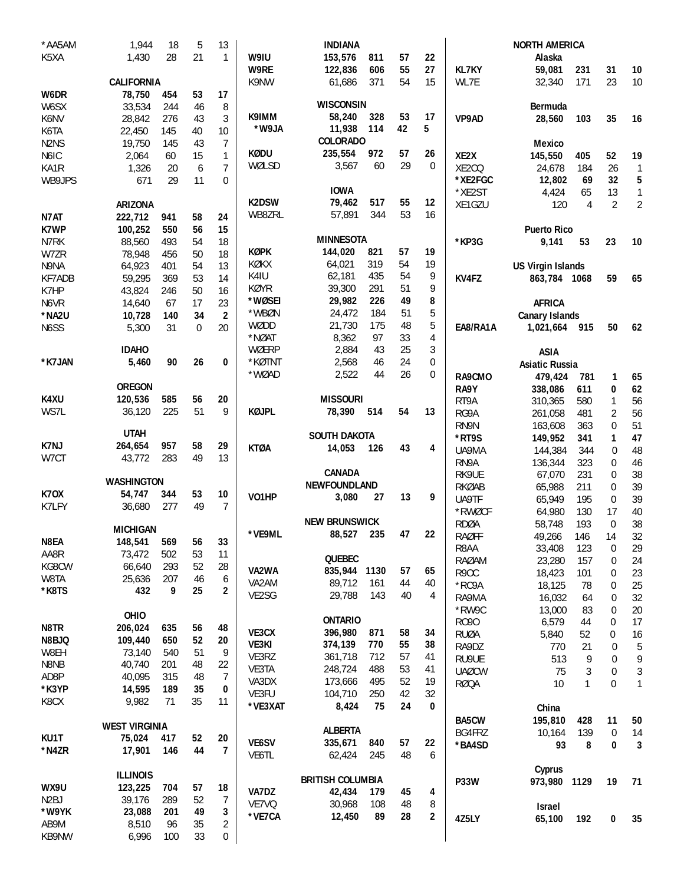| *AA5AM                        | 1,944                | 18  | 5        | 13                      |              | <b>INDIANA</b>            |      |    |    |              | <b>NORTH AMERICA</b>     |                |                  |                |
|-------------------------------|----------------------|-----|----------|-------------------------|--------------|---------------------------|------|----|----|--------------|--------------------------|----------------|------------------|----------------|
| K5XA                          | 1,430                | 28  | 21       | 1                       | W9IU         | 153,576                   | 811  | 57 | 22 |              | Alaska                   |                |                  |                |
|                               |                      |     |          |                         | W9RE         | 122,836                   | 606  | 55 | 27 | KL7KY        | 59,081                   | 231            | 31               | 10             |
|                               | <b>CALIFORNIA</b>    |     |          |                         | K9NW         | 61,686                    | 371  | 54 | 15 | WL7E         | 32,340                   | 171            | 23               | 10             |
| W6DR                          | 78,750               | 454 | 53       | 17                      |              | <b>WISCONSIN</b>          |      |    |    |              |                          |                |                  |                |
| W6SX                          | 33,534               | 244 | 46       | 8                       | K9IMM        |                           |      | 53 | 17 |              | Bermuda                  |                |                  |                |
| K6NV                          | 28,842               | 276 | 43       | 3                       | *W9JA        | 58,240                    | 328  |    | 5  | VP9AD        | 28,560                   | 103            | 35               | 16             |
| K6TA                          | 22,450               | 145 | 40       | 10                      |              | 11,938<br><b>COLORADO</b> | 114  | 42 |    |              |                          |                |                  |                |
| N <sub>2</sub> N <sub>S</sub> | 19,750               | 145 | 43       | $\overline{7}$          | <b>KØDU</b>  |                           | 972  | 57 | 26 |              | <b>Mexico</b>            |                |                  |                |
| N6IC                          | 2,064                | 60  | 15       | 1                       |              | 235,554                   |      | 29 |    | XE2X         | 145,550                  | 405            | 52               | 19             |
| KA1R                          | 1,326                | 20  | 6        | $\overline{7}$          | WØLSD        | 3,567                     | 60   |    | 0  | XE2CQ        | 24,678                   | 184            | 26               | $\overline{1}$ |
| WB9JPS                        | 671                  | 29  | 11       | $\mathbf{0}$            |              | <b>IOWA</b>               |      |    |    | *XE2FGC      | 12,802                   | 69             | 32               | 5              |
|                               |                      |     |          |                         |              |                           |      |    |    | *XE2ST       | 4,424                    | 65             | 13               | $\mathbf{1}$   |
|                               | <b>ARIZONA</b>       |     |          |                         | K2DSW        | 79,462                    | 517  | 55 | 12 | XE1GZU       | 120                      | $\overline{4}$ | $\overline{2}$   | $\overline{2}$ |
| N7AT                          | 222,712              | 941 | 58       | 24                      | WB8ZRL       | 57,891                    | 344  | 53 | 16 |              |                          |                |                  |                |
| K7WP                          | 100,252              | 550 | 56       | 15                      |              |                           |      |    |    |              | <b>Puerto Rico</b>       |                |                  |                |
| N7RK                          | 88,560               | 493 | 54       | 18                      |              | <b>MINNESOTA</b>          |      |    |    | *KP3G        | 9,141                    | 53             | 23               | 10             |
| W7ZR                          | 78,948               | 456 | 50       | 18                      | <b>KØPK</b>  | 144,020                   | 821  | 57 | 19 |              |                          |                |                  |                |
| N9NA                          | 64,923               | 401 | 54       | 13                      | KØKX         | 64,021                    | 319  | 54 | 19 |              | <b>US Virgin Islands</b> |                |                  |                |
| KF7ADB                        | 59,295               | 369 | 53       | 14                      | K4IU         | 62,181                    | 435  | 54 | 9  | KV4FZ        | 863,784 1068             |                | 59               | 65             |
| K7HP                          | 43,824               | 246 | 50       | 16                      | KØYR         | 39,300                    | 291  | 51 | 9  |              |                          |                |                  |                |
| N6VR                          | 14,640               | 67  | 17       | 23                      | *WØSEI       | 29,982                    | 226  | 49 | 8  |              | <b>AFRICA</b>            |                |                  |                |
| *NA2U                         | 10,728               | 140 | 34       | 2                       | *WBØN        | 24,472                    | 184  | 51 | 5  |              | <b>Canary Islands</b>    |                |                  |                |
| N6SS                          | 5,300                | 31  | $\Omega$ | 20                      | WØDD         | 21,730                    | 175  | 48 | 5  | EA8/RA1A     | 1,021,664                | 915            | 50               | 62             |
|                               |                      |     |          |                         | *NØAT        | 8,362                     | 97   | 33 | 4  |              |                          |                |                  |                |
|                               | <b>IDAHO</b>         |     |          |                         | WØERP        | 2,884                     | 43   | 25 | 3  |              | <b>ASIA</b>              |                |                  |                |
| *K7JAN                        | 5,460                | 90  | 26       | 0                       | *KØTNT       | 2,568                     | 46   | 24 | 0  |              | <b>Asiatic Russia</b>    |                |                  |                |
|                               |                      |     |          |                         | *WØAD        | 2,522                     | 44   | 26 | 0  | RA9CMO       | 479,424                  | 781            | 1                | 65             |
|                               | <b>OREGON</b>        |     |          |                         |              |                           |      |    |    | RA9Y         | 338,086                  | 611            | 0                | 62             |
| K4XU                          | 120,536              | 585 | 56       | 20                      |              | <b>MISSOURI</b>           |      |    |    | RT9A         | 310,365                  | 580            | 1                | 56             |
| WS7L                          | 36,120               | 225 | 51       | 9                       | <b>KØJPL</b> | 78,390                    | 514  | 54 | 13 | RG9A         | 261,058                  | 481            | $\overline{2}$   | 56             |
|                               |                      |     |          |                         |              |                           |      |    |    | RN9N         | 163,608                  | 363            | 0                | 51             |
|                               | <b>UTAH</b>          |     |          |                         |              | <b>SOUTH DAKOTA</b>       |      |    |    | *RT9S        | 149,952                  | 341            | 1                | 47             |
| K7NJ<br>W7CT                  | 264,654              | 957 | 58<br>49 | 29<br>13                | <b>KTØA</b>  | 14,053                    | 126  | 43 | 4  | UA9MA        | 144,384                  | 344            | $\mathbf 0$      | 48             |
|                               | 43,772               | 283 |          |                         |              |                           |      |    |    | RN9A         | 136,344                  | 323            | $\mathbf 0$      | 46             |
|                               | <b>WASHINGTON</b>    |     |          |                         |              | <b>CANADA</b>             |      |    |    | RK9UE        | 67,070                   | 231            | $\mathbf 0$      | 38             |
| <b>K70X</b>                   | 54,747               | 344 | 53       |                         |              | NEWFOUNDLAND              |      |    |    | RKØAB        | 65,988                   | 211            | 0                | 39             |
| K7LFY                         | 36,680               | 277 | 49       | $10$<br>$\overline{7}$  | VO1HP        | 3,080                     | 27   | 13 | 9  | UA9TF        | 65,949                   | 195            | 0                | 39             |
|                               |                      |     |          |                         |              |                           |      |    |    | *RWØCF       | 64,980                   | 130            | 17               | 40             |
|                               | <b>MICHIGAN</b>      |     |          |                         |              | <b>NEW BRUNSWICK</b>      |      |    |    | <b>RDØA</b>  | 58,748                   | 193            | $\overline{0}$   | 38             |
| N8EA                          | 148,541              | 569 | 56       | 33                      | *VE9ML       | 88,527                    | 235  | 47 | 22 | <b>RAØFF</b> | 49,266                   | 146            | 14               | 32             |
| AA8R                          | 73,472               | 502 | 53       | 11                      |              |                           |      |    |    | R8AA         | 33,408                   | 123            | 0                | 29             |
| KG8CW                         | 66,640               | 293 | 52       | 28                      |              | QUEBEC                    |      |    |    | <b>RAØAM</b> | 23,280                   | 157            | 0                | 24             |
| W8TA                          | 25,636               | 207 | 46       | 6                       | VA2WA        | 835,944                   | 1130 | 57 | 65 | R9OC         | 18,423                   | 101            | 0                | 23             |
| *K8TS                         | 432                  | 9   | 25       | $\overline{2}$          | VA2AM        | 89,712                    | 161  | 44 | 40 | *RC9A        | 18,125                   | 78             | 0                | 25             |
|                               |                      |     |          |                         | VE2SG        | 29,788                    | 143  | 40 | 4  | RA9MA        | 16,032                   | 64             | 0                | 32             |
|                               | OHIO                 |     |          |                         |              |                           |      |    |    | *RW9C        | 13,000                   | 83             | 0                | 20             |
| N8TR                          | 206,024              | 635 | 56       | 48                      |              | <b>ONTARIO</b>            |      |    |    | R090         | 6,579                    | 44             | 0                | 17             |
| N8BJQ                         |                      | 650 |          |                         | VE3CX        | 396,980                   | 871  | 58 | 34 | <b>RUØA</b>  | 5,840                    | 52             | 0                | 16             |
| W8EH                          | 109,440<br>73,140    | 540 | 52       | 20                      | VE3KI        | 374,139                   | 770  | 55 | 38 | RA9DZ        | 770                      | 21             | $\boldsymbol{0}$ | 5              |
|                               |                      |     | 51       | 9                       | VE3RZ        | 361,718                   | 712  | 57 | 41 | RU9UE        | 513                      | 9              | $\mathbf 0$      | 9              |
| N8NB                          | 40,740               | 201 | 48       | 22                      | VE3TA        | 248,724                   | 488  | 53 | 41 | <b>UAØCW</b> | 75                       | 3              | 0                | 3              |
| AD8P                          | 40,095               | 315 | 48       | 7                       | VA3DX        | 173,666                   | 495  | 52 | 19 | <b>RØQA</b>  | 10                       | 1              | $\mathbf 0$      | 1              |
| *K3YP                         | 14,595               | 189 | 35       | 0                       | VE3FU        | 104,710                   | 250  | 42 | 32 |              |                          |                |                  |                |
| K8CX                          | 9,982                | 71  | 35       | 11                      | *VE3XAT      | 8,424                     | 75   | 24 | 0  |              | China                    |                |                  |                |
|                               |                      |     |          |                         |              |                           |      |    |    | BA5CW        | 195,810                  | 428            | 11               | 50             |
|                               | <b>WEST VIRGINIA</b> |     |          |                         |              | <b>ALBERTA</b>            |      |    |    | BG4FRZ       | 10,164                   | 139            | 0                | 14             |
| KU1T                          | 75,024               | 417 | 52       | 20                      | VE6SV        | 335,671                   | 840  | 57 | 22 | *BA4SD       | 93                       | 8              | 0                | 3              |
| *N4ZR                         | 17,901               | 146 | 44       | 7                       | VE6TL        | 62,424                    | 245  | 48 | 6  |              |                          |                |                  |                |
|                               |                      |     |          |                         |              |                           |      |    |    |              | Cyprus                   |                |                  |                |
|                               | <b>ILLINOIS</b>      |     |          |                         |              | <b>BRITISH COLUMBIA</b>   |      |    |    | <b>P33W</b>  | 973,980                  | 1129           | 19               | 71             |
| WX9U                          | 123,225              | 704 | 57       | 18                      | VA7DZ        | 42,434                    | 179  | 45 | 4  |              |                          |                |                  |                |
| N <sub>2</sub> BJ             | 39,176               | 289 | 52       | 7                       | VE7VQ        | 30,968                    | 108  | 48 | 8  |              | Israel                   |                |                  |                |
| *W9YK                         | 23,088               | 201 | 49       | 3                       | *VE7CA       | 12,450                    | 89   | 28 | 2  | 4Z5LY        | 65,100                   | 192            | 0                | 35             |
| AB9M                          | 8,510                | 96  | 35       | $\overline{\mathbf{c}}$ |              |                           |      |    |    |              |                          |                |                  |                |
| KB9NW                         | 6,996                | 100 | 33       | 0                       |              |                           |      |    |    |              |                          |                |                  |                |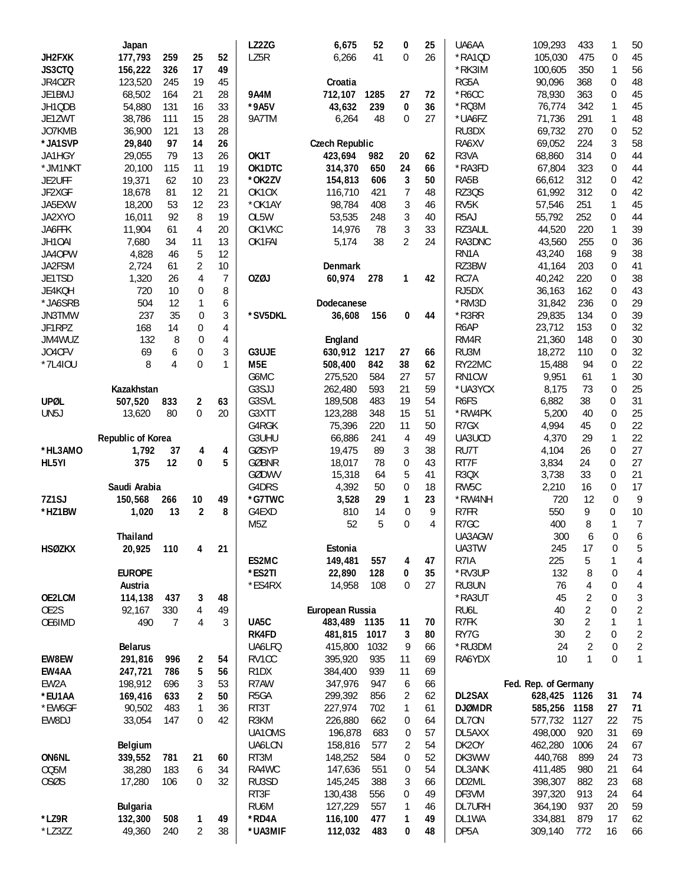|                   | Japan             |     |                  |                | LZ2ZG             | 6,675                 | 52   | 0              | 25 | UA6AA             | 109,293              | 433            | 1              | 50             |
|-------------------|-------------------|-----|------------------|----------------|-------------------|-----------------------|------|----------------|----|-------------------|----------------------|----------------|----------------|----------------|
| JH2FXK            | 177,793           | 259 | 25               | 52             | LZ5R              | 6,266                 | 41   | $\Omega$       | 26 | *RA1QD            | 105,030              | 475            | 0              | 45             |
| JS3CTQ            | 156,222           | 326 | 17               | 49             |                   |                       |      |                |    | *RK3IM            | 100,605              | 350            | 1              | 56             |
| JR40ZR            | 123,520           | 245 | 19               | 45             |                   | Croatia               |      |                |    | RG5A              | 90,096               | 368            | 0              | 48             |
| JE1BMJ            | 68,502            | 164 | 21               | 28             | <b>9A4M</b>       | 712,107               | 1285 | 27             | 72 | $*$ R6CC          | 78,930               | 363            | 0              | 45             |
| JH1QDB            | 54,880            | 131 | 16               | 33             | *9A5V             | 43,632                | 239  | 0              | 36 | *RQ3M             | 76,774               | 342            | 1              | 45             |
| JE1ZWT            | 38,786            | 111 | 15               | 28             | 9A7TM             | 6,264                 | 48   | 0              | 27 | *UA6FZ            | 71,736               | 291            | 1              | 48             |
| JO7KMB            | 36,900            | 121 | 13               | 28             |                   |                       |      |                |    | RU3DX             | 69,732               | 270            | 0              | 52             |
| *JA1SVP           | 29,840            | 97  | 14               | 26             |                   | <b>Czech Republic</b> |      |                |    | RA6XV             | 69,052               | 224            | 3              | 58             |
| JA1HGY            | 29,055            | 79  | 13               | 26             | OK1T              | 423,694               | 982  | 20             | 62 | R3VA              | 68,860               | 314            | 0              | 44             |
| *JM1NKT           | 20,100            | 115 | 11               | 19             | OK1DTC            | 314,370               | 650  | 24             | 66 | *RA3FD            | 67,804               | 323            | 0              | 44             |
| JE2UFF            | 19,371            | 62  | 10               | 23             | *OK2ZV            | 154,813               | 606  | 3              | 50 | RA5B              | 66,612               | 312            | 0              | 42             |
| JF2XGF            | 18,678            | 81  | 12               | 21             | OK1OX             | 116,710               | 421  | $\overline{7}$ | 48 | <b>RZ30S</b>      | 61,992               | 312            | 0              | 42             |
| JA5EXW            | 18,200            | 53  | 12               | 23             | *OK1AY            | 98,784                | 408  | 3              | 46 | RV <sub>5</sub> K | 57,546               | 251            | 1              | 45             |
| JA2XYO            | 16,011            | 92  | 8                | 19             | OL5W              | 53,535                | 248  | 3              | 40 | R <sub>5</sub> AJ | 55,792               | 252            | 0              | 44             |
| JA6FFK            | 11,904            | 61  | 4                | 20             | OK1VKC            | 14,976                | 78   | 3              | 33 | RZ3AUL            | 44,520               | 220            | 1              | 39             |
| JH10AI            | 7,680             | 34  | 11               | 13             | OK1FAI            | 5,174                 | 38   | 2              | 24 | RA3DNC            | 43,560               | 255            | $\mathbf 0$    | 36             |
| JA40PW            | 4,828             | 46  | 5                | 12             |                   |                       |      |                |    | RN1A              | 43,240               | 168            | 9              | 38             |
| JA2FSM            | 2,724             | 61  | $\overline{2}$   | 10             |                   | <b>Denmark</b>        |      |                |    | RZ3BW             | 41,164               | 203            | 0              | 41             |
| JE1TSD            | 1,320             | 26  | 4                | $\overline{7}$ | OZØJ              | 60,974                | 278  | 1              | 42 | RC7A              | 40,242               | 220            | 0              | 38             |
| JE4KQH            | 720               | 10  | 0                | 8              |                   |                       |      |                |    | RJ5DX             | 36,163               | 162            | 0              | 43             |
| *JA6SRB           | 504               | 12  | 1                | 6              |                   | Dodecanese            |      |                |    | *RM3D             | 31,842               | 236            | 0              | 29             |
| JN3TMW            | 237               | 35  | 0                | 3              | *SV5DKL           | 36,608                | 156  | 0              | 44 | *R3RR             | 29,835               | 134            | 0              | 39             |
| JF1RPZ            | 168               | 14  | 0                | $\overline{4}$ |                   |                       |      |                |    | R6AP              | 23,712               | 153            | 0              | 32             |
| JM4WUZ            | 132               | 8   | $\boldsymbol{0}$ | $\overline{4}$ |                   | England               |      |                |    | RM4R              | 21,360               | 148            | 0              | 30             |
| JO4CFV            | 69                | 6   | $\boldsymbol{0}$ | 3              | G3UJE             | 630,912               | 1217 | 27             | 66 | RU3M              | 18,272               | 110            | 0              | 32             |
| *7L4I0U           | 8                 | 4   | $\Omega$         | 1              | M <sub>5E</sub>   | 508,400               | 842  | 38             | 62 | RY22MC            | 15,488               | 94             | 0              | 22             |
|                   |                   |     |                  |                | G6MC              | 275,520               | 584  | 27             | 57 | RN1CW             | 9,951                | 61             | 1              | 30             |
|                   | Kazakhstan        |     |                  |                | G3SJJ             | 262,480               | 593  | 21             | 59 | *UA3YCX           | 8,175                | 73             | $\mathbf 0$    | 25             |
| <b>UPØL</b>       | 507,520           | 833 | 2                | 63             | G3SVL             | 189,508               | 483  | 19             | 54 | R <sub>6</sub> FS | 6,882                | 38             | 0              | 31             |
| UN <sub>5</sub> J | 13,620            | 80  | 0                | 20             | G3XTT             | 123,288               | 348  | 15             | 51 | *RW4PK            | 5,200                | 40             | 0              | 25             |
|                   |                   |     |                  |                | G4RGK             | 75,396                | 220  | 11             | 50 | R7GX              | 4,994                | 45             | $\mathbf 0$    | 22             |
|                   | Republic of Korea |     |                  |                | G3UHU             | 66,886                | 241  | $\overline{4}$ | 49 | UA3UCD            | 4,370                | 29             | 1              | 22             |
| *HL3AMO           | 1,792             | 37  | 4                | 4              | <b>GØSYP</b>      | 19,475                | 89   | 3              | 38 | RU7T              | 4,104                | 26             | 0              | 27             |
| HL5YI             | 375               | 12  | 0                | 5              | <b>GØBNR</b>      | 18,017                | 78   | 0              | 43 | RT7F              | 3,834                | 24             | $\mathbf 0$    | 27             |
|                   |                   |     |                  |                | GØDWV             | 15,318                | 64   | 5              | 41 | R <sub>3</sub> QX | 3,738                | 33             | 0              | 21             |
|                   | Saudi Arabia      |     |                  |                | G4DRS             | 4,392                 | 50   | 0              | 18 | RW <sub>5</sub> C | 2,210                | 16             | 0              | 17             |
| <b>7Z1SJ</b>      | 150,568           | 266 | $10\,$           | 49             | *G7TWC            | 3,528                 | 29   | 1              | 23 | *RW4NH            | 720                  | 12             | $\mathbf 0$    | 9              |
| *HZ1BW            | 1,020             | 13  | $\overline{2}$   | 8              | G4EXD             | 810                   | 14   | 0              | 9  | R7FR              | 550                  | 9              | 0              | 10             |
|                   |                   |     |                  |                | M <sub>5</sub> Z  | 52                    | 5    | 0              | 4  | R7GC              | 400                  | 8              | 1              | 7              |
|                   | Thailand          |     |                  |                |                   |                       |      |                |    | UA3AGW            | 300                  | 6              | $\overline{0}$ | 6              |
| <b>HSØZKX</b>     | 20,925            | 110 | 4                | 21             |                   | Estonia               |      |                |    | UA3TW             | 245                  | 17             | 0              | 5              |
|                   |                   |     |                  |                | ES2MC             | 149,481               | 557  | 4              | 47 | R7IA              | 225                  | 5              | 1              | 4              |
|                   | <b>EUROPE</b>     |     |                  |                | *ES2TI            | 22,890                | 128  | 0              | 35 | *RV3UP            | 132                  | 8              | 0              | 4              |
|                   | Austria           |     |                  |                | *ES4RX            | 14,958                | 108  | $\mathbf 0$    | 27 | RU3UN             | 76                   | 4              | 0              | $\overline{4}$ |
| OE2LCM            | 114,138           | 437 | 3                | 48             |                   |                       |      |                |    | *RA3UT            | 45                   | $\sqrt{2}$     | 0              | 3              |
| OE2S              | 92,167            | 330 | 4                | 49             |                   | European Russia       |      |                |    | RU6L              | 40                   | $\overline{2}$ | 0              | $\overline{c}$ |
| OE6IMD            | 490               | 7   | 4                | 3              | UA5C              | 483,489 1135          |      | 11             | 70 | R7FK              | 30                   | $\overline{2}$ | 1              | $\mathbf{1}$   |
|                   |                   |     |                  |                | RK4FD             | 481,815               | 1017 | 3              | 80 | RY7G              | 30                   | $\overline{2}$ | 0              | $\sqrt{2}$     |
|                   | <b>Belarus</b>    |     |                  |                | UA6LFQ            | 415,800               | 1032 | 9              | 66 | *RU3DM            | 24                   | $\overline{2}$ | 0              | $\sqrt{2}$     |
| EW8EW             | 291,816           | 996 | 2                | 54             | RV1CC             | 395,920               | 935  | 11             | 69 | RA6YDX            | 10                   | 1              | 0              | 1              |
| EW4AA             | 247,721           | 786 | 5                | 56             | R <sub>1</sub> DX | 384,400               | 939  | 11             | 69 |                   |                      |                |                |                |
| EW2A              | 198,912           | 696 | 3                | 53             | R7AW              | 347,976               | 947  | 6              | 66 |                   | Fed. Rep. of Germany |                |                |                |
| *EU1AA            | 169,416           | 633 | $\boldsymbol{2}$ | 50             | R <sub>5</sub> GA | 299,392               | 856  | 2              | 62 | DL2SAX            | 628,425 1126         |                | 31             | 74             |
| *EW6GF            | 90,502            | 483 | 1                | 36             | RT3T              | 227,974               | 702  | 1              | 61 | <b>DJØMDR</b>     | 585,256              | 1158           | 27             | 71             |
| EW8DJ             | 33,054            | 147 | 0                | 42             | R3KM              | 226,880               | 662  | 0              | 64 | DL70N             | 577,732              | 1127           | 22             | 75             |
|                   |                   |     |                  |                | UA10MS            | 196,878               | 683  | 0              | 57 | DL5AXX            | 498,000              | 920            | 31             | 69             |
|                   | Belgium           |     |                  |                | UA6LCN            | 158,816               | 577  | 2              | 54 | DK2OY             | 462,280              | 1006           | 24             | 67             |
| ON6NL             | 339,552           | 781 | 21               | 60             | RT3M              | 148,252               | 584  | 0              | 52 | DK3WW             | 440,768              | 899            | 24             | 73             |
| 005M              | 38,280            | 183 | 6                | 34             | RA4WC             | 147,636               | 551  | 0              | 54 | DL3ANK            | 411,485              | 980            | 21             | 64             |
| 0SØS              | 17,280            | 106 | 0                | 32             | RU3SD             | 145,245               | 388  | 3              | 66 | DD2ML             | 398,307              | 882            | 23             | 68             |
|                   | <b>Bulgaria</b>   |     |                  |                | RT3F              | 130,438               | 556  | 0              | 49 | DF3VM             | 397,320              | 913            | 24             | 64             |
|                   |                   |     |                  |                | RU6M              | 127,229               | 557  | 1              | 46 | DL7URH            | 364,190              | 937            | 20             | 59             |
|                   |                   |     |                  |                |                   |                       |      |                |    |                   |                      |                |                |                |
| *LZ9R             | 132,300           | 508 | 1                | 49             | *RD4A             | 116,100               | 477  | 1              | 49 | DL1WA             | 334,881              | 879            | 17             | 62             |
| *LZ3ZZ            | 49,360            | 240 | 2                | 38             | *UA3MIF           | 112,032               | 483  | 0              | 48 | DP5A              | 309,140              | 772            | 16             | 66             |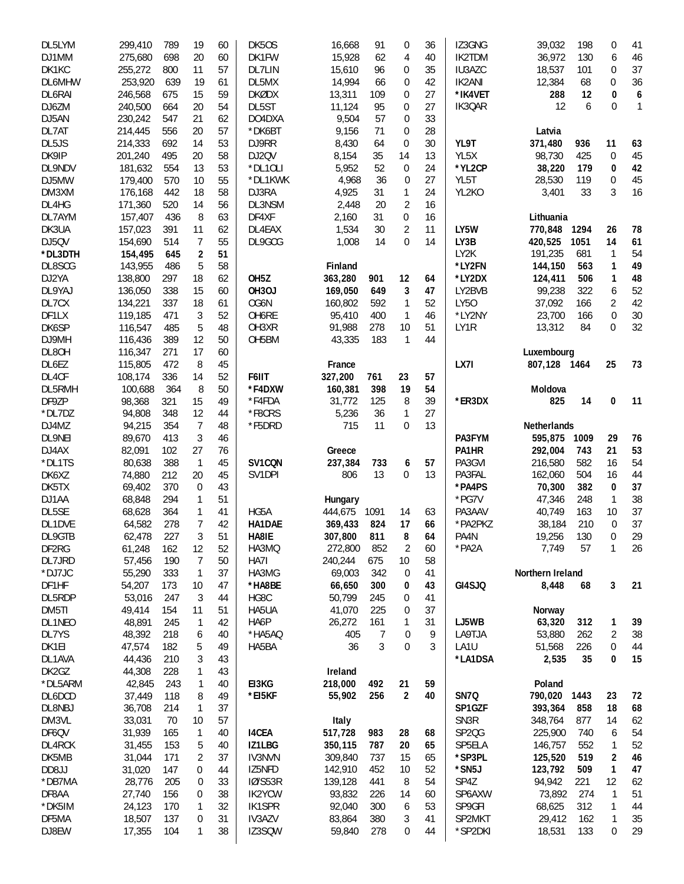| DL5LYM  | 299,410 | 789 | 19              | 60 | DK50S             | 16,668  | 91   | 0              | 36 | IZ3GNG             | 39.032           | 198  | 0                | 41 |
|---------|---------|-----|-----------------|----|-------------------|---------|------|----------------|----|--------------------|------------------|------|------------------|----|
| DJ1MM   | 275,680 | 698 | 20              | 60 | DK1FW             | 15,928  | 62   | 4              | 40 | <b>IK2TDM</b>      | 36,972           | 130  | 6                | 46 |
| DK1KC   | 255,272 | 800 | 11              | 57 | DL7LIN            | 15,610  | 96   | 0              | 35 | IU3AZC             | 18,537           | 101  | 0                | 37 |
| DL6MHW  | 253,920 | 639 | 19              | 61 | DL5MX             | 14,994  | 66   | 0              | 42 | IK2ANI             | 12,384           | 68   | 0                | 36 |
| DL6RAI  | 246,568 | 675 | 15              | 59 | <b>DKØDX</b>      | 13,311  | 109  | $\mathbf 0$    | 27 | *IK4VET            | 288              | 12   | 0                | 6  |
| DJ6ZM   | 240,500 | 664 | 20              | 54 | DL5ST             | 11,124  | 95   | 0              | 27 | IK3QAR             | 12               | 6    | $\Omega$         | 1  |
| DJ5AN   | 230,242 | 547 | 21              | 62 | DO4DXA            | 9,504   | 57   | 0              | 33 |                    |                  |      |                  |    |
| DL7AT   | 214,445 | 556 | 20              | 57 | *DK6BT            | 9,156   | 71   | 0              | 28 |                    | Latvia           |      |                  |    |
| DL5JS   | 214,333 | 692 | 14              | 53 | DJ9RR             | 8,430   | 64   | 0              | 30 | YL9T               | 371,480          | 936  | 11               | 63 |
| DK9IP   | 201,240 | 495 | 20              | 58 | DJ20V             | 8,154   | 35   | 14             | 13 | YL5X               | 98,730           | 425  | $\boldsymbol{0}$ | 45 |
| DL9NDV  | 181.632 | 554 | 13              | 53 | *DL10LI           | 5,952   | 52   | $\mathbf 0$    | 24 | *YL2CP             | 38,220           | 179  | 0                | 42 |
| DJ5MW   | 179,400 | 570 | 10              | 55 | *DL1KWK           | 4,968   | 36   | 0              | 27 | YL5T               | 28,530           | 119  | 0                | 45 |
| DM3XM   | 176,168 | 442 | 18              | 58 | DJ3RA             | 4,925   | 31   | 1              | 24 | YL2KO              | 3,401            | 33   | 3                | 16 |
| DL4HG   | 171,360 | 520 | 14              | 56 | DL3NSM            | 2,448   | 20   | $\overline{2}$ | 16 |                    |                  |      |                  |    |
| DL7AYM  | 157,407 | 436 | 8               | 63 | DF4XF             | 2,160   | 31   | 0              | 16 |                    | Lithuania        |      |                  |    |
| DK3UA   | 157,023 | 391 | 11              | 62 | DL4EAX            | 1,534   | 30   | $\overline{2}$ | 11 | LY5W               | 770,848          | 1294 | 26               | 78 |
| DJ5QV   | 154,690 | 514 | $7\overline{ }$ | 55 | DL9GCG            | 1,008   | 14   | $\Omega$       | 14 | LY3B               | 420,525          | 1051 | 14               | 61 |
| *DL3DTH |         | 645 | 2               | 51 |                   |         |      |                |    | LY <sub>2</sub> K  | 191,235          | 681  | 1                | 54 |
| DL8SCG  | 154,495 |     |                 |    |                   | Finland |      |                |    |                    |                  |      |                  |    |
|         | 143,955 | 486 | 5               | 58 |                   |         |      |                |    | *LY2FN             | 144,150          | 563  | 1                | 49 |
| DJ2YA   | 138,800 | 297 | 18              | 62 | OH <sub>5</sub> Z | 363,280 | 901  | 12             | 64 | *LY2DX             | 124,411          | 506  | 1                | 48 |
| DL9YAJ  | 136,050 | 338 | 15              | 60 | <b>OH3OJ</b>      | 169,050 | 649  | 3              | 47 | LY2BVB             | 99,238           | 322  | 6                | 52 |
| DL7CX   | 134,221 | 337 | 18              | 61 | OG6N              | 160,802 | 592  | 1              | 52 | <b>LY50</b>        | 37,092           | 166  | $\overline{2}$   | 42 |
| DF1LX   | 119,185 | 471 | 3               | 52 | OH6RE             | 95,410  | 400  | 1              | 46 | *LY2NY             | 23,700           | 166  | $\mathbf 0$      | 30 |
| DK6SP   | 116,547 | 485 | 5               | 48 | OH3XR             | 91,988  | 278  | 10             | 51 | LY1R               | 13,312           | 84   | 0                | 32 |
| DJ9MH   | 116,436 | 389 | 12              | 50 | OH5BM             | 43,335  | 183  | 1              | 44 |                    |                  |      |                  |    |
| DL8OH   | 116,347 | 271 | 17              | 60 |                   |         |      |                |    |                    | Luxembourg       |      |                  |    |
| DL6EZ   | 115,805 | 472 | 8               | 45 |                   | France  |      |                |    | LX7I               | 807,128 1464     |      | 25               | 73 |
| DL4CF   | 108,174 | 336 | 14              | 52 | F6IIT             | 327,200 | 761  | 23             | 57 |                    |                  |      |                  |    |
| DL5RMH  | 100,688 | 364 | 8               | 50 | *F4DXW            | 160,381 | 398  | 19             | 54 |                    | Moldova          |      |                  |    |
| DF9ZP   | 98,368  | 321 | 15              | 49 | *F4FDA            | 31,772  | 125  | 8              | 39 | *ER3DX             | 825              | 14   | 0                | 11 |
| *DL7DZ  | 94,808  | 348 | 12              | 44 | *F8CRS            | 5,236   | 36   | 1              | 27 |                    |                  |      |                  |    |
| DJ4MZ   | 94,215  | 354 | $\overline{7}$  | 48 | *F5DRD            | 715     | 11   | $\mathbf 0$    | 13 |                    | Netherlands      |      |                  |    |
| DL9NEI  | 89,670  | 413 | 3               | 46 |                   |         |      |                |    | PA3FYM             | 595,875 1009     |      | 29               | 76 |
| DJ4AX   | 82,091  | 102 | 27              | 76 |                   | Greece  |      |                |    | PA1HR              | 292,004          | 743  | 21               | 53 |
| *DL1TS  | 80,638  | 388 | $\overline{1}$  | 45 | SV1CQN            | 237,384 | 733  | 6              | 57 | PA3GVI             | 216,580          | 582  | 16               | 54 |
| DK6XZ   | 74,880  | 212 | 20              | 45 | SV1DPI            | 806     | 13   | 0              | 13 | PA3FAL             | 162,060          | 504  | 16               | 44 |
| DK5TX   | 69,402  | 370 | 0               | 43 |                   |         |      |                |    | *PA4PS             | 70,300           | 382  | 0                | 37 |
| DJ1AA   | 68,848  | 294 | 1               | 51 |                   | Hungary |      |                |    | *PG7V              | 47,346           | 248  | 1                | 38 |
| DL5SE   | 68,628  | 364 | 1               | 41 | HG5A              | 444,675 | 1091 | 14             | 63 | PA3AAV             | 40,749           | 163  | 10               | 37 |
| DL1DVE  | 64,582  | 278 | $\overline{7}$  | 42 | HA1DAE            | 369,433 | 824  | 17             | 66 | *PA2PKZ            | 38,184           | 210  | $\mathbf 0$      | 37 |
| DL9GTB  | 62,478  | 227 | 3               | 51 | HA8IE             | 307,800 | 811  | 8              | 64 | PA4N               | 19,256           | 130  | $\mathbf 0$      | 29 |
| DF2RG   | 61,248  | 162 | 12              | 52 | HA3MQ             | 272,800 | 852  | 2              | 60 | *PA2A              | 7,749            | 57   | 1                | 26 |
| DL7JRD  | 57,456  | 190 | 7               | 50 | HA7I              | 240,244 | 675  | 10             | 58 |                    |                  |      |                  |    |
| *DJ7JC  | 55,290  | 333 | $\mathbf{1}$    | 37 | HA3MG             | 69,003  | 342  | 0              | 41 |                    | Northern Ireland |      |                  |    |
| DF1HF   | 54,207  | 173 | 10              | 47 | *HA8BE            | 66,650  | 300  | 0              | 43 | GI4SJQ             | 8,448            | 68   | 3                | 21 |
| DL5RDP  | 53,016  | 247 | $\mathfrak{Z}$  | 44 | HG8C              | 50,799  | 245  | 0              | 41 |                    |                  |      |                  |    |
| DM5TI   | 49,414  | 154 | 11              | 51 | HA5UA             | 41,070  | 225  | 0              | 37 |                    | Norway           |      |                  |    |
| DL1NEO  | 48,891  | 245 | $\mathbf{1}$    | 42 | HA6P              | 26,272  | 161  | 1              | 31 | LJ5WB              | 63,320           | 312  | 1                | 39 |
| DL7YS   | 48,392  | 218 | 6               | 40 | *HA5AQ            | 405     | 7    | 0              | 9  | LA9TJA             | 53,880           | 262  | 2                | 38 |
| DK1EI   | 47,574  | 182 | 5               | 49 | HA5BA             | 36      | 3    | 0              | 3  | LA1U               | 51,568           | 226  | 0                | 44 |
| DL1AVA  | 44,436  | 210 | 3               | 43 |                   |         |      |                |    | *LA1DSA            | 2,535            | 35   | 0                | 15 |
|         |         |     |                 |    |                   |         |      |                |    |                    |                  |      |                  |    |
| DK2GZ   | 44,308  | 228 | 1               | 43 |                   | Ireland |      |                |    |                    |                  |      |                  |    |
| *DL5ARM | 42,845  | 243 | $\mathbf{1}$    | 40 | EI3KG             | 218,000 | 492  | 21             | 59 |                    | Poland           |      |                  |    |
| DL6DCD  | 37,449  | 118 | 8               | 49 | *EI5KF            | 55,902  | 256  | $\overline{2}$ | 40 | SN7Q               | 790,020          | 1443 | 23               | 72 |
| DL8NBJ  | 36,708  | 214 | 1               | 37 |                   |         |      |                |    | SP1GZF             | 393,364          | 858  | 18               | 68 |
| DM3VL   |         |     | 10              | 57 |                   | Italy   |      |                |    | SN <sub>3R</sub>   | 348,764          | 877  | 14               | 62 |
|         | 33,031  | 70  |                 |    |                   |         |      |                |    |                    |                  |      | 6                | 54 |
| DF6QV   | 31,939  | 165 | $\mathbf{1}$    | 40 | <b>I4CEA</b>      | 517,728 | 983  | 28             | 68 | SP <sub>2</sub> QG | 225,900          | 740  |                  |    |
| DL4RCK  | 31,455  | 153 | 5               | 40 | IZ1LBG            | 350,115 | 787  | 20             | 65 | SP5ELA             | 146,757          | 552  | 1                | 52 |
| DK5MB   | 31,044  | 171 | 2               | 37 | <b>IV3NVN</b>     | 309,840 | 737  | 15             | 65 | *SP3PL             | 125,520          | 519  | $\overline{2}$   | 46 |
| DD8JJ   | 31,020  | 147 | 0               | 44 | IZ5NFD            | 142,910 | 452  | 10             | 52 | *SN5J              | 123,792          | 509  | 1                | 47 |
| *DB7MA  | 28,776  | 205 | 0               | 33 | <b>IØ/S53R</b>    | 139,128 | 441  | 8              | 54 | SP4Z               | 94,942           | 221  | 12               | 62 |
| DF8AA   | 27,740  | 156 | 0               | 38 | <b>IK2YCW</b>     | 93,832  | 226  | 14             | 60 | SP6AXW             | 73,892           | 274  | 1                | 51 |
| *DK5IM  | 24,123  | 170 | 1               | 32 | IK1SPR            | 92,040  | 300  | 6              | 53 | SP9GFI             | 68,625           | 312  | 1                | 44 |
| DF5MA   | 18,507  | 137 | 0               | 31 | IV3AZV            | 83,864  | 380  | 3              | 41 | SP2MKT             | 29,412           | 162  | $\mathbf{1}$     | 35 |
| DJ8EW   | 17,355  | 104 | 1               | 38 | IZ3SQW            | 59,840  | 278  | 0              | 44 | *SP2DKI            | 18,531           | 133  | 0                | 29 |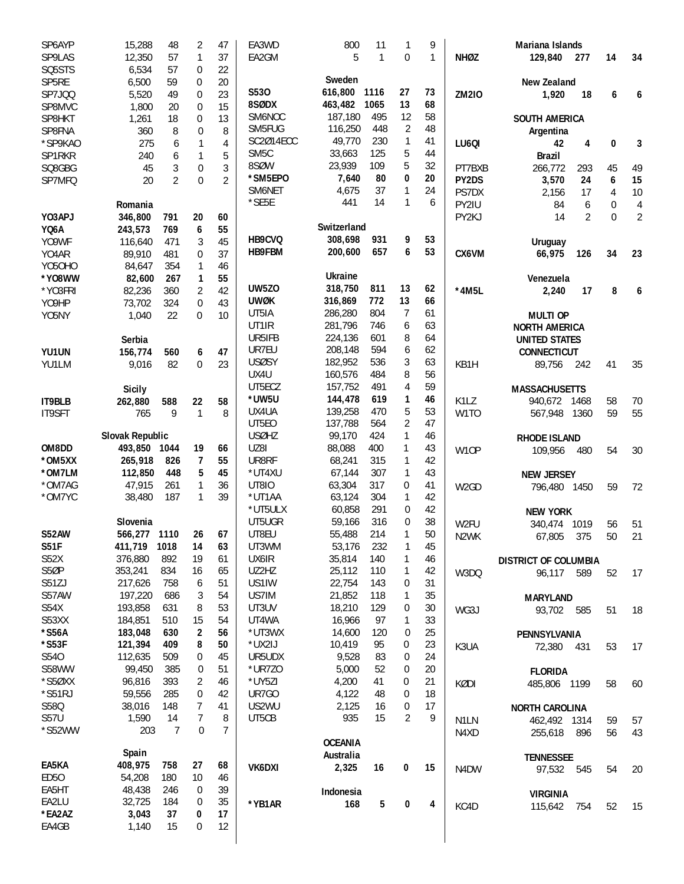| SP6AYP           | 15,288          | 48             | $\sqrt{2}$       | 47             | EA3WD             | 800            | 11           | 1              | 9  |                               | Mariana Islands             |       |                |                |
|------------------|-----------------|----------------|------------------|----------------|-------------------|----------------|--------------|----------------|----|-------------------------------|-----------------------------|-------|----------------|----------------|
| SP9LAS           | 12,350          | 57             | $\mathbf{1}$     | 37             | EA2GM             | 5              | $\mathbf{1}$ | $\mathbf 0$    | 1  | <b>NHØZ</b>                   | 129,840                     | 277   | 14             | 34             |
| SQ5STS           | 6,534           | 57             | $\boldsymbol{0}$ | 22             |                   |                |              |                |    |                               |                             |       |                |                |
| SP5RE            | 6,500           | 59             | 0                | 20             |                   | Sweden         |              |                |    |                               | New Zealand                 |       |                |                |
| SP7JQQ           | 5,520           | 49             | $\mathbf 0$      | 23             | S530              | 616,800        | 1116         | 27             | 73 | <b>ZM2IO</b>                  | 1,920                       | 18    | 6              | 6              |
| SP8MVC           | 1,800           | 20             | $\boldsymbol{0}$ | 15             | 8SØDX             | 463,482        | 1065         | 13             | 68 |                               |                             |       |                |                |
| SP8HKT           | 1,261           | 18             | $\boldsymbol{0}$ | 13             | SM6NOC            | 187,180        | 495          | 12             | 58 |                               | <b>SOUTH AMERICA</b>        |       |                |                |
| SP8FNA           | 360             | 8              | $\mathbf 0$      | 8              | SM5FUG            | 116,250        | 448          | 2              | 48 |                               | Argentina                   |       |                |                |
| *SP9KAO          | 275             | 6              | 1                | 4              | SC2Ø14ECC         | 49,770         | 230          | 1              | 41 | LU6QI                         | 42                          | 4     | $\bf{0}$       | $\mathbf{3}$   |
| SP1RKR           | 240             | 6              | $\mathbf{1}$     | 5              | SM <sub>5</sub> C | 33,663         | 125          | 5              | 44 |                               | <b>Brazil</b>               |       |                |                |
| SQ8GBG           | 45              | 3              | $\boldsymbol{0}$ | 3              | 8SØW              | 23,939         | 109          | 5              | 32 | PT7BXB                        | 266,772                     | 293   | 45             | 49             |
| SP7MFQ           | 20              | $\overline{2}$ | $\Omega$         | $\overline{2}$ | *SM5EPO           | 7,640          | 80           | $\pmb{0}$      | 20 | PY2DS                         | 3,570                       | 24    | 6              | 15             |
|                  |                 |                |                  |                | SM6NET            | 4,675          | 37           | $\mathbf{1}$   | 24 | PS7DX                         | 2,156                       | 17    | $\overline{4}$ | $10\,$         |
|                  | Romania         |                |                  |                | *SE5E             | 441            | 14           | $\mathbf{1}$   | 6  | PY2IU                         | 84                          | 6     | 0              | $\overline{4}$ |
| YO3APJ           | 346,800         | 791            | 20               | 60             |                   |                |              |                |    | PY2KJ                         | 14                          | 2     | $\Omega$       | $\overline{2}$ |
| YQ6A             | 243,573         | 769            | 6                | 55             |                   | Switzerland    |              |                |    |                               |                             |       |                |                |
| Y09WF            | 116,640         | 471            | 3                | 45             | HB9CVQ            | 308,698        | 931          | 9              | 53 |                               | <b>Uruguay</b>              |       |                |                |
| Y04AR            | 89,910          | 481            | $\boldsymbol{0}$ | 37             | <b>HB9FBM</b>     | 200,600        | 657          | 6              | 53 | CX6VM                         | 66,975                      | 126   | 34             | 23             |
| <b>YO5OHO</b>    | 84,647          | 354            | 1                | 46             |                   |                |              |                |    |                               |                             |       |                |                |
| *Y08WW           | 82,600          | 267            | 1                | 55             |                   | <b>Ukraine</b> |              |                |    |                               | Venezuela                   |       |                |                |
| *Y03FRI          | 82,236          | 360            | $\overline{2}$   | 42             | <b>UW5Z0</b>      | 318,750        | 811          | 13             | 62 | *4M5L                         | 2,240                       | 17    | 8              | 6              |
| Y09HP            | 73,702          | 324            | $\boldsymbol{0}$ | 43             | <b>UWØK</b>       | 316,869        | 772          | 13             | 66 |                               |                             |       |                |                |
| Y05NY            | 1,040           | 22             | $\mathbf 0$      | 10             | UT5IA             | 286,280        | 804          | $\overline{7}$ | 61 |                               | <b>MULTI OP</b>             |       |                |                |
|                  |                 |                |                  |                | UT1IR             | 281,796        | 746          | 6              | 63 |                               | <b>NORTH AMERICA</b>        |       |                |                |
|                  | Serbia          |                |                  |                | UR5IFB            | 224,136        | 601          | 8              | 64 |                               | <b>UNITED STATES</b>        |       |                |                |
| YU1UN            | 156,774         | 560            | 6                | 47             | UR7EU             | 208.148        | 594          | 6              | 62 |                               | <b>CONNECTICUT</b>          |       |                |                |
| YU1LM            | 9,016           | 82             | 0                | 23             | <b>USØSY</b>      | 182,952        | 536          | 3              | 63 | KB1H                          | 89,756                      | - 242 | 41             | 35             |
|                  |                 |                |                  |                | UX4U              | 160,576        | 484          | 8              | 56 |                               |                             |       |                |                |
|                  | <b>Sicily</b>   |                |                  |                | UT5ECZ            | 157,752        | 491          | $\overline{4}$ | 59 |                               | <b>MASSACHUSETTS</b>        |       |                |                |
| IT9BLB           | 262,880         | 588            | 22               | 58             | *UW5U             | 144,478        | 619          | $\mathbf{1}$   | 46 | K <sub>1</sub> L <sub>Z</sub> | 940,672 1468                |       | 58             | 70             |
| <b>IT9SFT</b>    | 765             | 9              | $\mathbf{1}$     | 8              | UX4UA             | 139,258        | 470          | 5              | 53 | W <sub>1</sub> TO             | 567,948 1360                |       | 59             | 55             |
|                  |                 |                |                  |                | UT5EO             | 137,788        | 564          | $\overline{2}$ | 47 |                               |                             |       |                |                |
|                  | Slovak Republic |                |                  |                | <b>USØHZ</b>      | 99,170         | 424          | 1              | 46 |                               | <b>RHODE ISLAND</b>         |       |                |                |
| OM8DD            | 493,850         | 1044           | 19               | 66             | UZ8I              | 88,088         | 400          | 1              | 43 | W10P                          | 109,956                     | 480   | 54             | 30             |
| *OM5XX           | 265,918         | 826            | 7                | 55             | UR8RF             | 68,241         | 315          | 1              | 42 |                               |                             |       |                |                |
| *OM7LM           | 112,850         | 448            | 5                | 45             | *UT4XU            | 67,144         | 307          | $\mathbf{1}$   | 43 |                               | <b>NEW JERSEY</b>           |       |                |                |
| *OM7AG           | 47,915          | 261            | 1                | 36             | <b>UT8IO</b>      | 63,304         | 317          | 0              | 41 | W <sub>2</sub> GD             | 796,480 1450                |       | 59             | 72             |
| *OM7YC           | 38,480          | 187            | 1                | 39             | *UT1AA            | 63,124         | 304          | 1              | 42 |                               |                             |       |                |                |
|                  |                 |                |                  |                | *UT5ULX           | 60,858         | 291          | 0              | 42 |                               | <b>NEW YORK</b>             |       |                |                |
|                  | Slovenia        |                |                  |                | UT5UGR            | 59,166         | 316          | 0              | 38 | W2FU                          | 340,474 1019                |       | 56             | 51             |
| S52AW            | 566,277 1110    |                | 26               | 67             | UT8EU             | 55,488         | 214          | $\mathbf{1}$   | 50 | N <sub>2</sub> WK             | 67,805                      | 375   | 50             | 21             |
| S51F             | 411,719         | 1018           | 14               | 63             | UT3WM             | 53,176         | 232          | $\mathbf{1}$   | 45 |                               |                             |       |                |                |
| S52X             | 376,880         | 892            | 19               | 61             | UX6IR             | 35,814         | 140          | 1              | 46 |                               | <b>DISTRICT OF COLUMBIA</b> |       |                |                |
| S5ØP             | 353,241         | 834            | 16               | 65             | UZ2HZ             | 25,112         | 110          | 1              | 42 | W3DQ                          | 96,117                      | 589   | 52             | 17             |
| S51ZJ            | 217,626         | 758            | 6                | 51             | US1IW             | 22,754         | 143          | 0              | 31 |                               |                             |       |                |                |
| S57AW            | 197,220         | 686            | 3                | 54             | US7IM             | 21,852         | 118          | 1              | 35 |                               | <b>MARYLAND</b>             |       |                |                |
| S54X             | 193,858         | 631            | 8                | 53             | UT3UV             | 18,210         | 129          | 0              | 30 | WG3J                          | 93,702 585                  |       | 51             | 18             |
| S53XX            | 184,851         | 510            | 15               | 54             | UT4WA             | 16,966         | 97           | 1              | 33 |                               |                             |       |                |                |
| *S56A            | 183,048         | 630            | 2                | 56             | *UT3WX            | 14,600         | 120          | 0              | 25 |                               | PENNSYLVANIA                |       |                |                |
| $*$ S53F         | 121,394         | 409            | 8                | 50             | *UX2IJ            | 10,419         | 95           | 0              | 23 | K3UA                          | 72,380                      | 431   | 53             | 17             |
| S540             | 112,635         | 509            | 0                | 45             | UR5UDX            | 9,528          | 83           | 0              | 24 |                               |                             |       |                |                |
| S58WW            | 99,450          | 385            | $\boldsymbol{0}$ | 51             | *UR7Z0            | 5,000          | 52           | 0              | 20 |                               | <b>FLORIDA</b>              |       |                |                |
| *S5ØXX           | 96,816          | 393            | $\overline{2}$   | 46             | *UY5ZI            | 4,200          | 41           | 0              | 21 | KØDI                          | 485,806 1199                |       | 58             | 60             |
| *S51RJ           | 59,556          | 285            | 0                | 42             | UR7GO             | 4,122          | 48           | 0              | 18 |                               |                             |       |                |                |
| S58Q             | 38,016          | 148            | 7                | 41             | US2WU             | 2,125          | 16           | 0              | 17 |                               | <b>NORTH CAROLINA</b>       |       |                |                |
| <b>S57U</b>      | 1,590           | 14             | 7                | 8              | UT5CB             | 935            | 15           | $\overline{2}$ | 9  | N <sub>1</sub> LN             | 462,492 1314                |       | 59             | 57             |
| *S52WW           | 203             | $\overline{7}$ | $\mathbf 0$      | 7              |                   |                |              |                |    | N4XD                          | 255,618                     | 896   | 56             | 43             |
|                  |                 |                |                  |                |                   | <b>OCEANIA</b> |              |                |    |                               |                             |       |                |                |
|                  | Spain           |                |                  |                |                   | Australia      |              |                |    |                               | <b>TENNESSEE</b>            |       |                |                |
| EA5KA            | 408,975         | 758            | 27               | 68             | VK6DXI            | 2,325          | 16           | $\pmb{0}$      | 15 | N4DW                          | 97,532 545                  |       | 54             | 20             |
| ED <sub>50</sub> | 54,208          | 180            | 10               | 46             |                   |                |              |                |    |                               |                             |       |                |                |
| EA5HT            | 48,438          | 246            | 0                | 39             |                   | Indonesia      |              |                |    |                               | <b>VIRGINIA</b>             |       |                |                |
| EA2LU            | 32,725          | 184            | 0                | 35             | *YB1AR            | 168            | 5            | 0              | 4  | KC4D                          | 115,642                     | 754   | 52             | 15             |
| *EA2AZ           | 3,043           | 37             | 0                | 17             |                   |                |              |                |    |                               |                             |       |                |                |
| EA4GB            | 1,140           | 15             | 0                | 12             |                   |                |              |                |    |                               |                             |       |                |                |
|                  |                 |                |                  |                |                   |                |              |                |    |                               |                             |       |                |                |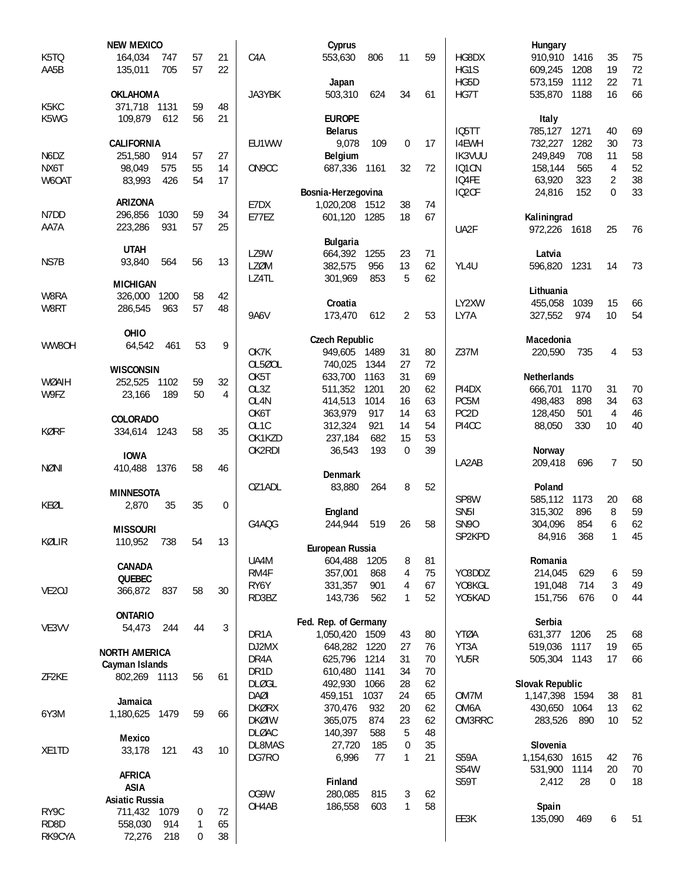|                    | <b>NEW MEXICO</b>     |                    |                   | Cyprus                |      |                   |          |                   | Hungary            |                |    |
|--------------------|-----------------------|--------------------|-------------------|-----------------------|------|-------------------|----------|-------------------|--------------------|----------------|----|
| K5TQ               | 164,034<br>747        | 21<br>57           | C <sub>4</sub> A  | 553,630               | 806  | 11                | 59       | HG8DX             | 910,910<br>1416    | 35             | 75 |
| AA5B               | 705<br>135,011        | 57<br>22           |                   |                       |      |                   |          | HG1S              | 1208<br>609,245    | 19             | 72 |
|                    |                       |                    |                   | Japan                 |      |                   |          | HG5D              | 1112<br>573,159    | 22             | 71 |
|                    | <b>OKLAHOMA</b>       |                    | JA3YBK            | 503,310               | 624  | 34                | 61       | HG7T              | 535,870<br>1188    | 16             | 66 |
| K5KC               | 371,718<br>1131       | 59<br>48           |                   |                       |      |                   |          |                   |                    |                |    |
| K5WG               | 109,879<br>612        | 56<br>21           |                   | <b>EUROPE</b>         |      |                   |          |                   | Italy              |                |    |
|                    |                       |                    |                   | <b>Belarus</b>        |      |                   |          | IQ5TT             | 785,127<br>1271    | 40             | 69 |
|                    | <b>CALIFORNIA</b>     |                    | EU1WW             | 9,078                 | 109  | $\boldsymbol{0}$  | 17       | <b>I4EWH</b>      | 732,227<br>1282    | 30             | 73 |
| N6DZ               | 251,580<br>914        | 27<br>57           |                   | Belgium               |      |                   |          | IK3VUU            | 708<br>249,849     | 11             | 58 |
| NX6T               | 575<br>98,049         | 55<br>14           | ON9CC             | 687,336               | 1161 | 32                | 72       | IQ1CN             | 565<br>158,144     | 4              | 52 |
| W6OAT              | 83,993<br>426         | 54<br>17           |                   |                       |      |                   |          | IQ4FE             | 323<br>63,920      | 2              | 38 |
|                    |                       |                    |                   | Bosnia-Herzegovina    |      |                   |          | IQ2CF             | 152<br>24,816      | $\mathbf{0}$   | 33 |
|                    | <b>ARIZONA</b>        |                    | E7DX              | 1,020,208 1512        |      | 38                | 74       |                   |                    |                |    |
| N7DD               | 296,856<br>1030       | 59<br>34           | E77EZ             | 601,120 1285          |      | 18                | 67       |                   | Kaliningrad        |                |    |
| AA7A               | 931<br>223,286        | 57<br>25           |                   |                       |      |                   |          | UA <sub>2</sub> F | 972,226 1618       | 25             | 76 |
|                    | <b>UTAH</b>           |                    |                   | <b>Bulgaria</b>       |      |                   |          |                   |                    |                |    |
| NS7B               | 93,840<br>564         | 56<br>13           | LZ9W              | 664,392               | 1255 | 23                | 71       |                   | Latvia             |                |    |
|                    |                       |                    | <b>LZØM</b>       | 382,575               | 956  | 13                | 62       | YL4U              | 596,820<br>1231    | 14             | 73 |
|                    | <b>MICHIGAN</b>       |                    | LZ4TL             | 301,969               | 853  | 5                 | 62       |                   |                    |                |    |
| W8RA               | 1200<br>326,000       | 58<br>42           |                   |                       |      |                   |          |                   | Lithuania          |                |    |
| W8RT               | 963<br>286,545        | 57<br>48           |                   | Croatia               |      |                   |          | LY2XW             | 455,058<br>1039    | 15             | 66 |
|                    |                       |                    | 9A6V              | 173,470               | 612  | $\overline{2}$    | 53       | LY7A              | 327,552<br>974     | 10             | 54 |
|                    | <b>OHIO</b>           |                    |                   |                       |      |                   |          |                   |                    |                |    |
| WW80H              | 64,542<br>461         | 53<br>9            |                   | <b>Czech Republic</b> |      |                   |          |                   | Macedonia          |                |    |
|                    |                       |                    | OK7K              | 949,605               | 1489 | 31                | 80       | Z37M              | 220,590<br>735     | 4              | 53 |
|                    | <b>WISCONSIN</b>      |                    | OL5ØOL            | 740,025               | 1344 | 27                | 72       |                   |                    |                |    |
| WØAIH              | 252,525<br>1102       | 32<br>59           | OK5T              | 633,700               | 1163 | 31                | 69       |                   | <b>Netherlands</b> |                |    |
| W9FZ               | 189<br>23,166         | 50<br>4            | OL3Z              | 511,352               | 1201 | 20                | 62       | PI4DX             | 1170<br>666,701    | 31             | 70 |
|                    |                       |                    | OL4N              | 414,513               | 1014 | 16                | 63       | PC5M              | 898<br>498,483     | 34             | 63 |
|                    | <b>COLORADO</b>       |                    | OK6T              | 363,979               | 917  | 14                | 63       | PC <sub>2</sub> D | 501<br>128,450     | $\overline{4}$ | 46 |
| <b>KØRF</b>        | 334,614 1243          | 58<br>35           | OL <sub>1</sub> C | 312,324               | 921  | 14                | 54       | PI4CC             | 330<br>88,050      | 10             | 40 |
|                    |                       |                    | OK1KZD            | 237,184               | 682  | 15                | 53       |                   |                    |                |    |
|                    | <b>IOWA</b>           |                    | OK2RDI            | 36,543                | 193  | 0                 | 39       |                   | Norway             |                |    |
| NØNI               | 410,488<br>1376       | 58<br>46           |                   |                       |      |                   |          | LA2AB             | 696<br>209,418     | 7              | 50 |
|                    |                       |                    |                   | <b>Denmark</b>        |      |                   |          |                   |                    |                |    |
|                    | <b>MINNESOTA</b>      |                    | OZ1ADL            | 83,880                | 264  | 8                 | 52       |                   | Poland             |                |    |
| KEØL               | 2,870<br>35           | 35<br>$\mathbf{0}$ |                   |                       |      |                   |          | SP8W              | 585,112 1173       | 20             | 68 |
|                    |                       |                    |                   | England               |      |                   |          | SN <sub>5</sub> I | 315,302<br>896     | 8              | 59 |
|                    | <b>MISSOURI</b>       |                    | G4AQG             | 244.944               | 519  | 26                | 58       | <b>SN90</b>       | 854<br>304,096     | 6              | 62 |
| KØLIR              | 738<br>110,952        | 54<br>13           |                   |                       |      |                   |          | SP2KPD            | 84,916<br>368      | 1              | 45 |
|                    |                       |                    |                   | European Russia       |      |                   |          |                   |                    |                |    |
|                    | <b>CANADA</b>         |                    | UA4M              | 604,488               | 1205 | 8                 | 81       |                   | Romania            |                |    |
|                    | QUEBEC                |                    | RM4F              | 357,001               | 868  | 4                 | 75       | YO3DDZ            | 214,045<br>629     | 6              | 59 |
| VE <sub>20</sub> J | 366,872<br>837        | 58<br>30           | RY6Y              | 331,357               | 901  | 4                 | 67       | YO8KGL            | 191,048<br>714     | 3              | 49 |
|                    |                       |                    | RD3BZ             | 143,736               | 562  | $\mathbf{1}$      | 52       | Y05KAD            | 676<br>151,756     | 0              | 44 |
|                    | <b>ONTARIO</b>        |                    |                   |                       |      |                   |          |                   |                    |                |    |
| VE3VV              | 54,473<br>244         | 3<br>44            |                   | Fed. Rep. of Germany  |      |                   |          |                   | Serbia             |                |    |
|                    |                       |                    | DR <sub>1</sub> A | 1,050,420 1509        |      | 43                | 80       | <b>YTØA</b>       | 631,377<br>1206    | 25             | 68 |
|                    | <b>NORTH AMERICA</b>  |                    | DJ2MX             | 648,282 1220          |      | 27                | 76       | YT3A              | 1117<br>519,036    | 19             | 65 |
|                    | Cayman Islands        |                    | DR4A              | 625,796               | 1214 | 31                | 70       | YU5R              | 1143<br>505,304    | 17             | 66 |
| ZF2KE              | 802,269 1113          | 56<br>61           | DR <sub>1</sub> D | 610,480               | 1141 | 34                | 70       |                   |                    |                |    |
|                    |                       |                    | <b>DLØGL</b>      | 492,930               | 1066 | 28                | 62       |                   | Slovak Republic    |                |    |
|                    | Jamaica               |                    | <b>DAØI</b>       | 459,151               | 1037 | 24                | 65       | OM7M              | 1,147,398 1594     | 38             | 81 |
| 6Y3M               | 1,180,625 1479        | 59<br>66           | <b>DKØRX</b>      | 370,476               | 932  | 20                | 62       | OM6A              | 430,650 1064       | 13             | 62 |
|                    |                       |                    | <b>DKØIW</b>      | 365,075               | 874  | 23                | 62       | OM3RRC            | 283,526<br>890     | 10             | 52 |
|                    | Mexico                |                    | <b>DLØAC</b>      | 140,397               | 588  | 5                 | 48       |                   |                    |                |    |
| XE1TD              | 33,178<br>121         | 43<br>10           | DL8MAS            | 27,720                | 185  | 0                 | 35       |                   | Slovenia           |                |    |
|                    |                       |                    | DG7RO             | 6,996                 | 77   | 1                 | 21       | S59A              | 1,154,630 1615     | 42             | 76 |
|                    | <b>AFRICA</b>         |                    |                   |                       |      |                   |          | <b>S54W</b>       | 1114<br>531,900    | 20             | 70 |
|                    | <b>ASIA</b>           |                    | OG9W              | Finland<br>280,085    | 815  |                   |          | S59T              | 2,412<br>28        | 0              | 18 |
|                    | <b>Asiatic Russia</b> |                    | OH4AB             | 186,558               | 603  | 3<br>$\mathbf{1}$ | 62<br>58 |                   | Spain              |                |    |
| RY <sub>9</sub> C  | 711,432<br>1079       | 0<br>72            |                   |                       |      |                   |          |                   | 135,090<br>469     |                |    |
| RD <sub>8</sub> D  | 558,030<br>914        | 1<br>65            |                   |                       |      |                   |          | EE3K              |                    | 6              | 51 |
| RK9CYA             | 218<br>72,276         | 38<br>$\mathbf 0$  |                   |                       |      |                   |          |                   |                    |                |    |
|                    |                       |                    |                   |                       |      |                   |          |                   |                    |                |    |